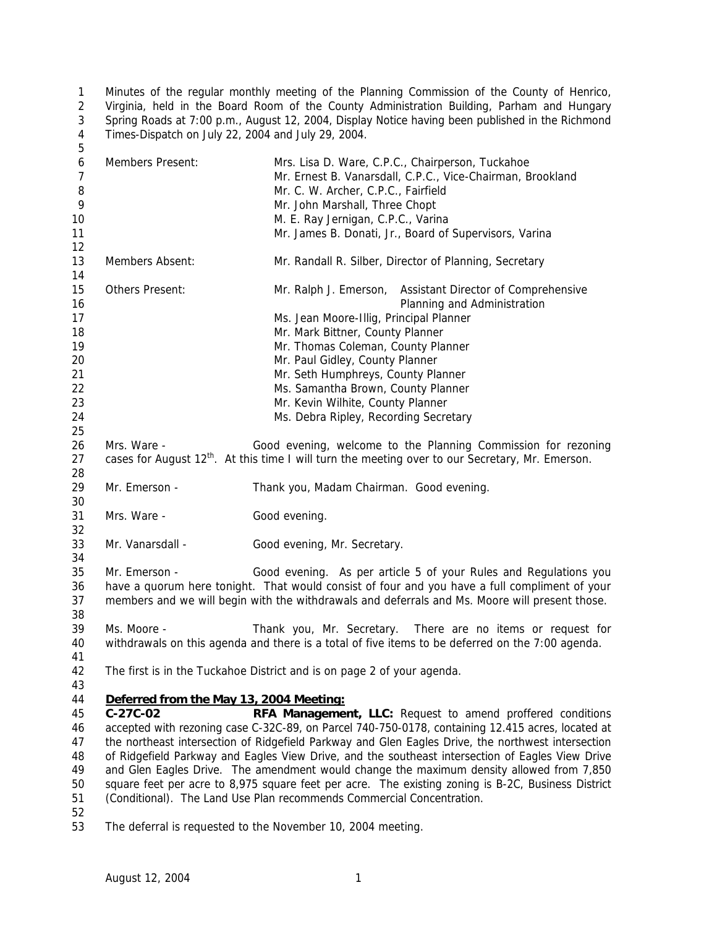Minutes of the regular monthly meeting of the Planning Commission of the County of Henrico, 2 Virginia, held in the Board Room of the County Administration Building, Parham and Hungary 3 Spring Roads at 7:00 p.m., August 12, 2004, Display Notice having been published in the Richmond Times-Dispatch on July 22, 2004 and July 29, 2004. 

| 6<br>$\overline{7}$<br>8<br>9<br>10<br>11                | Members Present:                        | Mrs. Lisa D. Ware, C.P.C., Chairperson, Tuckahoe<br>Mr. Ernest B. Vanarsdall, C.P.C., Vice-Chairman, Brookland<br>Mr. C. W. Archer, C.P.C., Fairfield<br>Mr. John Marshall, Three Chopt<br>M. E. Ray Jernigan, C.P.C., Varina<br>Mr. James B. Donati, Jr., Board of Supervisors, Varina                                                                                                                    |
|----------------------------------------------------------|-----------------------------------------|------------------------------------------------------------------------------------------------------------------------------------------------------------------------------------------------------------------------------------------------------------------------------------------------------------------------------------------------------------------------------------------------------------|
| 12<br>13<br>14                                           | Members Absent:                         | Mr. Randall R. Silber, Director of Planning, Secretary                                                                                                                                                                                                                                                                                                                                                     |
| 15<br>16<br>17<br>18<br>19<br>20<br>21<br>22<br>23<br>24 | Others Present:                         | Mr. Ralph J. Emerson, Assistant Director of Comprehensive<br>Planning and Administration<br>Ms. Jean Moore-Illig, Principal Planner<br>Mr. Mark Bittner, County Planner<br>Mr. Thomas Coleman, County Planner<br>Mr. Paul Gidley, County Planner<br>Mr. Seth Humphreys, County Planner<br>Ms. Samantha Brown, County Planner<br>Mr. Kevin Wilhite, County Planner<br>Ms. Debra Ripley, Recording Secretary |
| 25<br>26<br>27<br>28                                     | Mrs. Ware -                             | Good evening, welcome to the Planning Commission for rezoning<br>cases for August 12 <sup>th</sup> . At this time I will turn the meeting over to our Secretary, Mr. Emerson.                                                                                                                                                                                                                              |
| 29<br>30                                                 | Mr. Emerson -                           | Thank you, Madam Chairman. Good evening.                                                                                                                                                                                                                                                                                                                                                                   |
| 31<br>32                                                 | Mrs. Ware -                             | Good evening.                                                                                                                                                                                                                                                                                                                                                                                              |
| 33<br>34                                                 | Mr. Vanarsdall -                        | Good evening, Mr. Secretary.                                                                                                                                                                                                                                                                                                                                                                               |
| 35<br>36<br>37<br>38                                     | Mr. Emerson -                           | Good evening. As per article 5 of your Rules and Regulations you<br>have a quorum here tonight. That would consist of four and you have a full compliment of your<br>members and we will begin with the withdrawals and deferrals and Ms. Moore will present those.                                                                                                                                        |
| 39<br>40<br>41                                           | Ms. Moore -                             | Thank you, Mr. Secretary. There are no items or request for<br>withdrawals on this agenda and there is a total of five items to be deferred on the 7:00 agenda.                                                                                                                                                                                                                                            |
| 42<br>43                                                 |                                         | The first is in the Tuckahoe District and is on page 2 of your agenda.                                                                                                                                                                                                                                                                                                                                     |
| 44                                                       | Deferred from the May 13, 2004 Meeting: |                                                                                                                                                                                                                                                                                                                                                                                                            |
| 45                                                       | $C-27C-02$                              | RFA Management, LLC: Request to amend proffered conditions                                                                                                                                                                                                                                                                                                                                                 |
| 46                                                       |                                         | accepted with rezoning case C-32C-89, on Parcel 740-750-0178, containing 12.415 acres, located at                                                                                                                                                                                                                                                                                                          |
| 47                                                       |                                         | the northeast intersection of Ridgefield Parkway and Glen Eagles Drive, the northwest intersection                                                                                                                                                                                                                                                                                                         |
| 48<br>49                                                 |                                         | of Ridgefield Parkway and Eagles View Drive, and the southeast intersection of Eagles View Drive<br>and Glen Eagles Drive. The amendment would change the maximum density allowed from 7,850                                                                                                                                                                                                               |
| 50                                                       |                                         | square feet per acre to 8,975 square feet per acre. The existing zoning is B-2C, Business District                                                                                                                                                                                                                                                                                                         |
| 51<br>52                                                 |                                         | (Conditional). The Land Use Plan recommends Commercial Concentration.                                                                                                                                                                                                                                                                                                                                      |

The deferral is requested to the November 10, 2004 meeting.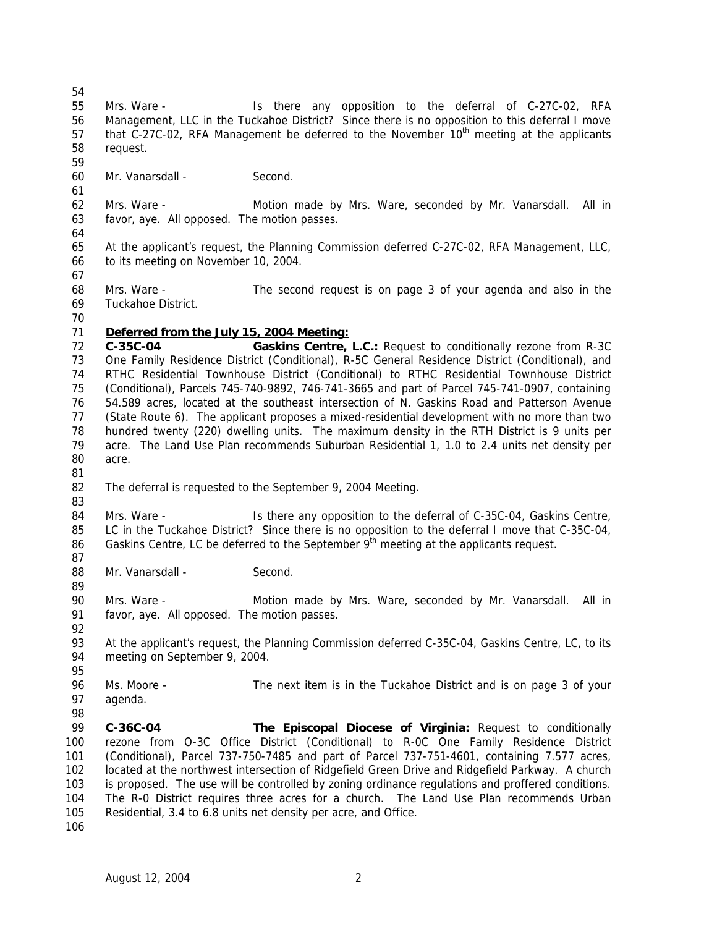request.

Mr. Vanarsdall - Second.

 favor, aye. All opposed. The motion passes. At the applicant's request, the Planning Commission deferred C-27C-02, RFA Management, LLC, to its meeting on November 10, 2004. Mrs. Ware - The second request is on page 3 of your agenda and also in the Tuckahoe District. *Deferred from the July 15, 2004 Meeting:* **C-35C-04 Gaskins Centre, L.C.:** Request to conditionally rezone from R-3C One Family Residence District (Conditional), R-5C General Residence District (Conditional), and RTHC Residential Townhouse District (Conditional) to RTHC Residential Townhouse District (Conditional), Parcels 745-740-9892, 746-741-3665 and part of Parcel 745-741-0907, containing 54.589 acres, located at the southeast intersection of N. Gaskins Road and Patterson Avenue (State Route 6). The applicant proposes a mixed-residential development with no more than two hundred twenty (220) dwelling units. The maximum density in the RTH District is 9 units per acre. The Land Use Plan recommends Suburban Residential 1, 1.0 to 2.4 units net density per acre. The deferral is requested to the September 9, 2004 Meeting. 84 Mrs. Ware - Is there any opposition to the deferral of C-35C-04, Gaskins Centre, LC in the Tuckahoe District? Since there is no opposition to the deferral I move that C-35C-04, Gaskins Centre, LC be deferred to the September  $9<sup>th</sup>$  meeting at the applicants request. 88 Mr. Vanarsdall - Second. Mrs. Ware - Motion made by Mrs. Ware, seconded by Mr. Vanarsdall. All in favor, aye. All opposed. The motion passes. At the applicant's request, the Planning Commission deferred C-35C-04, Gaskins Centre, LC, to its meeting on September 9, 2004. Ms. Moore - The next item is in the Tuckahoe District and is on page 3 of your agenda. **C-36C-04 The Episcopal Diocese of Virginia:** Request to conditionally rezone from O-3C Office District (Conditional) to R-0C One Family Residence District (Conditional), Parcel 737-750-7485 and part of Parcel 737-751-4601, containing 7.577 acres, located at the northwest intersection of Ridgefield Green Drive and Ridgefield Parkway. A church is proposed. The use will be controlled by zoning ordinance regulations and proffered conditions. The R-0 District requires three acres for a church. The Land Use Plan recommends Urban Residential, 3.4 to 6.8 units net density per acre, and Office. 

 Mrs. Ware - Is there any opposition to the deferral of C-27C-02, RFA Management, LLC in the Tuckahoe District? Since there is no opposition to this deferral I move 57 that C-27C-02, RFA Management be deferred to the November  $10<sup>th</sup>$  meeting at the applicants

Mrs. Ware - Motion made by Mrs. Ware, seconded by Mr. Vanarsdall. All in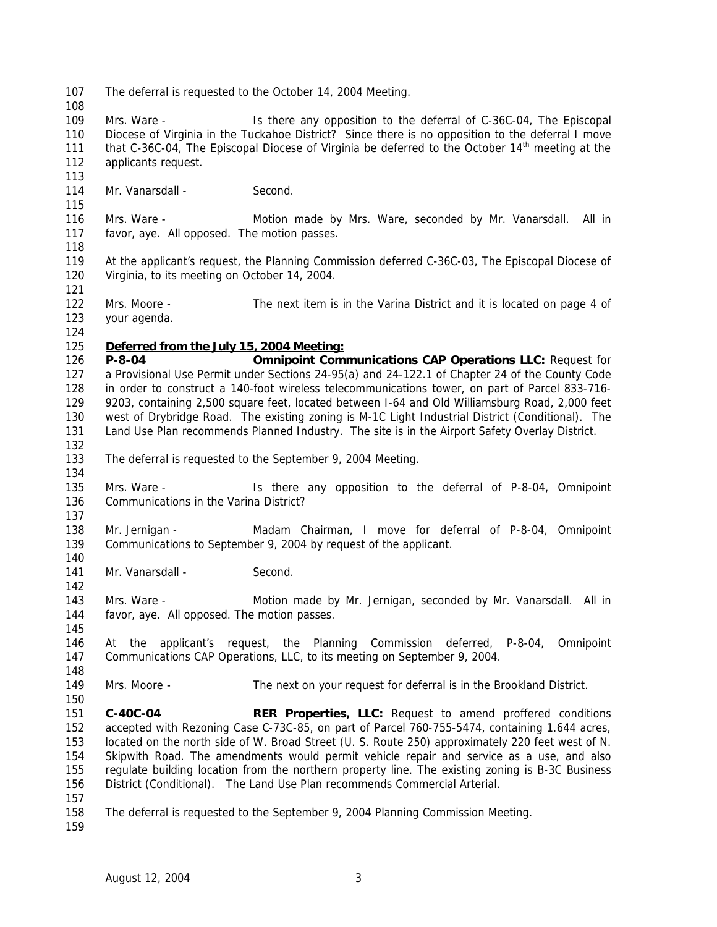The deferral is requested to the October 14, 2004 Meeting.

 Mrs. Ware - Is there any opposition to the deferral of C-36C-04, The Episcopal Diocese of Virginia in the Tuckahoe District? Since there is no opposition to the deferral I move 111 that C-36C-04, The Episcopal Diocese of Virginia be deferred to the October  $14<sup>th</sup>$  meeting at the applicants request.

114 Mr. Vanarsdall - Second.

 Mrs. Ware - Motion made by Mrs. Ware, seconded by Mr. Vanarsdall. All in favor, aye. All opposed. The motion passes.

- At the applicant's request, the Planning Commission deferred C-36C-03, The Episcopal Diocese of Virginia, to its meeting on October 14, 2004.
- Mrs. Moore The next item is in the Varina District and it is located on page 4 of your agenda.
- 

## *Deferred from the July 15, 2004 Meeting:*

 **P-8-04 Omnipoint Communications CAP Operations LLC:** Request for a Provisional Use Permit under Sections 24-95(a) and 24-122.1 of Chapter 24 of the County Code in order to construct a 140-foot wireless telecommunications tower, on part of Parcel 833-716- 9203, containing 2,500 square feet, located between I-64 and Old Williamsburg Road, 2,000 feet west of Drybridge Road. The existing zoning is M-1C Light Industrial District (Conditional). The Land Use Plan recommends Planned Industry. The site is in the Airport Safety Overlay District. 

- The deferral is requested to the September 9, 2004 Meeting.
- Mrs. Ware Is there any opposition to the deferral of P-8-04, Omnipoint Communications in the Varina District?
- Mr. Jernigan Madam Chairman, I move for deferral of P-8-04, Omnipoint Communications to September 9, 2004 by request of the applicant.
- 141 Mr. Vanarsdall Second.
- Mrs. Ware Motion made by Mr. Jernigan, seconded by Mr. Vanarsdall. All in favor, aye. All opposed. The motion passes.
- At the applicant's request, the Planning Commission deferred, P-8-04, Omnipoint Communications CAP Operations, LLC, to its meeting on September 9, 2004.
- Mrs. Moore The next on your request for deferral is in the Brookland District.
- **C-40C-04 RER Properties, LLC:** Request to amend proffered conditions accepted with Rezoning Case C-73C-85, on part of Parcel 760-755-5474, containing 1.644 acres, located on the north side of W. Broad Street (U. S. Route 250) approximately 220 feet west of N. Skipwith Road. The amendments would permit vehicle repair and service as a use, and also regulate building location from the northern property line. The existing zoning is B-3C Business District (Conditional). The Land Use Plan recommends Commercial Arterial.
- 
- The deferral is requested to the September 9, 2004 Planning Commission Meeting.
-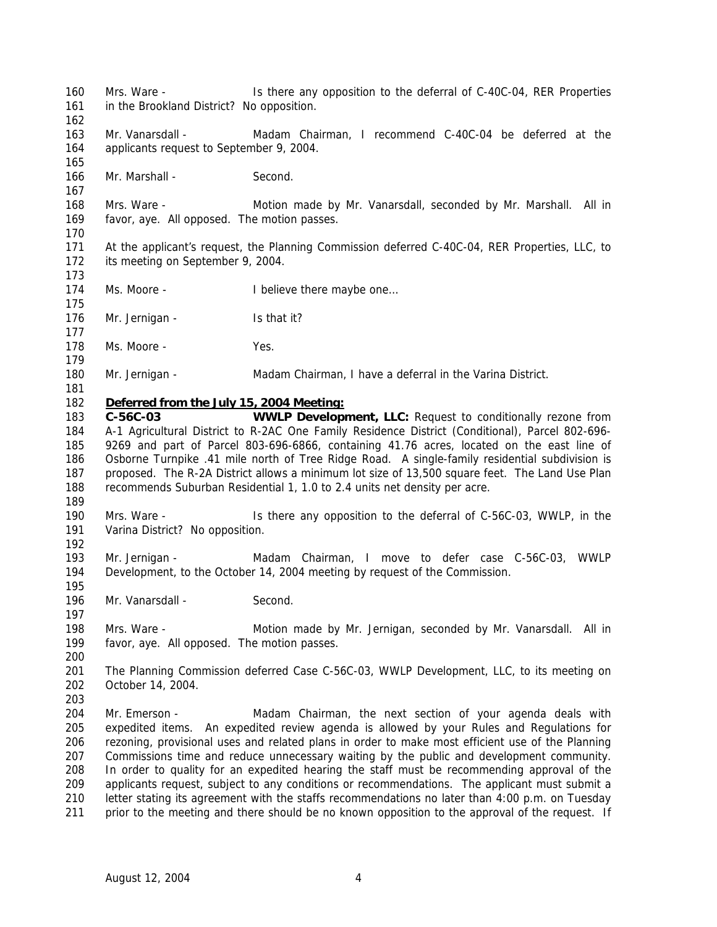Mrs. Ware - Is there any opposition to the deferral of C-40C-04, RER Properties in the Brookland District? No opposition. Mr. Vanarsdall - Madam Chairman, I recommend C-40C-04 be deferred at the applicants request to September 9, 2004. Mr. Marshall - Second. Mrs. Ware - Motion made by Mr. Vanarsdall, seconded by Mr. Marshall. All in favor, aye. All opposed. The motion passes. At the applicant's request, the Planning Commission deferred C-40C-04, RER Properties, LLC, to its meeting on September 9, 2004. 174 Ms. Moore - I believe there maybe one... 176 Mr. Jernigan - Is that it? 178 Ms. Moore - Yes. Mr. Jernigan - Madam Chairman, I have a deferral in the Varina District. *Deferred from the July 15, 2004 Meeting:* **C-56C-03 WWLP Development, LLC:** Request to conditionally rezone from A-1 Agricultural District to R-2AC One Family Residence District (Conditional), Parcel 802-696- 9269 and part of Parcel 803-696-6866, containing 41.76 acres, located on the east line of Osborne Turnpike .41 mile north of Tree Ridge Road. A single-family residential subdivision is proposed. The R-2A District allows a minimum lot size of 13,500 square feet. The Land Use Plan recommends Suburban Residential 1, 1.0 to 2.4 units net density per acre. Mrs. Ware - Is there any opposition to the deferral of C-56C-03, WWLP, in the 191 Varina District? No opposition. Mr. Jernigan - Madam Chairman, I move to defer case C-56C-03, WWLP Development, to the October 14, 2004 meeting by request of the Commission. 196 Mr. Vanarsdall - Second. Mrs. Ware - Motion made by Mr. Jernigan, seconded by Mr. Vanarsdall. All in favor, aye. All opposed. The motion passes. The Planning Commission deferred Case C-56C-03, WWLP Development, LLC, to its meeting on October 14, 2004. Mr. Emerson - Madam Chairman, the next section of your agenda deals with expedited items. An expedited review agenda is allowed by your Rules and Regulations for rezoning, provisional uses and related plans in order to make most efficient use of the Planning Commissions time and reduce unnecessary waiting by the public and development community. In order to quality for an expedited hearing the staff must be recommending approval of the applicants request, subject to any conditions or recommendations. The applicant must submit a letter stating its agreement with the staffs recommendations no later than 4:00 p.m. on Tuesday 211 prior to the meeting and there should be no known opposition to the approval of the request. If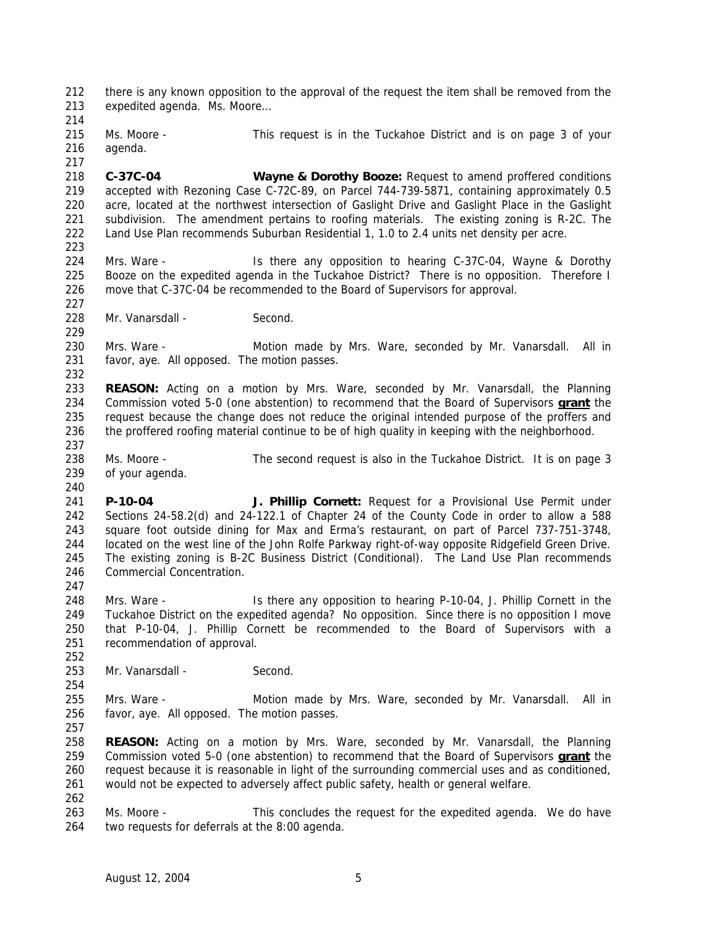there is any known opposition to the approval of the request the item shall be removed from the expedited agenda. Ms. Moore…

 Ms. Moore - This request is in the Tuckahoe District and is on page 3 of your agenda.

 **C-37C-04 Wayne & Dorothy Booze:** Request to amend proffered conditions accepted with Rezoning Case C-72C-89, on Parcel 744-739-5871, containing approximately 0.5 acre, located at the northwest intersection of Gaslight Drive and Gaslight Place in the Gaslight subdivision. The amendment pertains to roofing materials. The existing zoning is R-2C. The Land Use Plan recommends Suburban Residential 1, 1.0 to 2.4 units net density per acre. 

 Mrs. Ware - Is there any opposition to hearing C-37C-04, Wayne & Dorothy Booze on the expedited agenda in the Tuckahoe District? There is no opposition. Therefore I move that C-37C-04 be recommended to the Board of Supervisors for approval.

228 Mr. Vanarsdall - Second.

230 Mrs. Ware - Motion made by Mrs. Ware, seconded by Mr. Vanarsdall. All in favor, aye. All opposed. The motion passes.

 **REASON:** Acting on a motion by Mrs. Ware, seconded by Mr. Vanarsdall, the Planning Commission voted 5-0 (one abstention) to recommend that the Board of Supervisors **grant** the request because the change does not reduce the original intended purpose of the proffers and the proffered roofing material continue to be of high quality in keeping with the neighborhood.

 Ms. Moore - The second request is also in the Tuckahoe District. It is on page 3 of your agenda.

 **P-10-04 J. Phillip Cornett:** Request for a Provisional Use Permit under Sections 24-58.2(d) and 24-122.1 of Chapter 24 of the County Code in order to allow a 588 square foot outside dining for Max and Erma's restaurant, on part of Parcel 737-751-3748, located on the west line of the John Rolfe Parkway right-of-way opposite Ridgefield Green Drive. The existing zoning is B-2C Business District (Conditional). The Land Use Plan recommends Commercial Concentration.

 Mrs. Ware - Is there any opposition to hearing P-10-04, J. Phillip Cornett in the Tuckahoe District on the expedited agenda? No opposition. Since there is no opposition I move that P-10-04, J. Phillip Cornett be recommended to the Board of Supervisors with a recommendation of approval.

253 Mr. Vanarsdall - Second.

 Mrs. Ware - Motion made by Mrs. Ware, seconded by Mr. Vanarsdall. All in favor, aye. All opposed. The motion passes.

 **REASON:** Acting on a motion by Mrs. Ware, seconded by Mr. Vanarsdall, the Planning Commission voted 5-0 (one abstention) to recommend that the Board of Supervisors **grant** the request because it is reasonable in light of the surrounding commercial uses and as conditioned, would not be expected to adversely affect public safety, health or general welfare.

 Ms. Moore - This concludes the request for the expedited agenda. We do have two requests for deferrals at the 8:00 agenda.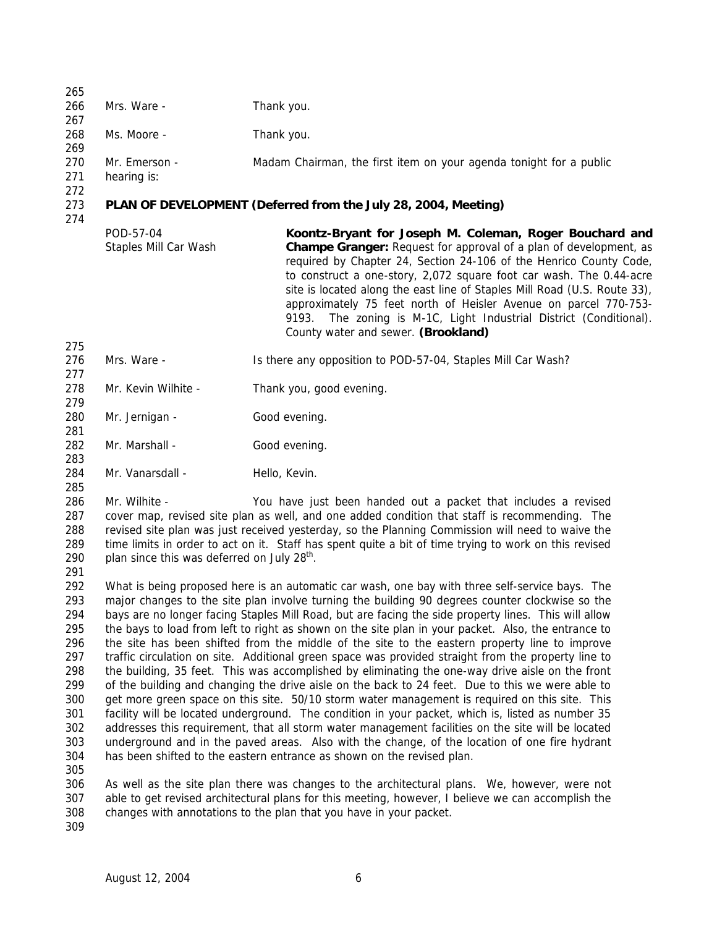| 265                                                                                                   |                                                                                                                                                                                                                                                                                                                                                                                                                                                                                                                                                                                                                                                                                                                                                                                                                                                                                                                                                                                                                                                                                                                                                                                                                                                                                                                           |                                                                                                                                                                                                                                                                                                                                                                                                                                                                                                                                                   |  |
|-------------------------------------------------------------------------------------------------------|---------------------------------------------------------------------------------------------------------------------------------------------------------------------------------------------------------------------------------------------------------------------------------------------------------------------------------------------------------------------------------------------------------------------------------------------------------------------------------------------------------------------------------------------------------------------------------------------------------------------------------------------------------------------------------------------------------------------------------------------------------------------------------------------------------------------------------------------------------------------------------------------------------------------------------------------------------------------------------------------------------------------------------------------------------------------------------------------------------------------------------------------------------------------------------------------------------------------------------------------------------------------------------------------------------------------------|---------------------------------------------------------------------------------------------------------------------------------------------------------------------------------------------------------------------------------------------------------------------------------------------------------------------------------------------------------------------------------------------------------------------------------------------------------------------------------------------------------------------------------------------------|--|
| 266<br>267                                                                                            | Mrs. Ware -                                                                                                                                                                                                                                                                                                                                                                                                                                                                                                                                                                                                                                                                                                                                                                                                                                                                                                                                                                                                                                                                                                                                                                                                                                                                                                               | Thank you.                                                                                                                                                                                                                                                                                                                                                                                                                                                                                                                                        |  |
| 268<br>269                                                                                            | Ms. Moore -                                                                                                                                                                                                                                                                                                                                                                                                                                                                                                                                                                                                                                                                                                                                                                                                                                                                                                                                                                                                                                                                                                                                                                                                                                                                                                               | Thank you.                                                                                                                                                                                                                                                                                                                                                                                                                                                                                                                                        |  |
| 270<br>271<br>272                                                                                     | Mr. Emerson -<br>hearing is:                                                                                                                                                                                                                                                                                                                                                                                                                                                                                                                                                                                                                                                                                                                                                                                                                                                                                                                                                                                                                                                                                                                                                                                                                                                                                              | Madam Chairman, the first item on your agenda tonight for a public                                                                                                                                                                                                                                                                                                                                                                                                                                                                                |  |
| 273<br>274                                                                                            | PLAN OF DEVELOPMENT (Deferred from the July 28, 2004, Meeting)                                                                                                                                                                                                                                                                                                                                                                                                                                                                                                                                                                                                                                                                                                                                                                                                                                                                                                                                                                                                                                                                                                                                                                                                                                                            |                                                                                                                                                                                                                                                                                                                                                                                                                                                                                                                                                   |  |
|                                                                                                       | POD-57-04<br>Staples Mill Car Wash                                                                                                                                                                                                                                                                                                                                                                                                                                                                                                                                                                                                                                                                                                                                                                                                                                                                                                                                                                                                                                                                                                                                                                                                                                                                                        | Koontz-Bryant for Joseph M. Coleman, Roger Bouchard and<br><b>Champe Granger:</b> Request for approval of a plan of development, as<br>required by Chapter 24, Section 24-106 of the Henrico County Code,<br>to construct a one-story, 2,072 square foot car wash. The 0.44-acre<br>site is located along the east line of Staples Mill Road (U.S. Route 33),<br>approximately 75 feet north of Heisler Avenue on parcel 770-753-<br>The zoning is M-1C, Light Industrial District (Conditional).<br>9193.<br>County water and sewer. (Brookland) |  |
| 275<br>276                                                                                            | Mrs. Ware -                                                                                                                                                                                                                                                                                                                                                                                                                                                                                                                                                                                                                                                                                                                                                                                                                                                                                                                                                                                                                                                                                                                                                                                                                                                                                                               | Is there any opposition to POD-57-04, Staples Mill Car Wash?                                                                                                                                                                                                                                                                                                                                                                                                                                                                                      |  |
| 277<br>278<br>279                                                                                     | Mr. Kevin Wilhite -                                                                                                                                                                                                                                                                                                                                                                                                                                                                                                                                                                                                                                                                                                                                                                                                                                                                                                                                                                                                                                                                                                                                                                                                                                                                                                       | Thank you, good evening.                                                                                                                                                                                                                                                                                                                                                                                                                                                                                                                          |  |
| 280<br>281                                                                                            | Mr. Jernigan -                                                                                                                                                                                                                                                                                                                                                                                                                                                                                                                                                                                                                                                                                                                                                                                                                                                                                                                                                                                                                                                                                                                                                                                                                                                                                                            | Good evening.                                                                                                                                                                                                                                                                                                                                                                                                                                                                                                                                     |  |
| 282<br>283                                                                                            | Mr. Marshall -                                                                                                                                                                                                                                                                                                                                                                                                                                                                                                                                                                                                                                                                                                                                                                                                                                                                                                                                                                                                                                                                                                                                                                                                                                                                                                            | Good evening.                                                                                                                                                                                                                                                                                                                                                                                                                                                                                                                                     |  |
| 284<br>285                                                                                            | Mr. Vanarsdall -                                                                                                                                                                                                                                                                                                                                                                                                                                                                                                                                                                                                                                                                                                                                                                                                                                                                                                                                                                                                                                                                                                                                                                                                                                                                                                          | Hello, Kevin.                                                                                                                                                                                                                                                                                                                                                                                                                                                                                                                                     |  |
| 286<br>287<br>288<br>289<br>290<br>291                                                                | Mr. Wilhite -<br>You have just been handed out a packet that includes a revised<br>cover map, revised site plan as well, and one added condition that staff is recommending. The<br>revised site plan was just received yesterday, so the Planning Commission will need to waive the<br>time limits in order to act on it. Staff has spent quite a bit of time trying to work on this revised<br>plan since this was deferred on July 28 <sup>th</sup> .                                                                                                                                                                                                                                                                                                                                                                                                                                                                                                                                                                                                                                                                                                                                                                                                                                                                  |                                                                                                                                                                                                                                                                                                                                                                                                                                                                                                                                                   |  |
| 292<br>293<br>294<br>295<br>296<br>297<br>298<br>299<br>300<br>301<br>302<br>303<br>304<br>305<br>306 | What is being proposed here is an automatic car wash, one bay with three self-service bays. The<br>major changes to the site plan involve turning the building 90 degrees counter clockwise so the<br>bays are no longer facing Staples Mill Road, but are facing the side property lines. This will allow<br>the bays to load from left to right as shown on the site plan in your packet. Also, the entrance to<br>the site has been shifted from the middle of the site to the eastern property line to improve<br>traffic circulation on site. Additional green space was provided straight from the property line to<br>the building, 35 feet. This was accomplished by eliminating the one-way drive aisle on the front<br>of the building and changing the drive aisle on the back to 24 feet. Due to this we were able to<br>get more green space on this site. 50/10 storm water management is required on this site. This<br>facility will be located underground. The condition in your packet, which is, listed as number 35<br>addresses this requirement, that all storm water management facilities on the site will be located<br>underground and in the paved areas. Also with the change, of the location of one fire hydrant<br>has been shifted to the eastern entrance as shown on the revised plan. |                                                                                                                                                                                                                                                                                                                                                                                                                                                                                                                                                   |  |
| 307<br>308                                                                                            |                                                                                                                                                                                                                                                                                                                                                                                                                                                                                                                                                                                                                                                                                                                                                                                                                                                                                                                                                                                                                                                                                                                                                                                                                                                                                                                           | As well as the site plan there was changes to the architectural plans. We, however, were not<br>able to get revised architectural plans for this meeting, however, I believe we can accomplish the<br>changes with annotations to the plan that you have in your packet.                                                                                                                                                                                                                                                                          |  |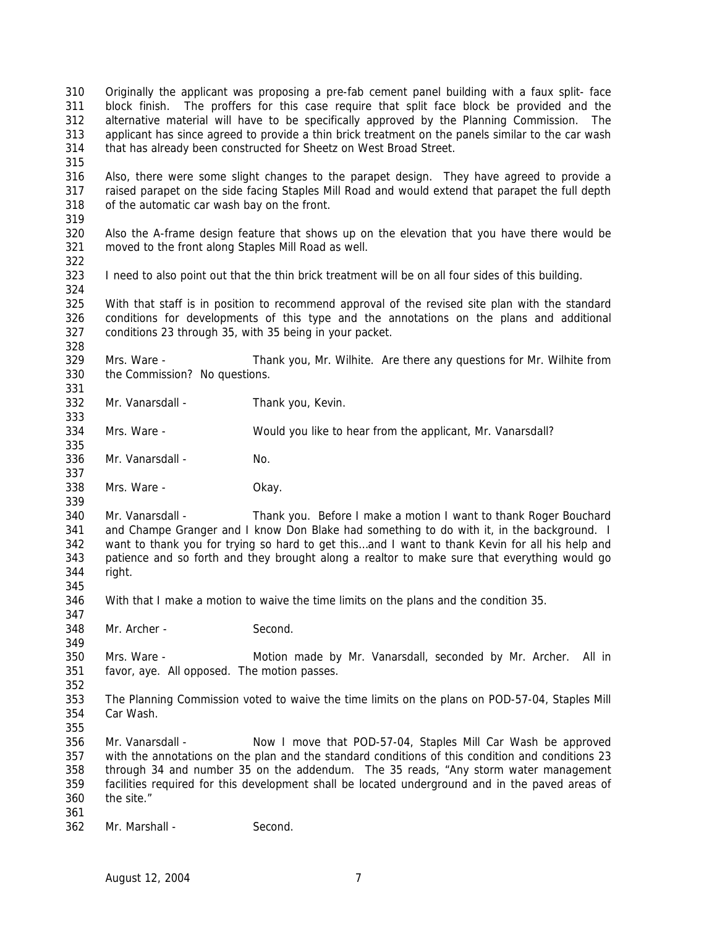block finish. The proffers for this case require that split face block be provided and the alternative material will have to be specifically approved by the Planning Commission. The applicant has since agreed to provide a thin brick treatment on the panels similar to the car wash that has already been constructed for Sheetz on West Broad Street. Also, there were some slight changes to the parapet design. They have agreed to provide a raised parapet on the side facing Staples Mill Road and would extend that parapet the full depth of the automatic car wash bay on the front. Also the A-frame design feature that shows up on the elevation that you have there would be moved to the front along Staples Mill Road as well. I need to also point out that the thin brick treatment will be on all four sides of this building. With that staff is in position to recommend approval of the revised site plan with the standard conditions for developments of this type and the annotations on the plans and additional conditions 23 through 35, with 35 being in your packet. Mrs. Ware - Thank you, Mr. Wilhite. Are there any questions for Mr. Wilhite from the Commission? No questions. Mr. Vanarsdall - Thank you, Kevin. Mrs. Ware - Would you like to hear from the applicant, Mr. Vanarsdall? 336 Mr. Vanarsdall - No. Mrs. Ware - Okay. Mr. Vanarsdall - Thank you. Before I make a motion I want to thank Roger Bouchard 341 and Champe Granger and I know Don Blake had something to do with it, in the background. I want to thank you for trying so hard to get this…and I want to thank Kevin for all his help and patience and so forth and they brought along a realtor to make sure that everything would go right. With that I make a motion to waive the time limits on the plans and the condition 35. Mr. Archer - Second. Mrs. Ware - Motion made by Mr. Vanarsdall, seconded by Mr. Archer. All in favor, aye. All opposed. The motion passes. The Planning Commission voted to waive the time limits on the plans on POD-57-04, Staples Mill Car Wash. Mr. Vanarsdall - Now I move that POD-57-04, Staples Mill Car Wash be approved with the annotations on the plan and the standard conditions of this condition and conditions 23 through 34 and number 35 on the addendum. The 35 reads, "Any storm water management facilities required for this development shall be located underground and in the paved areas of the site." Mr. Marshall - Second.

Originally the applicant was proposing a pre-fab cement panel building with a faux split- face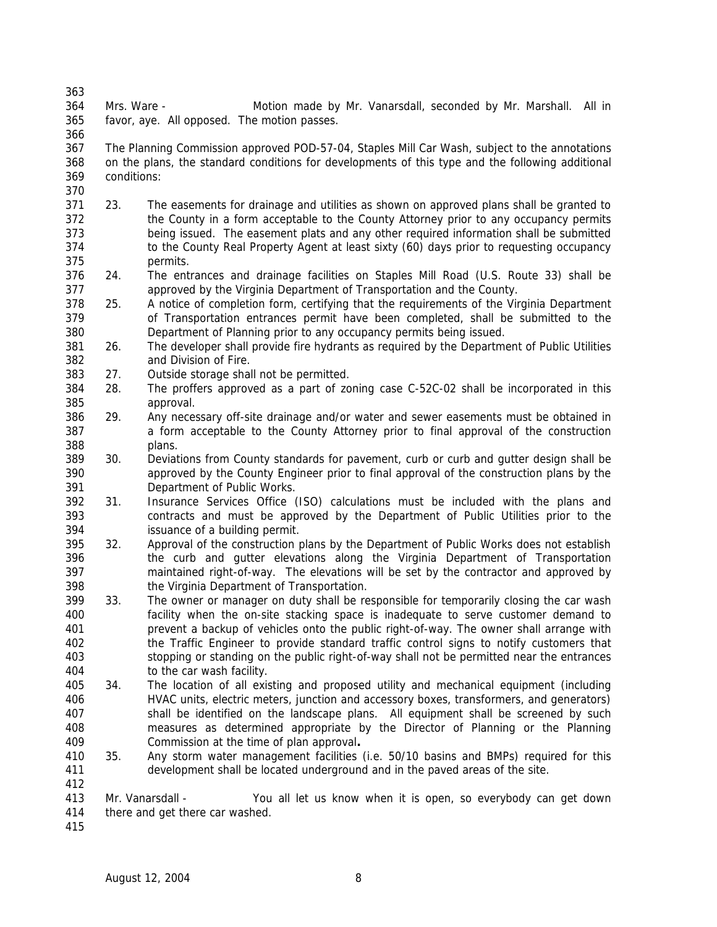Mrs. Ware - Motion made by Mr. Vanarsdall, seconded by Mr. Marshall. All in favor, aye. All opposed. The motion passes.

- The Planning Commission approved POD-57-04, Staples Mill Car Wash, subject to the annotations on the plans, the standard conditions for developments of this type and the following additional conditions:
- 23. The easements for drainage and utilities as shown on approved plans shall be granted to the County in a form acceptable to the County Attorney prior to any occupancy permits being issued. The easement plats and any other required information shall be submitted to the County Real Property Agent at least sixty (60) days prior to requesting occupancy permits.
- 24. The entrances and drainage facilities on Staples Mill Road (U.S. Route 33) shall be approved by the Virginia Department of Transportation and the County.
- 25. A notice of completion form, certifying that the requirements of the Virginia Department of Transportation entrances permit have been completed, shall be submitted to the Department of Planning prior to any occupancy permits being issued.
- 26. The developer shall provide fire hydrants as required by the Department of Public Utilities and Division of Fire.
- 27. Outside storage shall not be permitted.
- 28. The proffers approved as a part of zoning case C-52C-02 shall be incorporated in this approval.
- 29. Any necessary off-site drainage and/or water and sewer easements must be obtained in a form acceptable to the County Attorney prior to final approval of the construction plans.
- 30. Deviations from County standards for pavement, curb or curb and gutter design shall be approved by the County Engineer prior to final approval of the construction plans by the Department of Public Works.
- 31. Insurance Services Office (ISO) calculations must be included with the plans and contracts and must be approved by the Department of Public Utilities prior to the issuance of a building permit.
- 32. Approval of the construction plans by the Department of Public Works does not establish the curb and gutter elevations along the Virginia Department of Transportation maintained right-of-way. The elevations will be set by the contractor and approved by the Virginia Department of Transportation.
- 33. The owner or manager on duty shall be responsible for temporarily closing the car wash facility when the on-site stacking space is inadequate to serve customer demand to prevent a backup of vehicles onto the public right-of-way. The owner shall arrange with the Traffic Engineer to provide standard traffic control signs to notify customers that stopping or standing on the public right-of-way shall not be permitted near the entrances to the car wash facility.
- 34. The location of all existing and proposed utility and mechanical equipment (including HVAC units, electric meters, junction and accessory boxes, transformers, and generators) shall be identified on the landscape plans. All equipment shall be screened by such measures as determined appropriate by the Director of Planning or the Planning Commission at the time of plan approval**.**
- 35. Any storm water management facilities (i.e. 50/10 basins and BMPs) required for this development shall be located underground and in the paved areas of the site.
- Mr. Vanarsdall You all let us know when it is open, so everybody can get down there and get there car washed.
-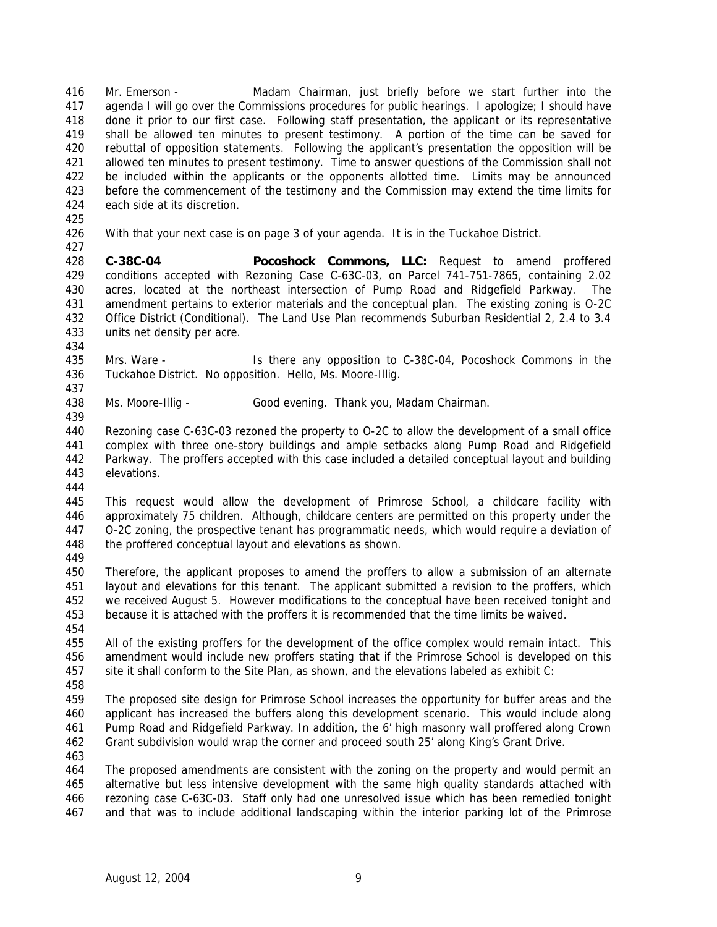Mr. Emerson - Madam Chairman, just briefly before we start further into the agenda I will go over the Commissions procedures for public hearings. I apologize; I should have done it prior to our first case. Following staff presentation, the applicant or its representative shall be allowed ten minutes to present testimony. A portion of the time can be saved for rebuttal of opposition statements. Following the applicant's presentation the opposition will be allowed ten minutes to present testimony. Time to answer questions of the Commission shall not 422 be included within the applicants or the opponents allotted time. Limits may be announced before the commencement of the testimony and the Commission may extend the time limits for each side at its discretion.

With that your next case is on page 3 of your agenda. It is in the Tuckahoe District.

 **C-38C-04 Pocoshock Commons, LLC:** Request to amend proffered conditions accepted with Rezoning Case C-63C-03, on Parcel 741-751-7865, containing 2.02 acres, located at the northeast intersection of Pump Road and Ridgefield Parkway. The amendment pertains to exterior materials and the conceptual plan. The existing zoning is O-2C Office District (Conditional). The Land Use Plan recommends Suburban Residential 2, 2.4 to 3.4 units net density per acre.

 Mrs. Ware - Is there any opposition to C-38C-04, Pocoshock Commons in the Tuckahoe District. No opposition. Hello, Ms. Moore-Illig.

Ms. Moore-Illig - Good evening. Thank you, Madam Chairman.

 Rezoning case C-63C-03 rezoned the property to O-2C to allow the development of a small office complex with three one-story buildings and ample setbacks along Pump Road and Ridgefield Parkway. The proffers accepted with this case included a detailed conceptual layout and building elevations.

 This request would allow the development of Primrose School, a childcare facility with approximately 75 children. Although, childcare centers are permitted on this property under the O-2C zoning, the prospective tenant has programmatic needs, which would require a deviation of the proffered conceptual layout and elevations as shown.

 Therefore, the applicant proposes to amend the proffers to allow a submission of an alternate layout and elevations for this tenant. The applicant submitted a revision to the proffers, which we received August 5. However modifications to the conceptual have been received tonight and because it is attached with the proffers it is recommended that the time limits be waived.

 All of the existing proffers for the development of the office complex would remain intact. This amendment would include new proffers stating that if the Primrose School is developed on this site it shall conform to the Site Plan, as shown, and the elevations labeled as exhibit C:

 The proposed site design for Primrose School increases the opportunity for buffer areas and the applicant has increased the buffers along this development scenario. This would include along Pump Road and Ridgefield Parkway. In addition, the 6' high masonry wall proffered along Crown Grant subdivision would wrap the corner and proceed south 25' along King's Grant Drive.

 The proposed amendments are consistent with the zoning on the property and would permit an alternative but less intensive development with the same high quality standards attached with rezoning case C-63C-03. Staff only had one unresolved issue which has been remedied tonight and that was to include additional landscaping within the interior parking lot of the Primrose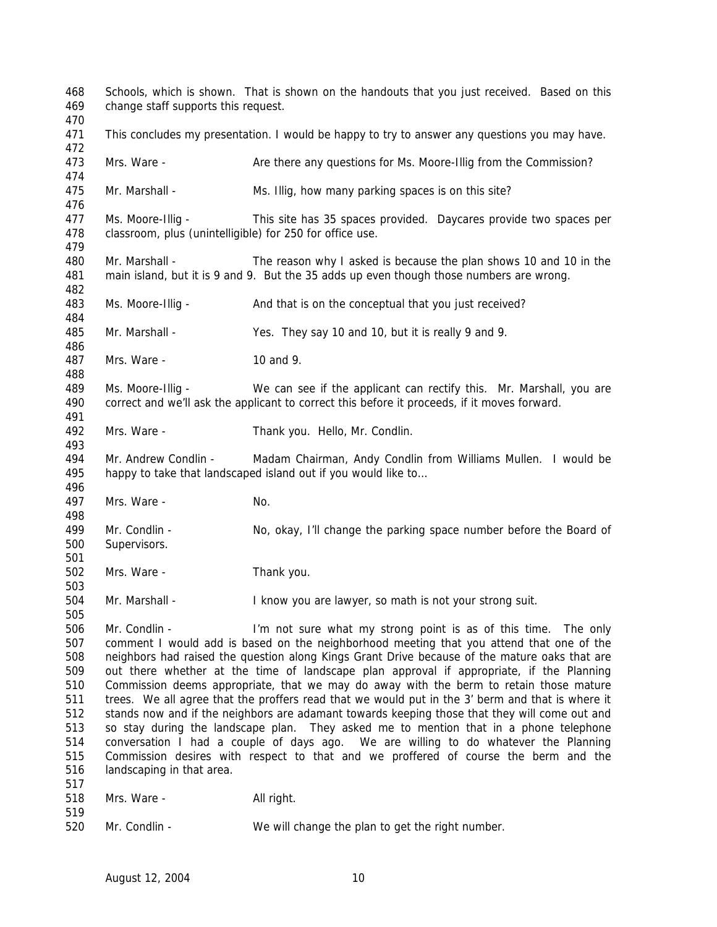Schools, which is shown. That is shown on the handouts that you just received. Based on this change staff supports this request. 471 This concludes my presentation. I would be happy to try to answer any questions you may have. Mrs. Ware - Are there any questions for Ms. Moore-Illig from the Commission? Mr. Marshall - Ms. Illig, how many parking spaces is on this site? Ms. Moore-Illig - This site has 35 spaces provided. Daycares provide two spaces per classroom, plus (unintelligible) for 250 for office use. Mr. Marshall - The reason why I asked is because the plan shows 10 and 10 in the main island, but it is 9 and 9. But the 35 adds up even though those numbers are wrong. Ms. Moore-Illig - And that is on the conceptual that you just received? Mr. Marshall - Yes. They say 10 and 10, but it is really 9 and 9. Mrs. Ware - 10 and 9. Ms. Moore-Illig - We can see if the applicant can rectify this. Mr. Marshall, you are correct and we'll ask the applicant to correct this before it proceeds, if it moves forward. Mrs. Ware - Thank you. Hello, Mr. Condlin. Mr. Andrew Condlin - Madam Chairman, Andy Condlin from Williams Mullen. I would be happy to take that landscaped island out if you would like to… 497 Mrs. Ware - No. Mr. Condlin - No, okay, I'll change the parking space number before the Board of Supervisors. Mrs. Ware - Thank you. Mr. Marshall - I know you are lawyer, so math is not your strong suit. Mr. Condlin - I'm not sure what my strong point is as of this time. The only comment I would add is based on the neighborhood meeting that you attend that one of the neighbors had raised the question along Kings Grant Drive because of the mature oaks that are out there whether at the time of landscape plan approval if appropriate, if the Planning Commission deems appropriate, that we may do away with the berm to retain those mature trees. We all agree that the proffers read that we would put in the 3' berm and that is where it stands now and if the neighbors are adamant towards keeping those that they will come out and so stay during the landscape plan. They asked me to mention that in a phone telephone conversation I had a couple of days ago. We are willing to do whatever the Planning Commission desires with respect to that and we proffered of course the berm and the landscaping in that area. 518 Mrs. Ware - All right. Mr. Condlin - We will change the plan to get the right number.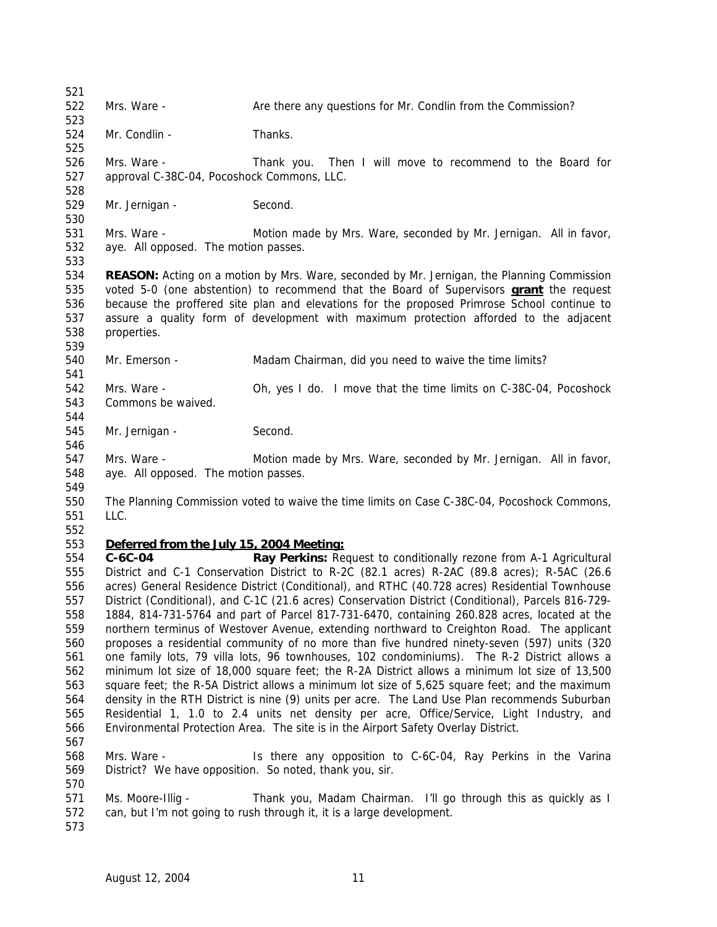522 Mrs. Ware - Are there any questions for Mr. Condlin from the Commission? Mr. Condlin - Thanks. Mrs. Ware - Thank you. Then I will move to recommend to the Board for approval C-38C-04, Pocoshock Commons, LLC. 529 Mr. Jernigan - Second. Mrs. Ware - Motion made by Mrs. Ware, seconded by Mr. Jernigan. All in favor, aye. All opposed. The motion passes. **REASON:** Acting on a motion by Mrs. Ware, seconded by Mr. Jernigan, the Planning Commission voted 5-0 (one abstention) to recommend that the Board of Supervisors **grant** the request because the proffered site plan and elevations for the proposed Primrose School continue to assure a quality form of development with maximum protection afforded to the adjacent properties. 540 Mr. Emerson - Madam Chairman, did you need to waive the time limits? Mrs. Ware - Oh, yes I do. I move that the time limits on C-38C-04, Pocoshock Commons be waived. 545 Mr. Jernigan - Second. Mrs. Ware - Motion made by Mrs. Ware, seconded by Mr. Jernigan. All in favor, aye. All opposed. The motion passes. The Planning Commission voted to waive the time limits on Case C-38C-04, Pocoshock Commons, LLC. *Deferred from the July 15, 2004 Meeting:* **C-6C-04 Ray Perkins:** Request to conditionally rezone from A-1 Agricultural District and C-1 Conservation District to R-2C (82.1 acres) R-2AC (89.8 acres); R-5AC (26.6 acres) General Residence District (Conditional), and RTHC (40.728 acres) Residential Townhouse District (Conditional), and C-1C (21.6 acres) Conservation District (Conditional), Parcels 816-729- 1884, 814-731-5764 and part of Parcel 817-731-6470, containing 260.828 acres, located at the northern terminus of Westover Avenue, extending northward to Creighton Road. The applicant proposes a residential community of no more than five hundred ninety-seven (597) units (320 one family lots, 79 villa lots, 96 townhouses, 102 condominiums). The R-2 District allows a minimum lot size of 18,000 square feet; the R-2A District allows a minimum lot size of 13,500 square feet; the R-5A District allows a minimum lot size of 5,625 square feet; and the maximum density in the RTH District is nine (9) units per acre. The Land Use Plan recommends Suburban Residential 1, 1.0 to 2.4 units net density per acre, Office/Service, Light Industry, and Environmental Protection Area. The site is in the Airport Safety Overlay District. Mrs. Ware - Is there any opposition to C-6C-04, Ray Perkins in the Varina District? We have opposition. So noted, thank you, sir. Ms. Moore-Illig - Thank you, Madam Chairman. I'll go through this as quickly as I can, but I'm not going to rush through it, it is a large development.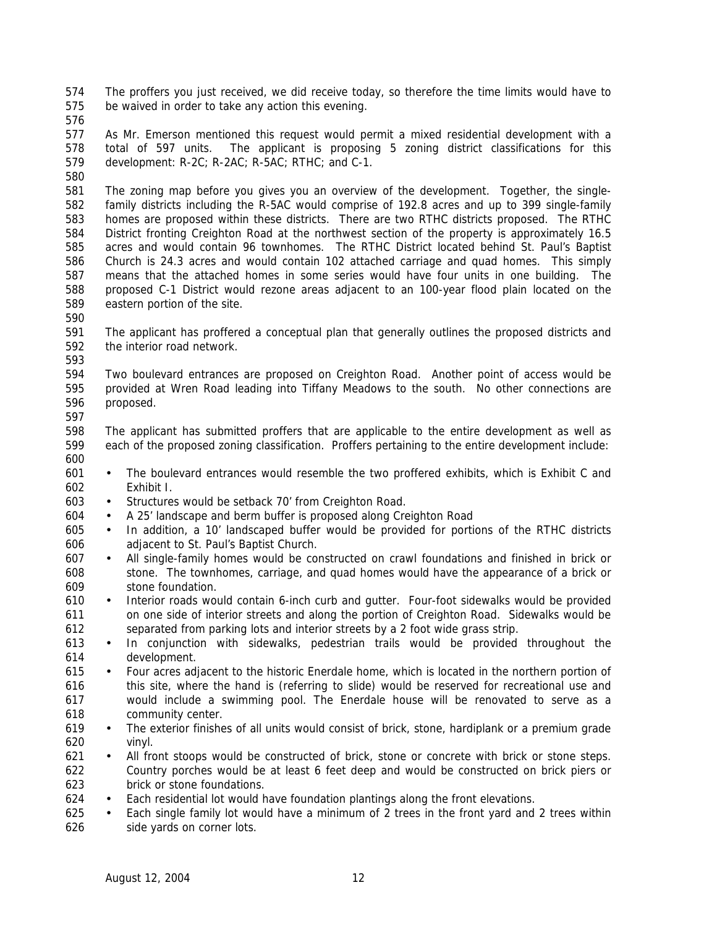The proffers you just received, we did receive today, so therefore the time limits would have to be waived in order to take any action this evening.

 As Mr. Emerson mentioned this request would permit a mixed residential development with a total of 597 units. The applicant is proposing 5 zoning district classifications for this development: R-2C; R-2AC; R-5AC; RTHC; and C-1.

 The zoning map before you gives you an overview of the development. Together, the single- family districts including the R-5AC would comprise of 192.8 acres and up to 399 single-family homes are proposed within these districts. There are two RTHC districts proposed. The RTHC District fronting Creighton Road at the northwest section of the property is approximately 16.5 acres and would contain 96 townhomes. The RTHC District located behind St. Paul's Baptist Church is 24.3 acres and would contain 102 attached carriage and quad homes. This simply means that the attached homes in some series would have four units in one building. The proposed C-1 District would rezone areas adjacent to an 100-year flood plain located on the eastern portion of the site.

 The applicant has proffered a conceptual plan that generally outlines the proposed districts and the interior road network.

 Two boulevard entrances are proposed on Creighton Road. Another point of access would be provided at Wren Road leading into Tiffany Meadows to the south. No other connections are proposed.

 The applicant has submitted proffers that are applicable to the entire development as well as each of the proposed zoning classification. Proffers pertaining to the entire development include: 

- The boulevard entrances would resemble the two proffered exhibits, which is Exhibit C and Exhibit I.
- Structures would be setback 70' from Creighton Road.
- A 25' landscape and berm buffer is proposed along Creighton Road
- In addition, a 10' landscaped buffer would be provided for portions of the RTHC districts adjacent to St. Paul's Baptist Church.
- All single-family homes would be constructed on crawl foundations and finished in brick or stone. The townhomes, carriage, and quad homes would have the appearance of a brick or stone foundation.
- Interior roads would contain 6-inch curb and gutter. Four-foot sidewalks would be provided on one side of interior streets and along the portion of Creighton Road. Sidewalks would be separated from parking lots and interior streets by a 2 foot wide grass strip.
- In conjunction with sidewalks, pedestrian trails would be provided throughout the development.
- Four acres adjacent to the historic Enerdale home, which is located in the northern portion of this site, where the hand is (referring to slide) would be reserved for recreational use and would include a swimming pool. The Enerdale house will be renovated to serve as a community center.
- The exterior finishes of all units would consist of brick, stone, hardiplank or a premium grade vinyl.
- All front stoops would be constructed of brick, stone or concrete with brick or stone steps. Country porches would be at least 6 feet deep and would be constructed on brick piers or brick or stone foundations.
- Each residential lot would have foundation plantings along the front elevations.
- Each single family lot would have a minimum of 2 trees in the front yard and 2 trees within side yards on corner lots.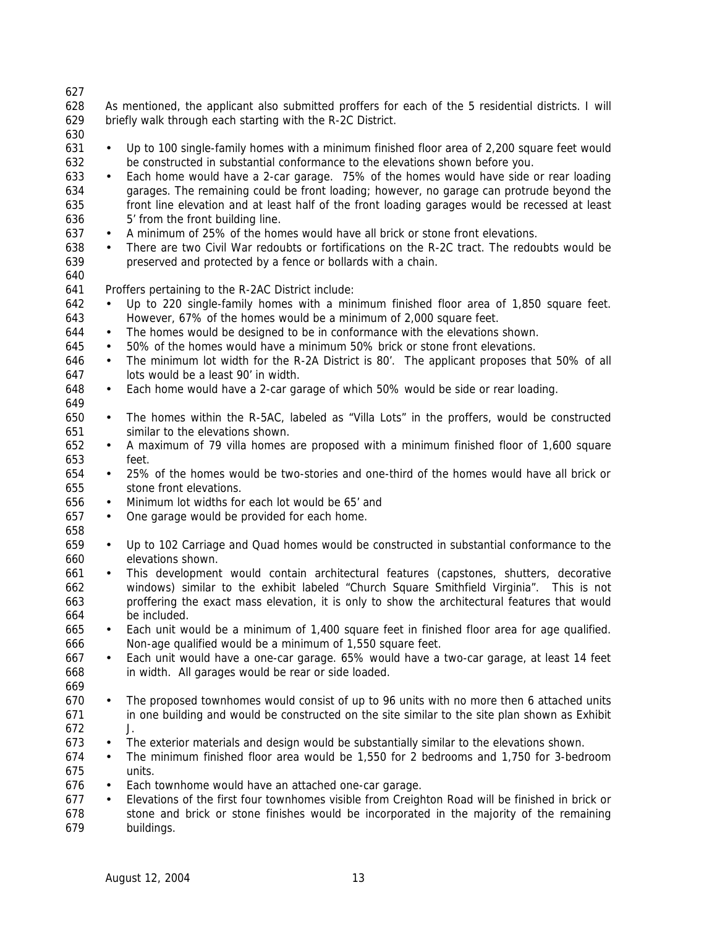As mentioned, the applicant also submitted proffers for each of the 5 residential districts. I will briefly walk through each starting with the R-2C District.

 • Up to 100 single-family homes with a minimum finished floor area of 2,200 square feet would be constructed in substantial conformance to the elevations shown before you.

- Each home would have a 2-car garage. 75% of the homes would have side or rear loading garages. The remaining could be front loading; however, no garage can protrude beyond the front line elevation and at least half of the front loading garages would be recessed at least 5' from the front building line.
- A minimum of 25% of the homes would have all brick or stone front elevations.
- There are two Civil War redoubts or fortifications on the R-2C tract. The redoubts would be preserved and protected by a fence or bollards with a chain.
- 

Proffers pertaining to the R-2AC District include:

- Up to 220 single-family homes with a minimum finished floor area of 1,850 square feet. However, 67% of the homes would be a minimum of 2,000 square feet.
- The homes would be designed to be in conformance with the elevations shown.
- 50% of the homes would have a minimum 50% brick or stone front elevations.
- The minimum lot width for the R-2A District is 80'. The applicant proposes that 50% of all lots would be a least 90' in width.
- Each home would have a 2-car garage of which 50% would be side or rear loading.
- The homes within the R-5AC, labeled as "Villa Lots" in the proffers, would be constructed similar to the elevations shown.
- A maximum of 79 villa homes are proposed with a minimum finished floor of 1,600 square feet.
- 25% of the homes would be two-stories and one-third of the homes would have all brick or stone front elevations.
- Minimum lot widths for each lot would be 65' and
- One garage would be provided for each home.
- 
- Up to 102 Carriage and Quad homes would be constructed in substantial conformance to the elevations shown.
- This development would contain architectural features (capstones, shutters, decorative windows) similar to the exhibit labeled "Church Square Smithfield Virginia". This is not proffering the exact mass elevation, it is only to show the architectural features that would be included.
- Each unit would be a minimum of 1,400 square feet in finished floor area for age qualified. Non-age qualified would be a minimum of 1,550 square feet.
- Each unit would have a one-car garage. 65% would have a two-car garage, at least 14 feet in width. All garages would be rear or side loaded.
- 
- The proposed townhomes would consist of up to 96 units with no more then 6 attached units in one building and would be constructed on the site similar to the site plan shown as Exhibit J.
- The exterior materials and design would be substantially similar to the elevations shown.
- The minimum finished floor area would be 1,550 for 2 bedrooms and 1,750 for 3-bedroom units.
- Each townhome would have an attached one-car garage.
- Elevations of the first four townhomes visible from Creighton Road will be finished in brick or stone and brick or stone finishes would be incorporated in the majority of the remaining buildings.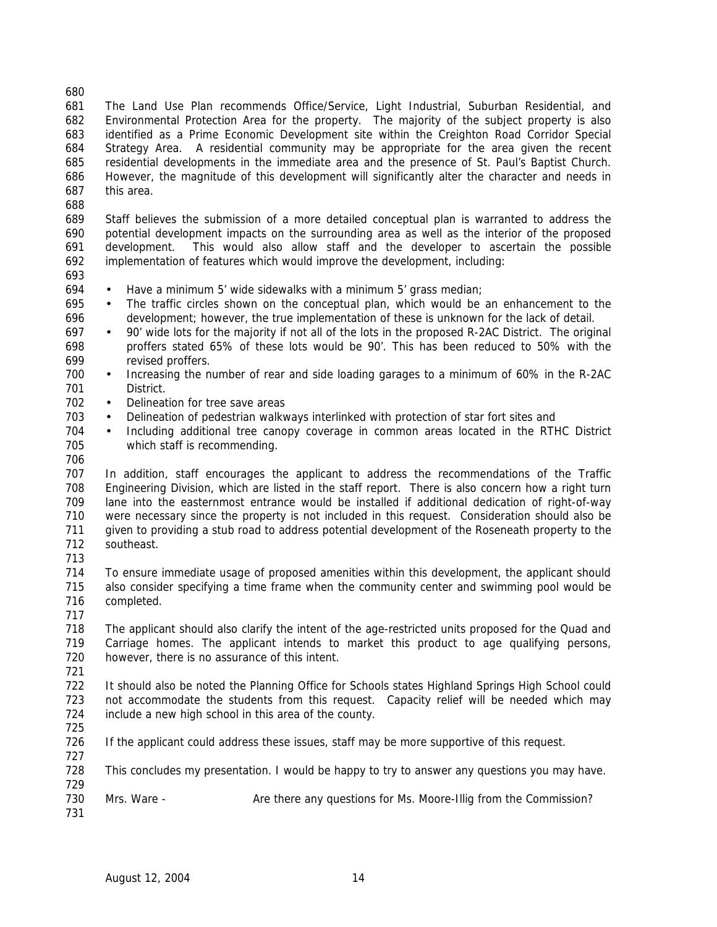The Land Use Plan recommends Office/Service, Light Industrial, Suburban Residential, and Environmental Protection Area for the property. The majority of the subject property is also identified as a Prime Economic Development site within the Creighton Road Corridor Special Strategy Area. A residential community may be appropriate for the area given the recent residential developments in the immediate area and the presence of St. Paul's Baptist Church. However, the magnitude of this development will significantly alter the character and needs in this area.

 Staff believes the submission of a more detailed conceptual plan is warranted to address the potential development impacts on the surrounding area as well as the interior of the proposed development. This would also allow staff and the developer to ascertain the possible implementation of features which would improve the development, including:

- Have a minimum 5' wide sidewalks with a minimum 5' grass median;
- The traffic circles shown on the conceptual plan, which would be an enhancement to the development; however, the true implementation of these is unknown for the lack of detail.
- 90' wide lots for the majority if not all of the lots in the proposed R-2AC District. The original proffers stated 65% of these lots would be 90'. This has been reduced to 50% with the revised proffers.
- Increasing the number of rear and side loading garages to a minimum of 60% in the R-2AC District.
- 702 Delineation for tree save areas
- Delineation of pedestrian walkways interlinked with protection of star fort sites and
- Including additional tree canopy coverage in common areas located in the RTHC District which staff is recommending.
- 

 In addition, staff encourages the applicant to address the recommendations of the Traffic Engineering Division, which are listed in the staff report. There is also concern how a right turn lane into the easternmost entrance would be installed if additional dedication of right-of-way were necessary since the property is not included in this request. Consideration should also be given to providing a stub road to address potential development of the Roseneath property to the southeast.

- 
- To ensure immediate usage of proposed amenities within this development, the applicant should also consider specifying a time frame when the community center and swimming pool would be completed.
- The applicant should also clarify the intent of the age-restricted units proposed for the Quad and Carriage homes. The applicant intends to market this product to age qualifying persons, however, there is no assurance of this intent.
- 

 It should also be noted the Planning Office for Schools states Highland Springs High School could not accommodate the students from this request. Capacity relief will be needed which may include a new high school in this area of the county.

- 
- If the applicant could address these issues, staff may be more supportive of this request.
- 

 This concludes my presentation. I would be happy to try to answer any questions you may have. 

- 730 Mrs. Ware Are there any questions for Ms. Moore-Illig from the Commission?
-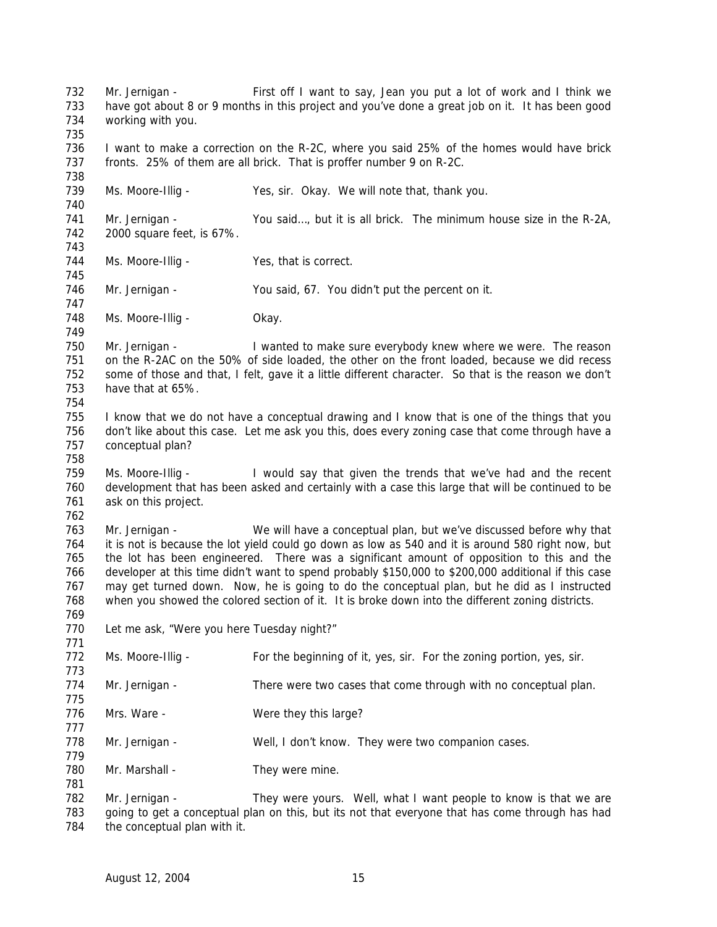Mr. Jernigan - First off I want to say, Jean you put a lot of work and I think we have got about 8 or 9 months in this project and you've done a great job on it. It has been good working with you. I want to make a correction on the R-2C, where you said 25% of the homes would have brick fronts. 25% of them are all brick. That is proffer number 9 on R-2C. Ms. Moore-Illig - Yes, sir. Okay. We will note that, thank you. Mr. Jernigan - You said…, but it is all brick. The minimum house size in the R-2A, 2000 square feet, is 67%. 744 Ms. Moore-Illig - Yes, that is correct. 746 Mr. Jernigan - You said, 67. You didn't put the percent on it. 748 Ms. Moore-Illig - Okay. Mr. Jernigan - I wanted to make sure everybody knew where we were. The reason on the R-2AC on the 50% of side loaded, the other on the front loaded, because we did recess some of those and that, I felt, gave it a little different character. So that is the reason we don't have that at 65%. I know that we do not have a conceptual drawing and I know that is one of the things that you don't like about this case. Let me ask you this, does every zoning case that come through have a conceptual plan? Ms. Moore-Illig - I would say that given the trends that we've had and the recent development that has been asked and certainly with a case this large that will be continued to be ask on this project. Mr. Jernigan - We will have a conceptual plan, but we've discussed before why that it is not is because the lot yield could go down as low as 540 and it is around 580 right now, but the lot has been engineered. There was a significant amount of opposition to this and the developer at this time didn't want to spend probably \$150,000 to \$200,000 additional if this case may get turned down. Now, he is going to do the conceptual plan, but he did as I instructed when you showed the colored section of it. It is broke down into the different zoning districts. 770 Let me ask, "Were you here Tuesday night?" 772 Ms. Moore-Illig - For the beginning of it, yes, sir. For the zoning portion, yes, sir. Mr. Jernigan - There were two cases that come through with no conceptual plan. 776 Mrs. Ware - Were they this large? 778 Mr. Jernigan - Well, I don't know. They were two companion cases. 780 Mr. Marshall - They were mine. 782 Mr. Jernigan - They were yours. Well, what I want people to know is that we are going to get a conceptual plan on this, but its not that everyone that has come through has had 784 the conceptual plan with it.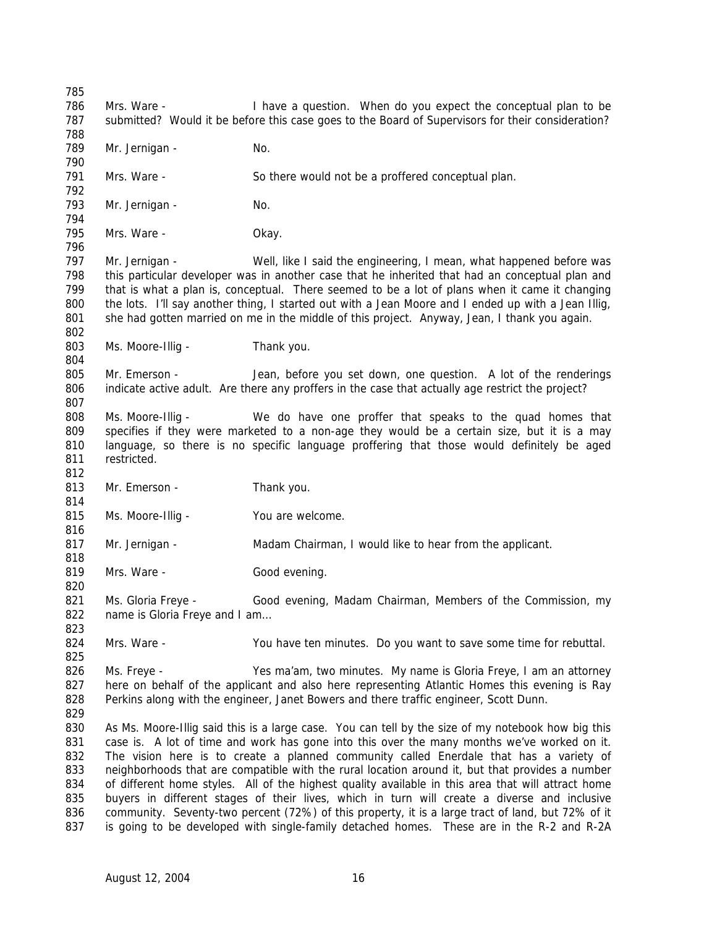Mrs. Ware - I have a question. When do you expect the conceptual plan to be submitted? Would it be before this case goes to the Board of Supervisors for their consideration? 789 Mr. Jernigan - No. Mrs. Ware - So there would not be a proffered conceptual plan. 793 Mr. Jernigan - No. Mrs. Ware - Okay. Mr. Jernigan - Well, like I said the engineering, I mean, what happened before was this particular developer was in another case that he inherited that had an conceptual plan and that is what a plan is, conceptual. There seemed to be a lot of plans when it came it changing the lots. I'll say another thing, I started out with a Jean Moore and I ended up with a Jean Illig, she had gotten married on me in the middle of this project. Anyway, Jean, I thank you again. 803 Ms. Moore-Illig - Thank you. Mr. Emerson - Jean, before you set down, one question. A lot of the renderings indicate active adult. Are there any proffers in the case that actually age restrict the project? Ms. Moore-Illig - We do have one proffer that speaks to the quad homes that specifies if they were marketed to a non-age they would be a certain size, but it is a may language, so there is no specific language proffering that those would definitely be aged restricted. 813 Mr. Emerson - Thank you. 815 Ms. Moore-Illig - You are welcome. Mr. Jernigan - Madam Chairman, I would like to hear from the applicant. 819 Mrs. Ware - Good evening. Ms. Gloria Freye - Good evening, Madam Chairman, Members of the Commission, my 822 name is Gloria Freye and I am... Mrs. Ware - You have ten minutes. Do you want to save some time for rebuttal. Ms. Freye - Yes ma'am, two minutes. My name is Gloria Freye, I am an attorney here on behalf of the applicant and also here representing Atlantic Homes this evening is Ray Perkins along with the engineer, Janet Bowers and there traffic engineer, Scott Dunn. As Ms. Moore-Illig said this is a large case. You can tell by the size of my notebook how big this case is. A lot of time and work has gone into this over the many months we've worked on it. The vision here is to create a planned community called Enerdale that has a variety of neighborhoods that are compatible with the rural location around it, but that provides a number of different home styles. All of the highest quality available in this area that will attract home buyers in different stages of their lives, which in turn will create a diverse and inclusive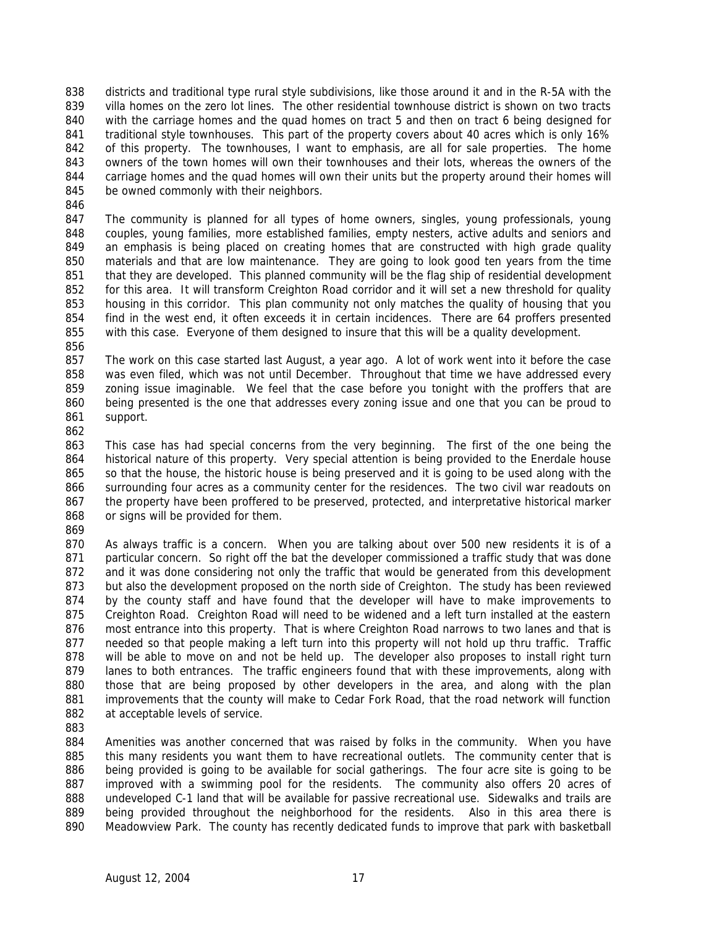districts and traditional type rural style subdivisions, like those around it and in the R-5A with the villa homes on the zero lot lines. The other residential townhouse district is shown on two tracts with the carriage homes and the quad homes on tract 5 and then on tract 6 being designed for 841 traditional style townhouses. This part of the property covers about 40 acres which is only 16% 842 of this property. The townhouses, I want to emphasis, are all for sale properties. The home owners of the town homes will own their townhouses and their lots, whereas the owners of the carriage homes and the quad homes will own their units but the property around their homes will 845 be owned commonly with their neighbors.

 The community is planned for all types of home owners, singles, young professionals, young couples, young families, more established families, empty nesters, active adults and seniors and an emphasis is being placed on creating homes that are constructed with high grade quality materials and that are low maintenance. They are going to look good ten years from the time that they are developed. This planned community will be the flag ship of residential development for this area. It will transform Creighton Road corridor and it will set a new threshold for quality housing in this corridor. This plan community not only matches the quality of housing that you find in the west end, it often exceeds it in certain incidences. There are 64 proffers presented with this case. Everyone of them designed to insure that this will be a quality development.

857 The work on this case started last August, a year ago. A lot of work went into it before the case was even filed, which was not until December. Throughout that time we have addressed every zoning issue imaginable. We feel that the case before you tonight with the proffers that are being presented is the one that addresses every zoning issue and one that you can be proud to support.

863 This case has had special concerns from the very beginning. The first of the one being the historical nature of this property. Very special attention is being provided to the Enerdale house so that the house, the historic house is being preserved and it is going to be used along with the surrounding four acres as a community center for the residences. The two civil war readouts on 867 the property have been proffered to be preserved, protected, and interpretative historical marker or signs will be provided for them.

 As always traffic is a concern. When you are talking about over 500 new residents it is of a particular concern. So right off the bat the developer commissioned a traffic study that was done 872 and it was done considering not only the traffic that would be generated from this development but also the development proposed on the north side of Creighton. The study has been reviewed by the county staff and have found that the developer will have to make improvements to Creighton Road. Creighton Road will need to be widened and a left turn installed at the eastern most entrance into this property. That is where Creighton Road narrows to two lanes and that is needed so that people making a left turn into this property will not hold up thru traffic. Traffic 878 will be able to move on and not be held up. The developer also proposes to install right turn lanes to both entrances. The traffic engineers found that with these improvements, along with those that are being proposed by other developers in the area, and along with the plan improvements that the county will make to Cedar Fork Road, that the road network will function 882 at acceptable levels of service.

 Amenities was another concerned that was raised by folks in the community. When you have this many residents you want them to have recreational outlets. The community center that is being provided is going to be available for social gatherings. The four acre site is going to be improved with a swimming pool for the residents. The community also offers 20 acres of 888 undeveloped C-1 land that will be available for passive recreational use. Sidewalks and trails are being provided throughout the neighborhood for the residents. Also in this area there is Meadowview Park. The county has recently dedicated funds to improve that park with basketball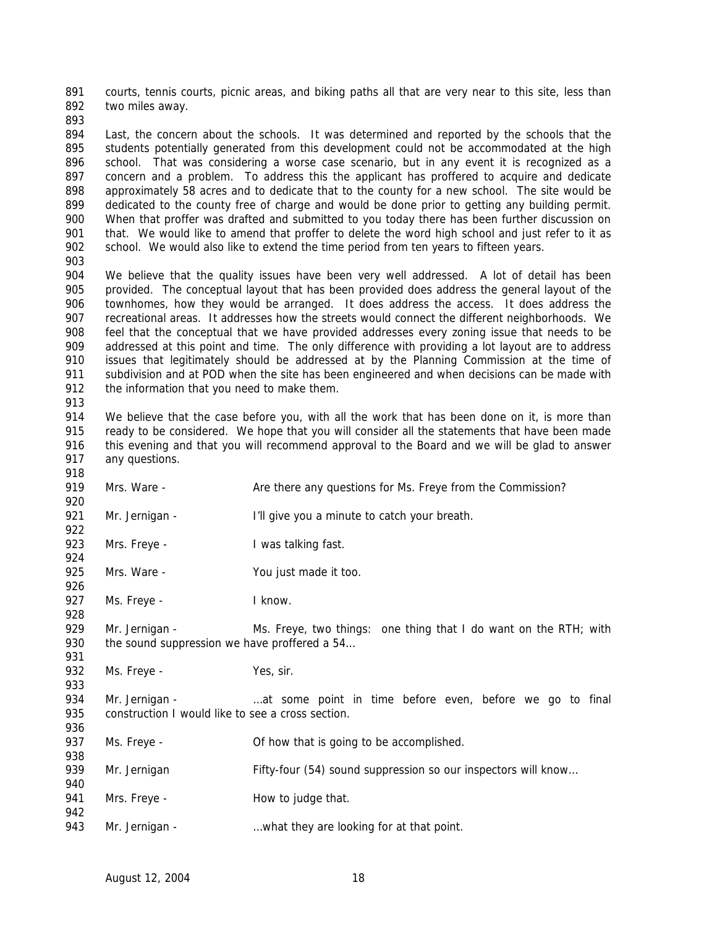courts, tennis courts, picnic areas, and biking paths all that are very near to this site, less than two miles away.

894 Last, the concern about the schools. It was determined and reported by the schools that the students potentially generated from this development could not be accommodated at the high school. That was considering a worse case scenario, but in any event it is recognized as a concern and a problem. To address this the applicant has proffered to acquire and dedicate approximately 58 acres and to dedicate that to the county for a new school. The site would be dedicated to the county free of charge and would be done prior to getting any building permit. When that proffer was drafted and submitted to you today there has been further discussion on 901 that. We would like to amend that proffer to delete the word high school and just refer to it as school. We would also like to extend the time period from ten years to fifteen years.

 We believe that the quality issues have been very well addressed. A lot of detail has been provided. The conceptual layout that has been provided does address the general layout of the townhomes, how they would be arranged. It does address the access. It does address the recreational areas. It addresses how the streets would connect the different neighborhoods. We feel that the conceptual that we have provided addresses every zoning issue that needs to be addressed at this point and time. The only difference with providing a lot layout are to address 910 issues that legitimately should be addressed at by the Planning Commission at the time of subdivision and at POD when the site has been engineered and when decisions can be made with 912 the information that you need to make them.

914 We believe that the case before you, with all the work that has been done on it, is more than 915 ready to be considered. We hope that you will consider all the statements that have been made this evening and that you will recommend approval to the Board and we will be glad to answer any questions.

- 919 Mrs. Ware Are there any questions for Ms. Freye from the Commission?
- Mr. Jernigan - I'll give you a minute to catch your breath.
- 923 Mrs. Freye I was talking fast.
- 925 Mrs. Ware You just made it too.
- 927 Ms. Freye Iknow.
- 929 Mr. Jernigan Ms. Freye, two things: one thing that I do want on the RTH; with 930 the sound suppression we have proffered a 54...
- 932 Ms. Freye Yes, sir.
- 934 Mr. Jernigan ...at some point in time before even, before we go to final 935 construction I would like to see a cross section.
- 937 Ms. Freye **Of how that is going to be accomplished.**
- 939 Mr. Jernigan Fifty-four (54) sound suppression so our inspectors will know...
- 941 Mrs. Freye How to judge that.
- 943 Mr. Jernigan - what they are looking for at that point.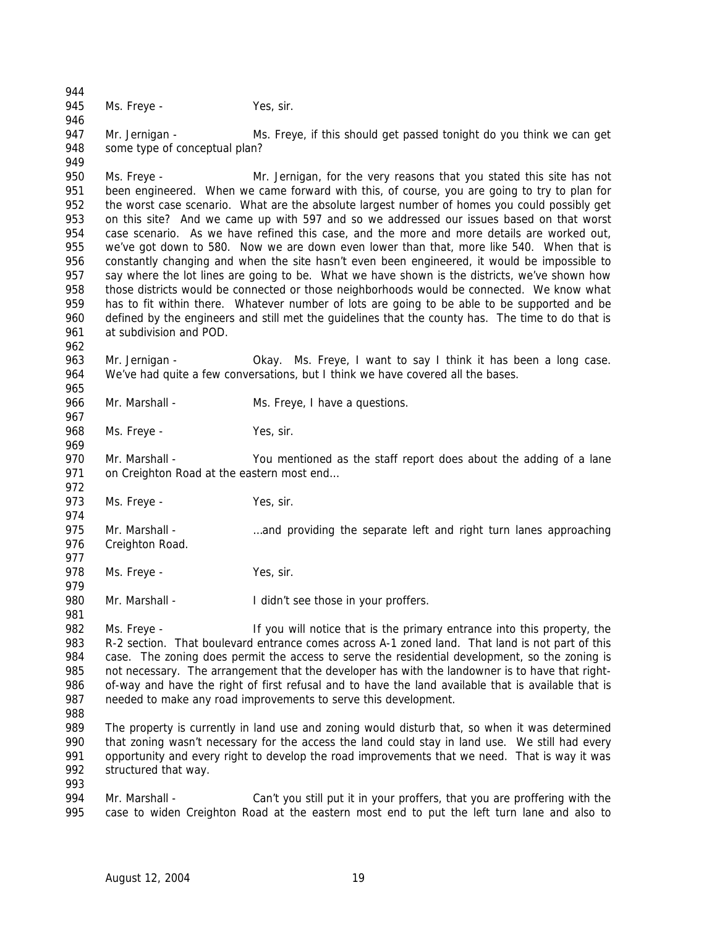945 Ms. Freye - Yes, sir. 947 Mr. Jernigan - Ms. Freye, if this should get passed tonight do you think we can get

some type of conceptual plan?

 Ms. Freye - Mr. Jernigan, for the very reasons that you stated this site has not been engineered. When we came forward with this, of course, you are going to try to plan for the worst case scenario. What are the absolute largest number of homes you could possibly get on this site? And we came up with 597 and so we addressed our issues based on that worst case scenario. As we have refined this case, and the more and more details are worked out, we've got down to 580. Now we are down even lower than that, more like 540. When that is constantly changing and when the site hasn't even been engineered, it would be impossible to say where the lot lines are going to be. What we have shown is the districts, we've shown how those districts would be connected or those neighborhoods would be connected. We know what has to fit within there. Whatever number of lots are going to be able to be supported and be defined by the engineers and still met the guidelines that the county has. The time to do that is at subdivision and POD.

 963 Mr. Jernigan - Okay. Ms. Freye, I want to say I think it has been a long case. We've had quite a few conversations, but I think we have covered all the bases.

966 Mr. Marshall - Ms. Freye, I have a questions.

968 Ms. Freye - Yes, sir.

 Mr. Marshall - You mentioned as the staff report does about the adding of a lane 971 on Creighton Road at the eastern most end... 

973 Ms. Freye - Yes, sir.

 Mr. Marshall - …and providing the separate left and right turn lanes approaching Creighton Road.

978 Ms. Freye - Yes, sir.

980 Mr. Marshall - I didn't see those in your proffers.

 Ms. Freye - If you will notice that is the primary entrance into this property, the R-2 section. That boulevard entrance comes across A-1 zoned land. That land is not part of this 984 case. The zoning does permit the access to serve the residential development, so the zoning is not necessary. The arrangement that the developer has with the landowner is to have that right- of-way and have the right of first refusal and to have the land available that is available that is needed to make any road improvements to serve this development.

989 The property is currently in land use and zoning would disturb that, so when it was determined that zoning wasn't necessary for the access the land could stay in land use. We still had every opportunity and every right to develop the road improvements that we need. That is way it was structured that way. 

994 Mr. Marshall - Can't you still put it in your proffers, that you are proffering with the case to widen Creighton Road at the eastern most end to put the left turn lane and also to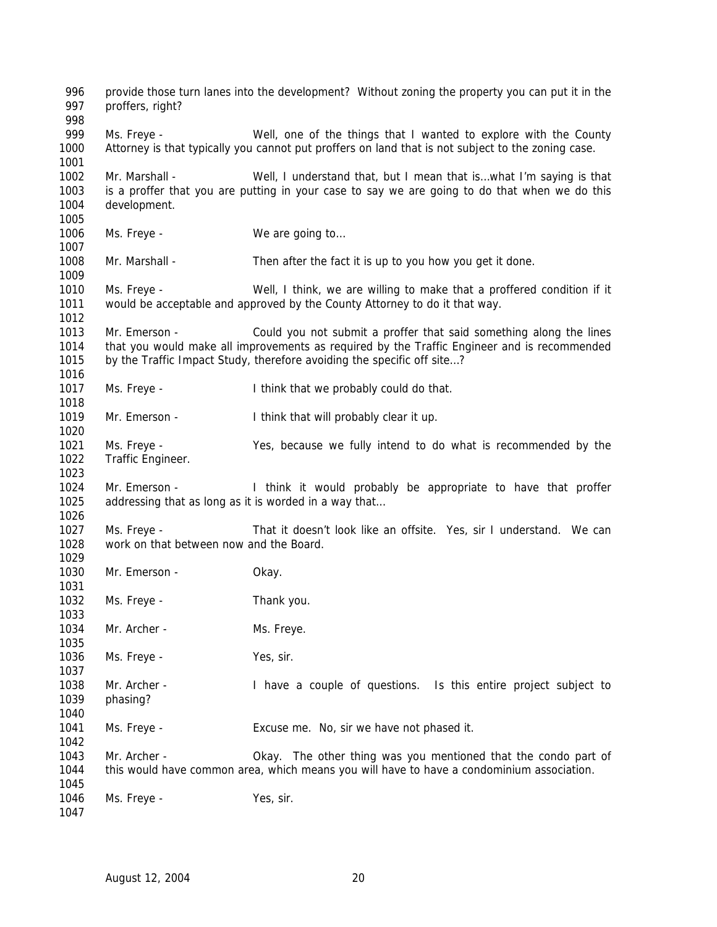provide those turn lanes into the development? Without zoning the property you can put it in the proffers, right? 999 Ms. Freye - Well, one of the things that I wanted to explore with the County Attorney is that typically you cannot put proffers on land that is not subject to the zoning case. Mr. Marshall - Well, I understand that, but I mean that is…what I'm saying is that is a proffer that you are putting in your case to say we are going to do that when we do this development. 1006 Ms. Freye - We are going to... Mr. Marshall - Then after the fact it is up to you how you get it done. Ms. Freye - Well, I think, we are willing to make that a proffered condition if it would be acceptable and approved by the County Attorney to do it that way. 1013 Mr. Emerson - Could you not submit a proffer that said something along the lines that you would make all improvements as required by the Traffic Engineer and is recommended 1015 by the Traffic Impact Study, therefore avoiding the specific off site...? Ms. Freye - I think that we probably could do that. 1019 Mr. Emerson - I think that will probably clear it up. Ms. Freye - Yes, because we fully intend to do what is recommended by the Traffic Engineer. Mr. Emerson - I think it would probably be appropriate to have that proffer addressing that as long as it is worded in a way that… Ms. Freye - That it doesn't look like an offsite. Yes, sir I understand. We can work on that between now and the Board. 1030 Mr. Emerson - Okay. Ms. Freye - Thank you. 1034 Mr. Archer - Ms. Freye. 1036 Ms. Freye - Yes, sir. Mr. Archer - I have a couple of questions. Is this entire project subject to phasing? Ms. Freye - Excuse me. No, sir we have not phased it. Mr. Archer - Okay. The other thing was you mentioned that the condo part of this would have common area, which means you will have to have a condominium association. 1046 Ms. Freye - Yes, sir.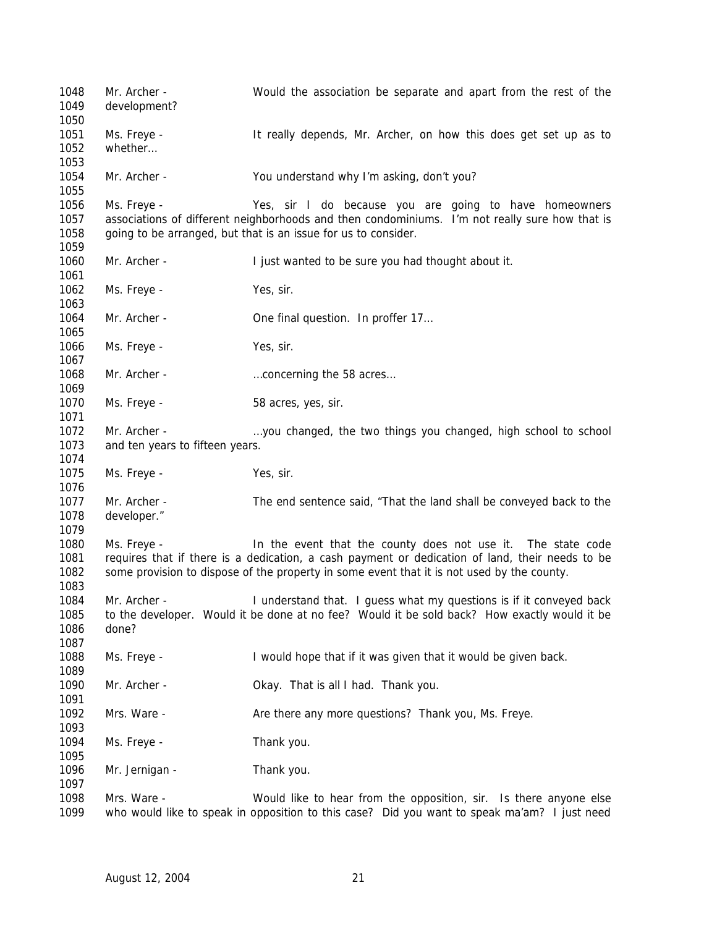Mr. Archer - Would the association be separate and apart from the rest of the development? Ms. Freye - It really depends, Mr. Archer, on how this does get set up as to whether… Mr. Archer - You understand why I'm asking, don't you? Ms. Freye - Yes, sir I do because you are going to have homeowners associations of different neighborhoods and then condominiums. I'm not really sure how that is 1058 going to be arranged, but that is an issue for us to consider. Mr. Archer - I just wanted to be sure you had thought about it. 1062 Ms. Freye - Yes, sir. 1064 Mr. Archer - One final question. In proffer 17... 1066 Ms. Freye - Yes, sir. 1068 Mr. Archer - match metal metal concerning the 58 acres... 1070 Ms. Freye - 58 acres, yes, sir. Mr. Archer - …you changed, the two things you changed, high school to school and ten years to fifteen years. 1075 Ms. Freye - Yes, sir. 1077 Mr. Archer - The end sentence said, "That the land shall be conveyed back to the developer." Ms. Freye - In the event that the county does not use it. The state code requires that if there is a dedication, a cash payment or dedication of land, their needs to be some provision to dispose of the property in some event that it is not used by the county. Mr. Archer - I understand that. I guess what my questions is if it conveyed back to the developer. Would it be done at no fee? Would it be sold back? How exactly would it be done? 1088 Ms. Freye - I would hope that if it was given that it would be given back. Mr. Archer - Okay. That is all I had. Thank you. 1092 Mrs. Ware - Are there any more questions? Thank you, Ms. Freye. Ms. Freye - Thank you. 1096 Mr. Jernigan - Thank you. Mrs. Ware - Would like to hear from the opposition, sir. Is there anyone else who would like to speak in opposition to this case? Did you want to speak ma'am? I just need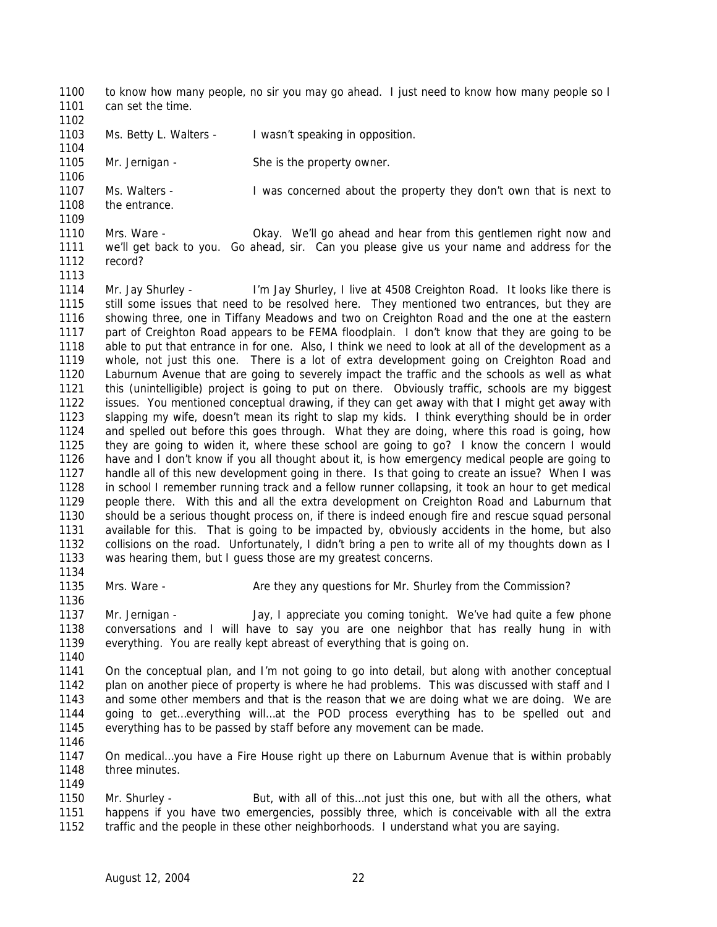to know how many people, no sir you may go ahead. I just need to know how many people so I 1101 can set the time.

- Ms. Betty L. Walters - I wasn't speaking in opposition. 1105 Mr. Jernigan - She is the property owner. Ms. Walters - I was concerned about the property they don't own that is next to the entrance.
- Mrs. Ware Okay. We'll go ahead and hear from this gentlemen right now and we'll get back to you. Go ahead, sir. Can you please give us your name and address for the record?
- Mr. Jay Shurley I'm Jay Shurley, I live at 4508 Creighton Road. It looks like there is still some issues that need to be resolved here. They mentioned two entrances, but they are showing three, one in Tiffany Meadows and two on Creighton Road and the one at the eastern part of Creighton Road appears to be FEMA floodplain. I don't know that they are going to be able to put that entrance in for one. Also, I think we need to look at all of the development as a whole, not just this one. There is a lot of extra development going on Creighton Road and Laburnum Avenue that are going to severely impact the traffic and the schools as well as what this (unintelligible) project is going to put on there. Obviously traffic, schools are my biggest issues. You mentioned conceptual drawing, if they can get away with that I might get away with slapping my wife, doesn't mean its right to slap my kids. I think everything should be in order and spelled out before this goes through. What they are doing, where this road is going, how they are going to widen it, where these school are going to go? I know the concern I would have and I don't know if you all thought about it, is how emergency medical people are going to handle all of this new development going in there. Is that going to create an issue? When I was in school I remember running track and a fellow runner collapsing, it took an hour to get medical people there. With this and all the extra development on Creighton Road and Laburnum that should be a serious thought process on, if there is indeed enough fire and rescue squad personal available for this. That is going to be impacted by, obviously accidents in the home, but also collisions on the road. Unfortunately, I didn't bring a pen to write all of my thoughts down as I was hearing them, but I guess those are my greatest concerns.

 Mrs. Ware - Are they any questions for Mr. Shurley from the Commission? 

 Mr. Jernigan - Jay, I appreciate you coming tonight. We've had quite a few phone conversations and I will have to say you are one neighbor that has really hung in with everything. You are really kept abreast of everything that is going on.

 On the conceptual plan, and I'm not going to go into detail, but along with another conceptual plan on another piece of property is where he had problems. This was discussed with staff and I and some other members and that is the reason that we are doing what we are doing. We are going to get…everything will…at the POD process everything has to be spelled out and everything has to be passed by staff before any movement can be made.

 On medical…you have a Fire House right up there on Laburnum Avenue that is within probably three minutes. 

1150 Mr. Shurley - But, with all of this...not just this one, but with all the others, what happens if you have two emergencies, possibly three, which is conceivable with all the extra traffic and the people in these other neighborhoods. I understand what you are saying.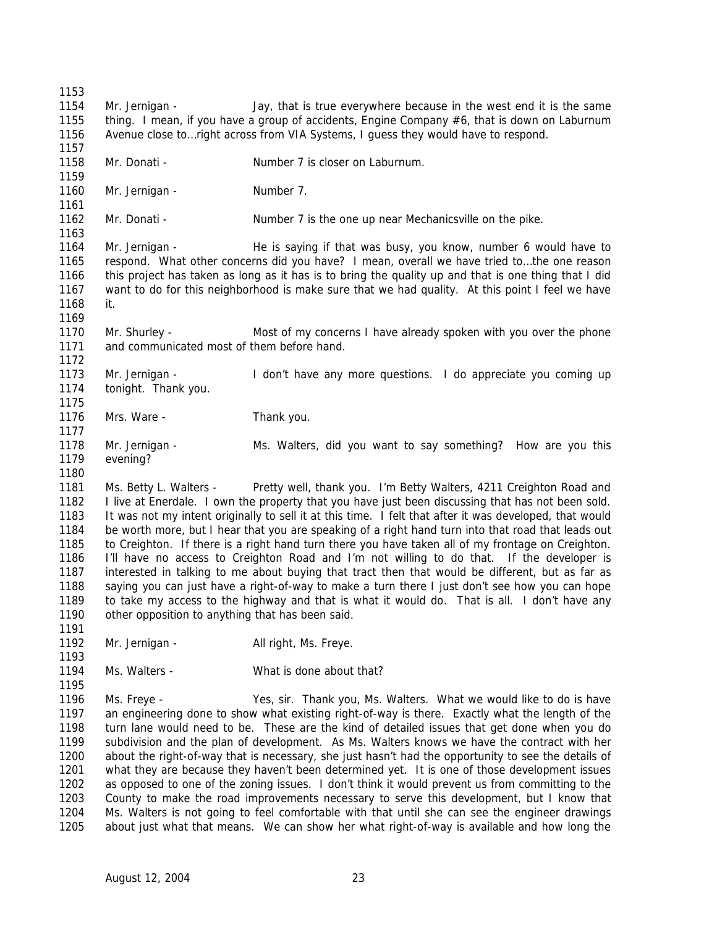Mr. Jernigan - Jay, that is true everywhere because in the west end it is the same 1155 thing. I mean, if you have a group of accidents, Engine Company #6, that is down on Laburnum Avenue close to…right across from VIA Systems, I guess they would have to respond. 1158 Mr. Donati - Number 7 is closer on Laburnum. 1160 Mr. Jernigan - Number 7. 1162 Mr. Donati - Number 7 is the one up near Mechanicsville on the pike. Mr. Jernigan - He is saying if that was busy, you know, number 6 would have to respond. What other concerns did you have? I mean, overall we have tried to…the one reason this project has taken as long as it has is to bring the quality up and that is one thing that I did want to do for this neighborhood is make sure that we had quality. At this point I feel we have it. Mr. Shurley - Most of my concerns I have already spoken with you over the phone and communicated most of them before hand. Mr. Jernigan - I don't have any more questions. I do appreciate you coming up tonight. Thank you. 1176 Mrs. Ware - Thank you. 1178 Mr. Jernigan - Ms. Walters, did you want to say something? How are you this 1179 evening? evening? Ms. Betty L. Walters - Pretty well, thank you. I'm Betty Walters, 4211 Creighton Road and I live at Enerdale. I own the property that you have just been discussing that has not been sold. It was not my intent originally to sell it at this time. I felt that after it was developed, that would be worth more, but I hear that you are speaking of a right hand turn into that road that leads out to Creighton. If there is a right hand turn there you have taken all of my frontage on Creighton. I'll have no access to Creighton Road and I'm not willing to do that. If the developer is interested in talking to me about buying that tract then that would be different, but as far as saying you can just have a right-of-way to make a turn there I just don't see how you can hope to take my access to the highway and that is what it would do. That is all. I don't have any other opposition to anything that has been said. 1192 Mr. Jernigan - All right, Ms. Freye. Ms. Walters - What is done about that? Ms. Freye - Yes, sir. Thank you, Ms. Walters. What we would like to do is have an engineering done to show what existing right-of-way is there. Exactly what the length of the turn lane would need to be. These are the kind of detailed issues that get done when you do subdivision and the plan of development. As Ms. Walters knows we have the contract with her about the right-of-way that is necessary, she just hasn't had the opportunity to see the details of what they are because they haven't been determined yet. It is one of those development issues as opposed to one of the zoning issues. I don't think it would prevent us from committing to the County to make the road improvements necessary to serve this development, but I know that Ms. Walters is not going to feel comfortable with that until she can see the engineer drawings about just what that means. We can show her what right-of-way is available and how long the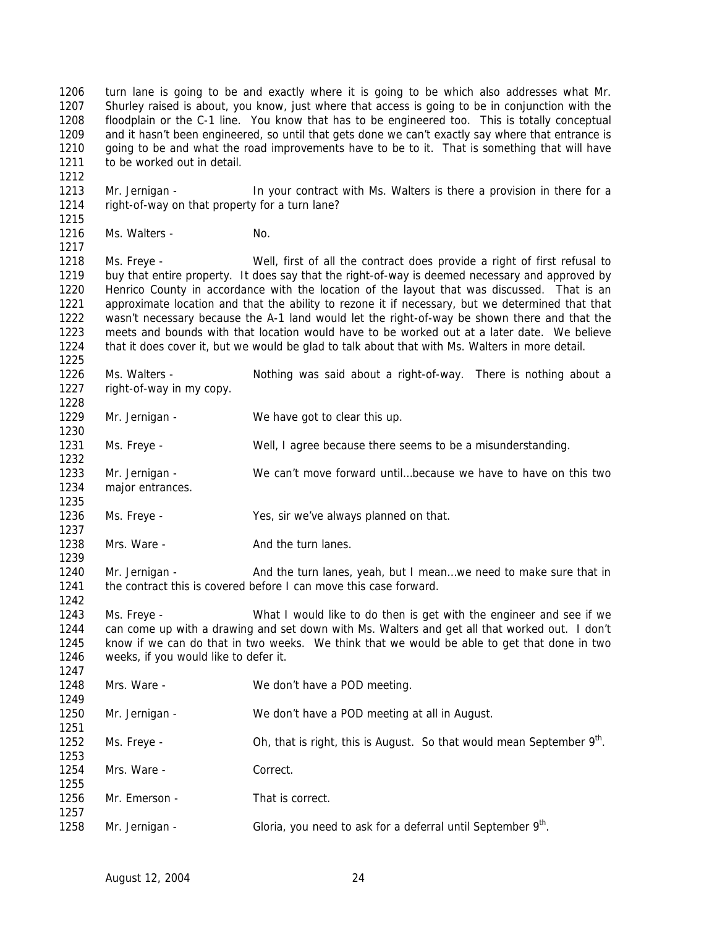turn lane is going to be and exactly where it is going to be which also addresses what Mr. Shurley raised is about, you know, just where that access is going to be in conjunction with the floodplain or the C-1 line. You know that has to be engineered too. This is totally conceptual and it hasn't been engineered, so until that gets done we can't exactly say where that entrance is going to be and what the road improvements have to be to it. That is something that will have 1211 to be worked out in detail.

 Mr. Jernigan - In your contract with Ms. Walters is there a provision in there for a right-of-way on that property for a turn lane?

1216 Ms. Walters - No.

 Ms. Freye - Well, first of all the contract does provide a right of first refusal to buy that entire property. It does say that the right-of-way is deemed necessary and approved by Henrico County in accordance with the location of the layout that was discussed. That is an approximate location and that the ability to rezone it if necessary, but we determined that that wasn't necessary because the A-1 land would let the right-of-way be shown there and that the meets and bounds with that location would have to be worked out at a later date. We believe that it does cover it, but we would be glad to talk about that with Ms. Walters in more detail. 

 Ms. Walters - Nothing was said about a right-of-way. There is nothing about a right-of-way in my copy.

1229 Mr. Jernigan - We have got to clear this up. Ms. Freye - Well, I agree because there seems to be a misunderstanding.

 Mr. Jernigan - We can't move forward until…because we have to have on this two major entrances.

Ms. Freye - Yes, sir we've always planned on that.

1238 Mrs. Ware - And the turn lanes.

1240 Mr. Jernigan - And the turn lanes, yeah, but I mean...we need to make sure that in 1241 the contract this is covered before I can move this case forward.

 Ms. Freye - What I would like to do then is get with the engineer and see if we can come up with a drawing and set down with Ms. Walters and get all that worked out. I don't know if we can do that in two weeks. We think that we would be able to get that done in two weeks, if you would like to defer it. 

 Mrs. Ware - We don't have a POD meeting. Mr. Jernigan - We don't have a POD meeting at all in August. 1252 Ms. Freye -  $\blacksquare$  Oh, that is right, this is August. So that would mean September  $9<sup>th</sup>$ . Mrs. Ware - Correct. 1256 Mr. Emerson - That is correct. 1258 Mr. Jernigan - Gloria, you need to ask for a deferral until September  $9<sup>th</sup>$ .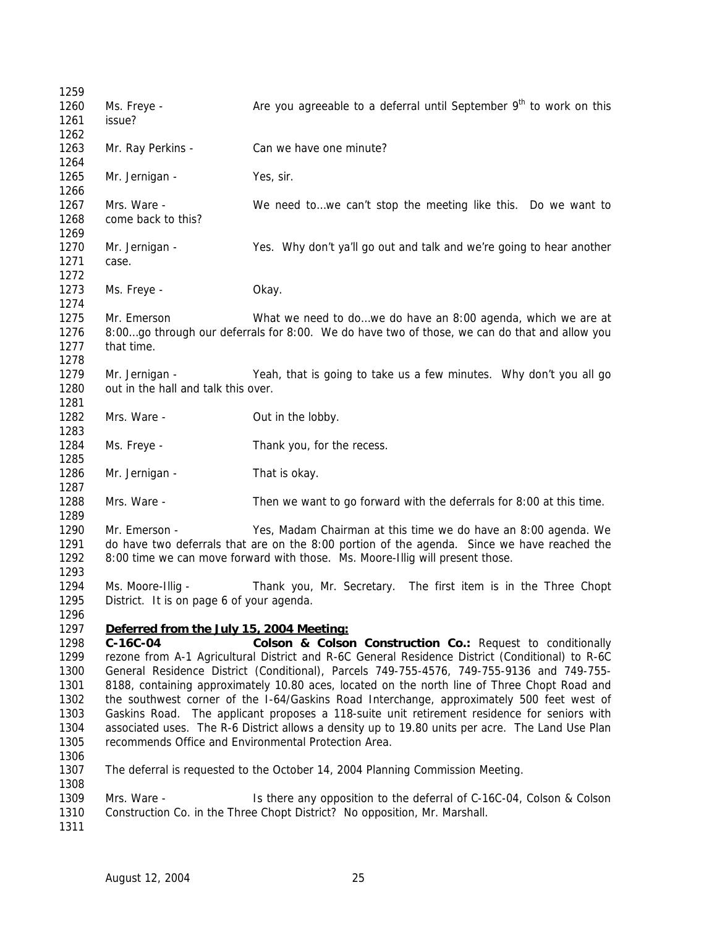| 1259                         |                                                                |                                                                                                                                                                                                                                                |
|------------------------------|----------------------------------------------------------------|------------------------------------------------------------------------------------------------------------------------------------------------------------------------------------------------------------------------------------------------|
| 1260<br>1261                 | Ms. Freye -<br>issue?                                          | Are you agreeable to a deferral until September $9th$ to work on this                                                                                                                                                                          |
| 1262<br>1263<br>1264         | Mr. Ray Perkins -                                              | Can we have one minute?                                                                                                                                                                                                                        |
| 1265<br>1266                 | Mr. Jernigan -                                                 | Yes, sir.                                                                                                                                                                                                                                      |
| 1267<br>1268<br>1269         | Mrs. Ware -<br>come back to this?                              | We need to we can't stop the meeting like this. Do we want to                                                                                                                                                                                  |
| 1270<br>1271<br>1272         | Mr. Jernigan -<br>case.                                        | Yes. Why don't ya'll go out and talk and we're going to hear another                                                                                                                                                                           |
| 1273<br>1274                 | Ms. Freye -                                                    | Okay.                                                                                                                                                                                                                                          |
| 1275<br>1276<br>1277<br>1278 | Mr. Emerson<br>that time.                                      | What we need to dowe do have an 8:00 agenda, which we are at<br>8:00go through our deferrals for 8:00. We do have two of those, we can do that and allow you                                                                                   |
| 1279<br>1280<br>1281         | Mr. Jernigan -<br>out in the hall and talk this over.          | Yeah, that is going to take us a few minutes. Why don't you all go                                                                                                                                                                             |
| 1282<br>1283                 | Mrs. Ware -                                                    | Out in the lobby.                                                                                                                                                                                                                              |
| 1284<br>1285                 | Ms. Freye -                                                    | Thank you, for the recess.                                                                                                                                                                                                                     |
| 1286<br>1287                 | Mr. Jernigan -                                                 | That is okay.                                                                                                                                                                                                                                  |
| 1288<br>1289                 | Mrs. Ware -                                                    | Then we want to go forward with the deferrals for 8:00 at this time.                                                                                                                                                                           |
| 1290<br>1291<br>1292<br>1293 | Mr. Emerson -                                                  | Yes, Madam Chairman at this time we do have an 8:00 agenda. We<br>do have two deferrals that are on the 8:00 portion of the agenda. Since we have reached the<br>8:00 time we can move forward with those. Ms. Moore-Illig will present those. |
| 1294<br>1295<br>1296         | Ms. Moore-Illig -<br>District. It is on page 6 of your agenda. | Thank you, Mr. Secretary. The first item is in the Three Chopt                                                                                                                                                                                 |
| 1297                         | Deferred from the July 15, 2004 Meeting:                       |                                                                                                                                                                                                                                                |
| 1298                         | $C-16C-04$                                                     | Colson & Colson Construction Co.: Request to conditionally                                                                                                                                                                                     |
| 1299                         |                                                                | rezone from A-1 Agricultural District and R-6C General Residence District (Conditional) to R-6C                                                                                                                                                |
| 1300                         |                                                                | General Residence District (Conditional), Parcels 749-755-4576, 749-755-9136 and 749-755-                                                                                                                                                      |
| 1301                         |                                                                | 8188, containing approximately 10.80 aces, located on the north line of Three Chopt Road and                                                                                                                                                   |
| 1302                         |                                                                | the southwest corner of the I-64/Gaskins Road Interchange, approximately 500 feet west of                                                                                                                                                      |
| 1303<br>1304                 |                                                                | Gaskins Road. The applicant proposes a 118-suite unit retirement residence for seniors with                                                                                                                                                    |
| 1305<br>1306                 |                                                                | associated uses. The R-6 District allows a density up to 19.80 units per acre. The Land Use Plan<br>recommends Office and Environmental Protection Area.                                                                                       |
| 1307<br>1308                 |                                                                | The deferral is requested to the October 14, 2004 Planning Commission Meeting.                                                                                                                                                                 |
| 1309                         | Mrs. Ware -                                                    | Is there any opposition to the deferral of C-16C-04, Colson & Colson                                                                                                                                                                           |
| 1310<br>1311                 |                                                                | Construction Co. in the Three Chopt District? No opposition, Mr. Marshall.                                                                                                                                                                     |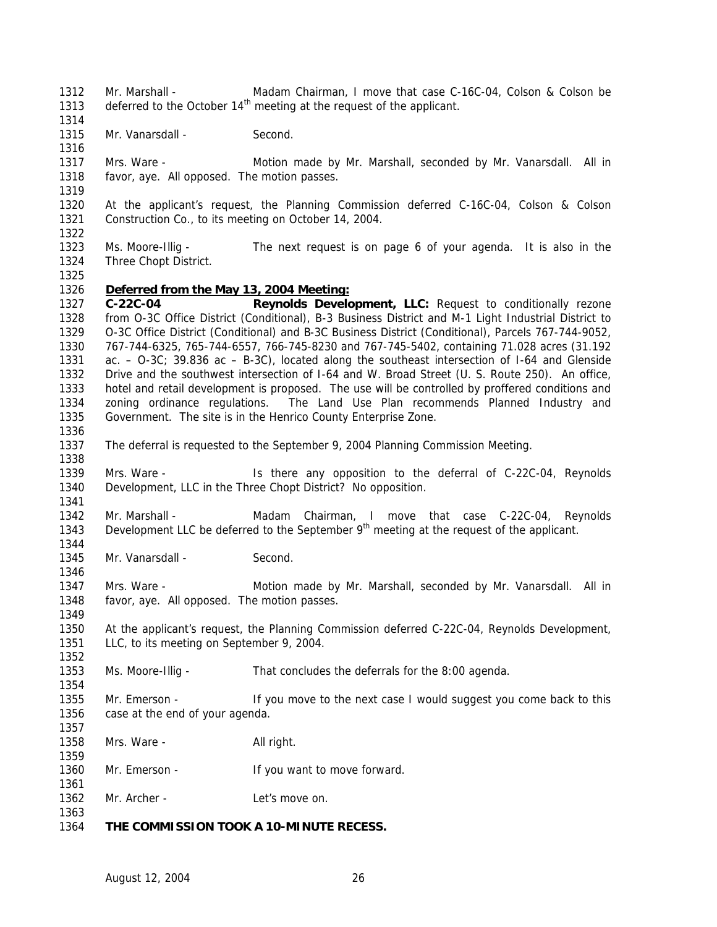Mr. Marshall - Madam Chairman, I move that case C-16C-04, Colson & Colson be 1313 deferred to the October  $14<sup>th</sup>$  meeting at the request of the applicant.

1315 Mr. Vanarsdall - Second.

 Mrs. Ware - Motion made by Mr. Marshall, seconded by Mr. Vanarsdall. All in favor, aye. All opposed. The motion passes.

 At the applicant's request, the Planning Commission deferred C-16C-04, Colson & Colson Construction Co., to its meeting on October 14, 2004. 

 Ms. Moore-Illig - The next request is on page 6 of your agenda. It is also in the Three Chopt District.

## *Deferred from the May 13, 2004 Meeting:*

 **C-22C-04 Reynolds Development, LLC:** Request to conditionally rezone from O-3C Office District (Conditional), B-3 Business District and M-1 Light Industrial District to O-3C Office District (Conditional) and B-3C Business District (Conditional), Parcels 767-744-9052, 767-744-6325, 765-744-6557, 766-745-8230 and 767-745-5402, containing 71.028 acres (31.192 ac. – O-3C; 39.836 ac – B-3C), located along the southeast intersection of I-64 and Glenside Drive and the southwest intersection of I-64 and W. Broad Street (U. S. Route 250). An office, hotel and retail development is proposed. The use will be controlled by proffered conditions and zoning ordinance regulations. The Land Use Plan recommends Planned Industry and Government. The site is in the Henrico County Enterprise Zone. 

The deferral is requested to the September 9, 2004 Planning Commission Meeting.

 Mrs. Ware - Is there any opposition to the deferral of C-22C-04, Reynolds Development, LLC in the Three Chopt District? No opposition. 

1342 Mr. Marshall - Madam Chairman, I move that case C-22C-04. Revnolds 1343 Development LLC be deferred to the September  $9<sup>th</sup>$  meeting at the request of the applicant. 

1345 Mr. Vanarsdall - Second.

 Mrs. Ware - Motion made by Mr. Marshall, seconded by Mr. Vanarsdall. All in favor, aye. All opposed. The motion passes.

 At the applicant's request, the Planning Commission deferred C-22C-04, Reynolds Development, LLC, to its meeting on September 9, 2004.

Ms. Moore-Illig - That concludes the deferrals for the 8:00 agenda.

 Mr. Emerson - If you move to the next case I would suggest you come back to this case at the end of your agenda.

1358 Mrs. Ware - All right.

1360 Mr. Emerson - If you want to move forward.

1362 Mr. Archer - Let's move on.

## **THE COMMISSION TOOK A 10-MINUTE RECESS.**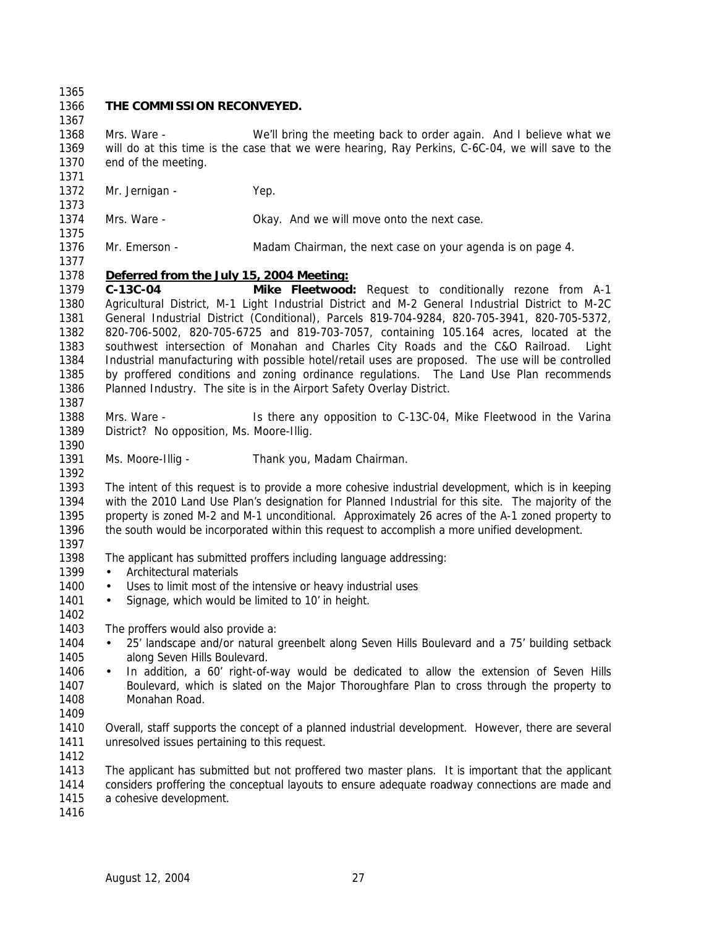**THE COMMISSION RECONVEYED.**  Mrs. Ware - We'll bring the meeting back to order again. And I believe what we will do at this time is the case that we were hearing, Ray Perkins, C-6C-04, we will save to the end of the meeting. 1372 Mr. Jernigan - Yep. Mrs. Ware - Okay. And we will move onto the next case. Mr. Emerson - Madam Chairman, the next case on your agenda is on page 4. *Deferred from the July 15, 2004 Meeting:* **C-13C-04 Mike Fleetwood:** Request to conditionally rezone from A-1 Agricultural District, M-1 Light Industrial District and M-2 General Industrial District to M-2C General Industrial District (Conditional), Parcels 819-704-9284, 820-705-3941, 820-705-5372, 820-706-5002, 820-705-6725 and 819-703-7057, containing 105.164 acres, located at the southwest intersection of Monahan and Charles City Roads and the C&O Railroad. Light Industrial manufacturing with possible hotel/retail uses are proposed. The use will be controlled by proffered conditions and zoning ordinance regulations. The Land Use Plan recommends Planned Industry. The site is in the Airport Safety Overlay District. Mrs. Ware - Is there any opposition to C-13C-04, Mike Fleetwood in the Varina District? No opposition, Ms. Moore-Illig. Ms. Moore-Illig - Thank you, Madam Chairman. The intent of this request is to provide a more cohesive industrial development, which is in keeping with the 2010 Land Use Plan's designation for Planned Industrial for this site. The majority of the property is zoned M-2 and M-1 unconditional. Approximately 26 acres of the A-1 zoned property to the south would be incorporated within this request to accomplish a more unified development. The applicant has submitted proffers including language addressing: 1399 • Architectural materials 1400 • Uses to limit most of the intensive or heavy industrial uses 1401 • Signage, which would be limited to 10' in height. The proffers would also provide a: • 25' landscape and/or natural greenbelt along Seven Hills Boulevard and a 75' building setback along Seven Hills Boulevard. • In addition, a 60' right-of-way would be dedicated to allow the extension of Seven Hills Boulevard, which is slated on the Major Thoroughfare Plan to cross through the property to Monahan Road. Overall, staff supports the concept of a planned industrial development. However, there are several unresolved issues pertaining to this request. The applicant has submitted but not proffered two master plans. It is important that the applicant considers proffering the conceptual layouts to ensure adequate roadway connections are made and a cohesive development.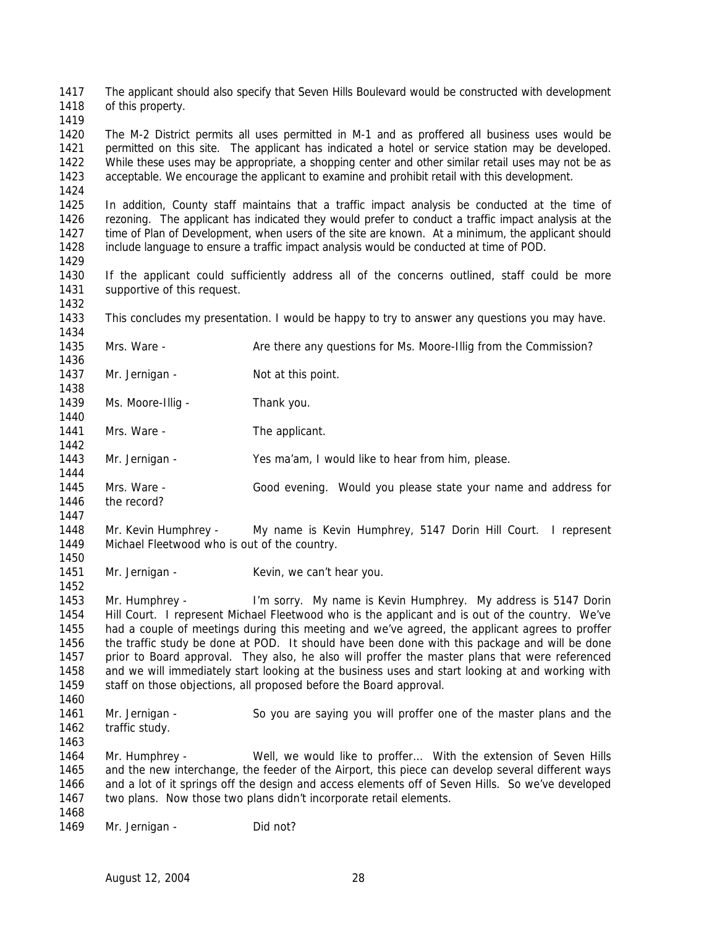The applicant should also specify that Seven Hills Boulevard would be constructed with development of this property.

 The M-2 District permits all uses permitted in M-1 and as proffered all business uses would be permitted on this site. The applicant has indicated a hotel or service station may be developed. While these uses may be appropriate, a shopping center and other similar retail uses may not be as acceptable. We encourage the applicant to examine and prohibit retail with this development.

 In addition, County staff maintains that a traffic impact analysis be conducted at the time of rezoning. The applicant has indicated they would prefer to conduct a traffic impact analysis at the time of Plan of Development, when users of the site are known. At a minimum, the applicant should include language to ensure a traffic impact analysis would be conducted at time of POD.

 If the applicant could sufficiently address all of the concerns outlined, staff could be more 1431 supportive of this request.

This concludes my presentation. I would be happy to try to answer any questions you may have.

- Mrs. Ware Are there any questions for Ms. Moore-Illig from the Commission?
- 1437 Mr. Jernigan Not at this point.
- 1439 Ms. Moore-Illig Thank you.
- 1441 Mrs. Ware The applicant.
- Mr. Jernigan Yes ma'am, I would like to hear from him, please.
- Mrs. Ware Good evening. Would you please state your name and address for the record?
- Mr. Kevin Humphrey My name is Kevin Humphrey, 5147 Dorin Hill Court. I represent Michael Fleetwood who is out of the country.
- 1451 Mr. Jernigan Kevin, we can't hear you.

 Mr. Humphrey - I'm sorry. My name is Kevin Humphrey. My address is 5147 Dorin Hill Court. I represent Michael Fleetwood who is the applicant and is out of the country. We've had a couple of meetings during this meeting and we've agreed, the applicant agrees to proffer the traffic study be done at POD. It should have been done with this package and will be done 1457 prior to Board approval. They also, he also will proffer the master plans that were referenced and we will immediately start looking at the business uses and start looking at and working with 1459 staff on those objections, all proposed before the Board approval.

- Mr. Jernigan So you are saying you will proffer one of the master plans and the 1462 traffic study.
- Mr. Humphrey - Well, we would like to proffer… With the extension of Seven Hills and the new interchange, the feeder of the Airport, this piece can develop several different ways and a lot of it springs off the design and access elements off of Seven Hills. So we've developed two plans. Now those two plans didn't incorporate retail elements.
- 1469 Mr. Jernigan Did not?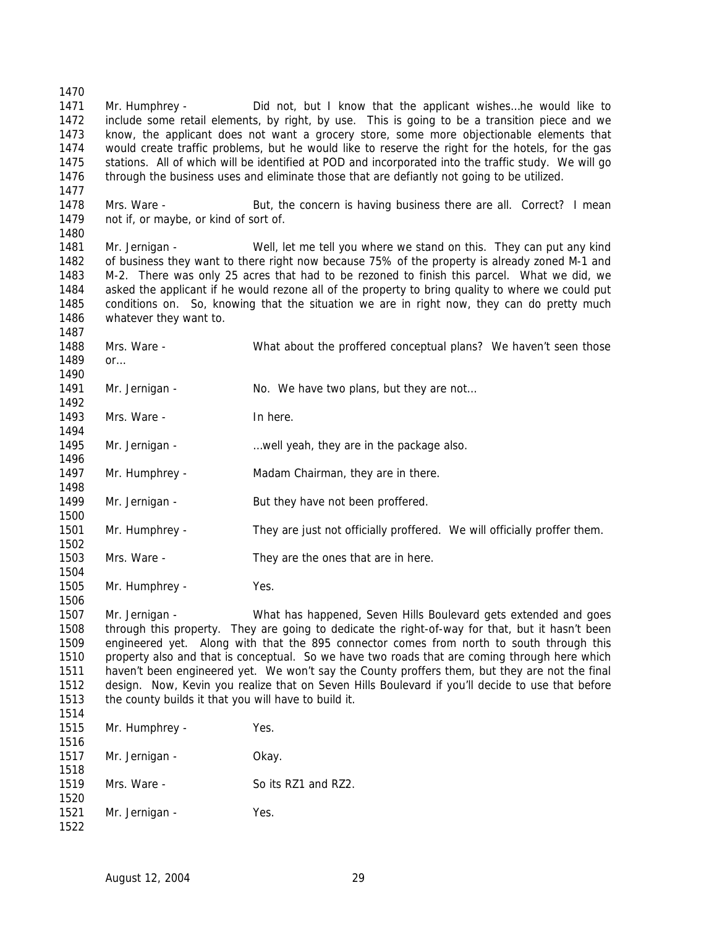Mr. Humphrey - Did not, but I know that the applicant wishes…he would like to include some retail elements, by right, by use. This is going to be a transition piece and we know, the applicant does not want a grocery store, some more objectionable elements that would create traffic problems, but he would like to reserve the right for the hotels, for the gas stations. All of which will be identified at POD and incorporated into the traffic study. We will go through the business uses and eliminate those that are defiantly not going to be utilized. 1478 Mrs. Ware - But, the concern is having business there are all. Correct? I mean not if, or maybe, or kind of sort of. 1481 Mr. Jernigan - Well, let me tell you where we stand on this. They can put any kind of business they want to there right now because 75% of the property is already zoned M-1 and M-2. There was only 25 acres that had to be rezoned to finish this parcel. What we did, we asked the applicant if he would rezone all of the property to bring quality to where we could put conditions on. So, knowing that the situation we are in right now, they can do pretty much whatever they want to. Mrs. Ware - What about the proffered conceptual plans? We haven't seen those or… 1491 Mr. Jernigan - No. We have two plans, but they are not... 1493 Mrs. Ware - In here. Mr. Jernigan - …well yeah, they are in the package also. 1497 Mr. Humphrey - Madam Chairman, they are in there. 1499 Mr. Jernigan - But they have not been proffered. Mr. Humphrey - They are just not officially proffered. We will officially proffer them. Mrs. Ware - They are the ones that are in here. Mr. Humphrey - Yes. Mr. Jernigan - What has happened, Seven Hills Boulevard gets extended and goes through this property. They are going to dedicate the right-of-way for that, but it hasn't been engineered yet. Along with that the 895 connector comes from north to south through this property also and that is conceptual. So we have two roads that are coming through here which haven't been engineered yet. We won't say the County proffers them, but they are not the final design. Now, Kevin you realize that on Seven Hills Boulevard if you'll decide to use that before the county builds it that you will have to build it. Mr. Humphrey - Yes. 1517 Mr. Jernigan - Okay. 1519 Mrs. Ware - So its RZ1 and RZ2. 1521 Mr. Jernigan - Yes.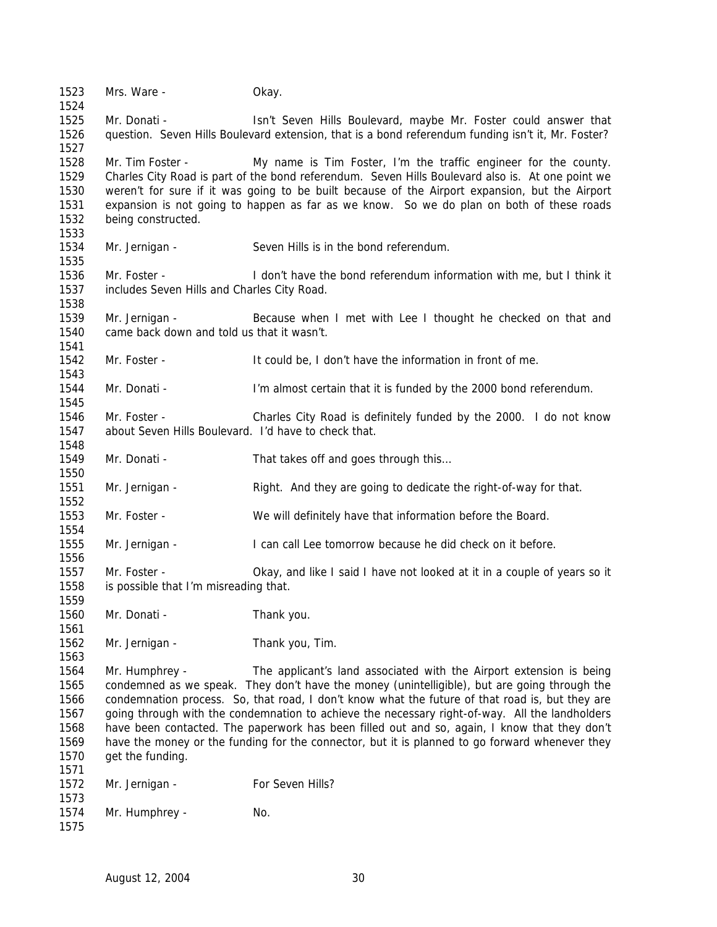Mrs. Ware - Okay. Mr. Donati - Isn't Seven Hills Boulevard, maybe Mr. Foster could answer that question. Seven Hills Boulevard extension, that is a bond referendum funding isn't it, Mr. Foster? Mr. Tim Foster - My name is Tim Foster, I'm the traffic engineer for the county. Charles City Road is part of the bond referendum. Seven Hills Boulevard also is. At one point we weren't for sure if it was going to be built because of the Airport expansion, but the Airport expansion is not going to happen as far as we know. So we do plan on both of these roads being constructed. Mr. Jernigan - Seven Hills is in the bond referendum. Mr. Foster - I don't have the bond referendum information with me, but I think it includes Seven Hills and Charles City Road. Mr. Jernigan - Because when I met with Lee I thought he checked on that and came back down and told us that it wasn't. Mr. Foster - It could be, I don't have the information in front of me. Mr. Donati - I'm almost certain that it is funded by the 2000 bond referendum. Mr. Foster - Charles City Road is definitely funded by the 2000. I do not know about Seven Hills Boulevard. I'd have to check that. 1549 Mr. Donati - That takes off and goes through this... Mr. Jernigan - Right. And they are going to dedicate the right-of-way for that. Mr. Foster - We will definitely have that information before the Board. Mr. Jernigan - I can call Lee tomorrow because he did check on it before. 1557 Mr. Foster - Okay, and like I said I have not looked at it in a couple of years so it is possible that I'm misreading that. Mr. Donati - Thank you. Mr. Jernigan - Thank you, Tim. Mr. Humphrey - The applicant's land associated with the Airport extension is being condemned as we speak. They don't have the money (unintelligible), but are going through the condemnation process. So, that road, I don't know what the future of that road is, but they are going through with the condemnation to achieve the necessary right-of-way. All the landholders have been contacted. The paperwork has been filled out and so, again, I know that they don't have the money or the funding for the connector, but it is planned to go forward whenever they get the funding. 1572 Mr. Jernigan - For Seven Hills? 1574 Mr. Humphrey - No.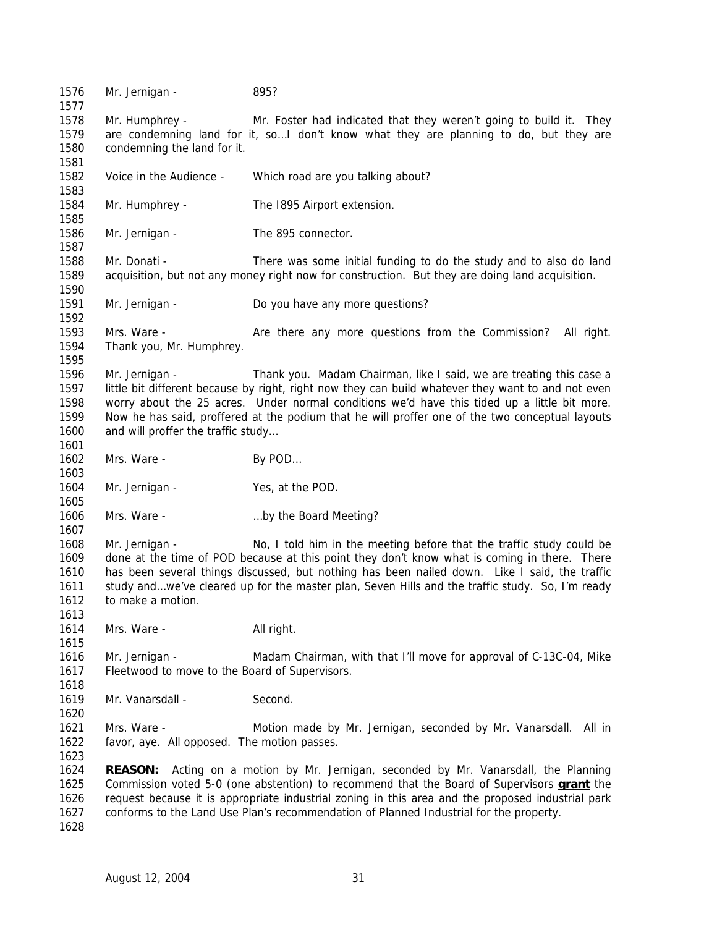Mr. Jernigan - 895? Mr. Humphrey - Mr. Foster had indicated that they weren't going to build it. They are condemning land for it, so…I don't know what they are planning to do, but they are condemning the land for it. Voice in the Audience - Which road are you talking about? Mr. Humphrey - The I895 Airport extension. 1586 Mr. Jernigan - The 895 connector. Mr. Donati - There was some initial funding to do the study and to also do land acquisition, but not any money right now for construction. But they are doing land acquisition. Mr. Jernigan - Do you have any more questions? Mrs. Ware - Are there any more questions from the Commission? All right. Thank you, Mr. Humphrey. Mr. Jernigan - Thank you. Madam Chairman, like I said, we are treating this case a little bit different because by right, right now they can build whatever they want to and not even worry about the 25 acres. Under normal conditions we'd have this tided up a little bit more. Now he has said, proffered at the podium that he will proffer one of the two conceptual layouts 1600 and will proffer the traffic study... 1602 Mrs. Ware - By POD... 1604 Mr. Jernigan - Yes, at the POD. 1606 Mrs. Ware - **Example 20** ... by the Board Meeting? Mr. Jernigan - No, I told him in the meeting before that the traffic study could be done at the time of POD because at this point they don't know what is coming in there. There has been several things discussed, but nothing has been nailed down. Like I said, the traffic 1611 study and…we've cleared up for the master plan, Seven Hills and the traffic study. So, I'm ready to make a motion. 1614 Mrs. Ware - All right. Mr. Jernigan - Madam Chairman, with that I'll move for approval of C-13C-04, Mike Fleetwood to move to the Board of Supervisors. Mr. Vanarsdall - Second. Mrs. Ware - Motion made by Mr. Jernigan, seconded by Mr. Vanarsdall. All in favor, aye. All opposed. The motion passes. **REASON:** Acting on a motion by Mr. Jernigan, seconded by Mr. Vanarsdall, the Planning Commission voted 5-0 (one abstention) to recommend that the Board of Supervisors **grant** the request because it is appropriate industrial zoning in this area and the proposed industrial park conforms to the Land Use Plan's recommendation of Planned Industrial for the property.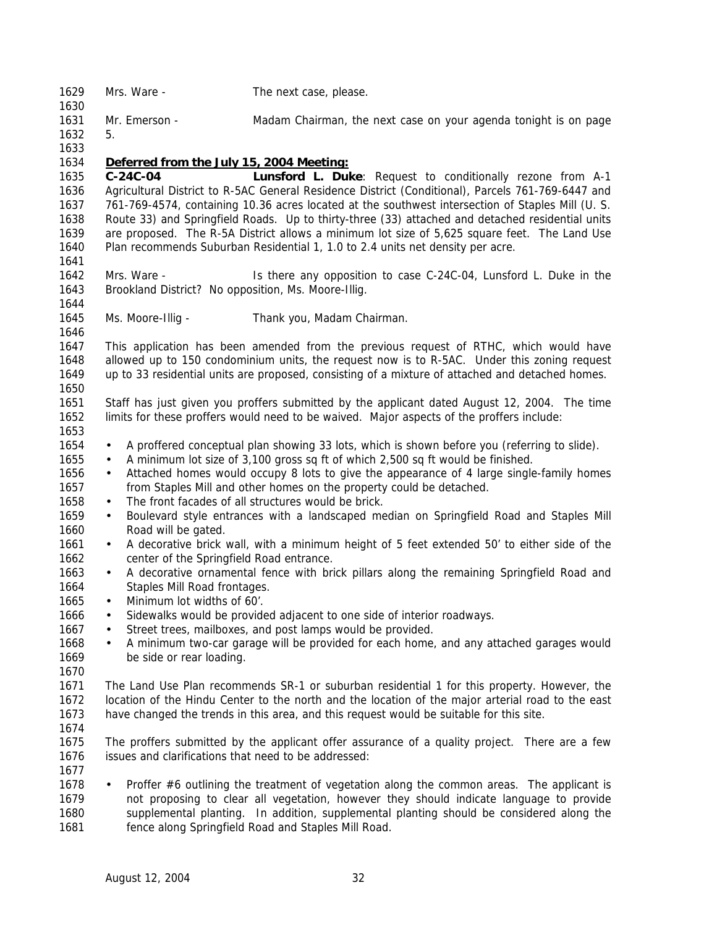| 1629<br>1630 | Mrs. Ware -                                          | The next case, please.                                                                            |
|--------------|------------------------------------------------------|---------------------------------------------------------------------------------------------------|
| 1631         | Mr. Emerson -                                        | Madam Chairman, the next case on your agenda tonight is on page                                   |
| 1632         | 5.                                                   |                                                                                                   |
| 1633         |                                                      |                                                                                                   |
| 1634         | Deferred from the July 15, 2004 Meeting:             |                                                                                                   |
| 1635         | $C-24C-04$                                           | Lunsford L. Duke: Request to conditionally rezone from A-1                                        |
| 1636         |                                                      | Agricultural District to R-5AC General Residence District (Conditional), Parcels 761-769-6447 and |
| 1637         |                                                      | 761-769-4574, containing 10.36 acres located at the southwest intersection of Staples Mill (U. S. |
| 1638         |                                                      | Route 33) and Springfield Roads. Up to thirty-three (33) attached and detached residential units  |
| 1639         |                                                      | are proposed. The R-5A District allows a minimum lot size of 5,625 square feet. The Land Use      |
| 1640         |                                                      | Plan recommends Suburban Residential 1, 1.0 to 2.4 units net density per acre.                    |
| 1641         |                                                      |                                                                                                   |
| 1642         | Mrs. Ware -                                          | Is there any opposition to case C-24C-04, Lunsford L. Duke in the                                 |
| 1643         | Brookland District? No opposition, Ms. Moore-Illig.  |                                                                                                   |
| 1644         |                                                      |                                                                                                   |
| 1645         | Ms. Moore-Illig -                                    | Thank you, Madam Chairman.                                                                        |
| 1646         |                                                      |                                                                                                   |
| 1647         |                                                      | This application has been amended from the previous request of RTHC, which would have             |
| 1648         |                                                      | allowed up to 150 condominium units, the request now is to R-5AC. Under this zoning request       |
| 1649         |                                                      | up to 33 residential units are proposed, consisting of a mixture of attached and detached homes.  |
| 1650         |                                                      |                                                                                                   |
| 1651         |                                                      | Staff has just given you proffers submitted by the applicant dated August 12, 2004. The time      |
| 1652         |                                                      | limits for these proffers would need to be waived. Major aspects of the proffers include:         |
| 1653         |                                                      |                                                                                                   |
| 1654         | $\bullet$                                            | A proffered conceptual plan showing 33 lots, which is shown before you (referring to slide).      |
| 1655         | $\bullet$                                            | A minimum lot size of 3,100 gross sq ft of which 2,500 sq ft would be finished.                   |
| 1656         | $\bullet$                                            | Attached homes would occupy 8 lots to give the appearance of 4 large single-family homes          |
| 1657         |                                                      | from Staples Mill and other homes on the property could be detached.                              |
| 1658         | $\bullet$                                            | The front facades of all structures would be brick.                                               |
| 1659         | $\bullet$                                            | Boulevard style entrances with a landscaped median on Springfield Road and Staples Mill           |
| 1660         | Road will be gated.                                  |                                                                                                   |
| 1661         | $\bullet$                                            | A decorative brick wall, with a minimum height of 5 feet extended 50' to either side of the       |
| 1662         | center of the Springfield Road entrance.             |                                                                                                   |
| 1663         | $\bullet$                                            | A decorative ornamental fence with brick pillars along the remaining Springfield Road and         |
| 1664         | Staples Mill Road frontages.                         |                                                                                                   |
| 1665         | Minimum lot widths of 60'.<br>$\bullet$              |                                                                                                   |
| 1666         |                                                      | Sidewalks would be provided adjacent to one side of interior roadways.                            |
| 1667         |                                                      | Street trees, mailboxes, and post lamps would be provided.                                        |
| 1668         | $\bullet$                                            | A minimum two-car garage will be provided for each home, and any attached garages would           |
| 1669         | be side or rear loading.                             |                                                                                                   |
| 1670         |                                                      |                                                                                                   |
| 1671<br>1672 |                                                      | The Land Use Plan recommends SR-1 or suburban residential 1 for this property. However, the       |
| 1673         |                                                      | location of the Hindu Center to the north and the location of the major arterial road to the east |
| 1674         |                                                      | have changed the trends in this area, and this request would be suitable for this site.           |
| 1675         |                                                      | The proffers submitted by the applicant offer assurance of a quality project. There are a few     |
| 1676         | issues and clarifications that need to be addressed: |                                                                                                   |
| 1677         |                                                      |                                                                                                   |
| 1678         | $\bullet$                                            | Proffer #6 outlining the treatment of vegetation along the common areas. The applicant is         |
| 1679         |                                                      | not proposing to clear all vegetation, however they should indicate language to provide           |
| 1680         |                                                      | supplemental planting. In addition, supplemental planting should be considered along the          |
| 1681         |                                                      | fence along Springfield Road and Staples Mill Road.                                               |
|              |                                                      |                                                                                                   |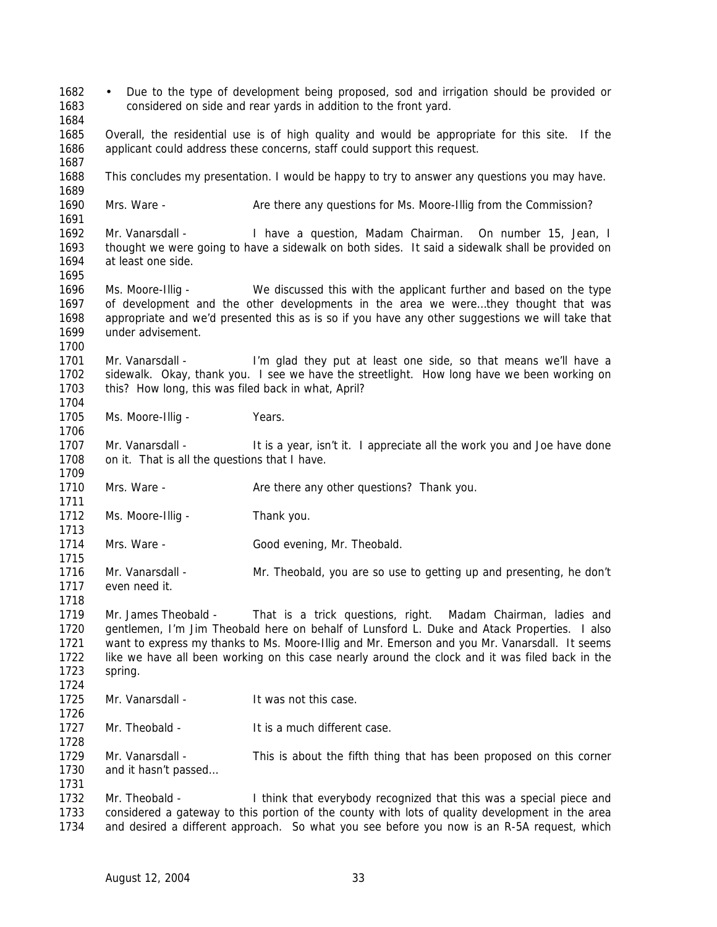• Due to the type of development being proposed, sod and irrigation should be provided or considered on side and rear yards in addition to the front yard. Overall, the residential use is of high quality and would be appropriate for this site. If the applicant could address these concerns, staff could support this request. This concludes my presentation. I would be happy to try to answer any questions you may have. Mrs. Ware - Are there any questions for Ms. Moore-Illig from the Commission? Mr. Vanarsdall - I have a question, Madam Chairman. On number 15, Jean, I thought we were going to have a sidewalk on both sides. It said a sidewalk shall be provided on at least one side. Ms. Moore-Illig - We discussed this with the applicant further and based on the type of development and the other developments in the area we were…they thought that was appropriate and we'd presented this as is so if you have any other suggestions we will take that under advisement. 1701 Mr. Vanarsdall - I'm glad they put at least one side, so that means we'll have a sidewalk. Okay, thank you. I see we have the streetlight. How long have we been working on this? How long, this was filed back in what, April? 1705 Ms. Moore-Illig - Years. 1707 Mr. Vanarsdall - It is a year, isn't it. I appreciate all the work you and Joe have done on it. That is all the questions that I have. 1710 Mrs. Ware - **Are there any other questions?** Thank you. 1712 Ms. Moore-Illig - Thank you. Mrs. Ware - Good evening, Mr. Theobald. Mr. Vanarsdall - Mr. Theobald, you are so use to getting up and presenting, he don't even need it. Mr. James Theobald - That is a trick questions, right. Madam Chairman, ladies and gentlemen, I'm Jim Theobald here on behalf of Lunsford L. Duke and Atack Properties. I also want to express my thanks to Ms. Moore-Illig and Mr. Emerson and you Mr. Vanarsdall. It seems like we have all been working on this case nearly around the clock and it was filed back in the spring. Mr. Vanarsdall - It was not this case. 1727 Mr. Theobald - It is a much different case. Mr. Vanarsdall - This is about the fifth thing that has been proposed on this corner and it hasn't passed… 1732 Mr. Theobald - I think that everybody recognized that this was a special piece and considered a gateway to this portion of the county with lots of quality development in the area and desired a different approach. So what you see before you now is an R-5A request, which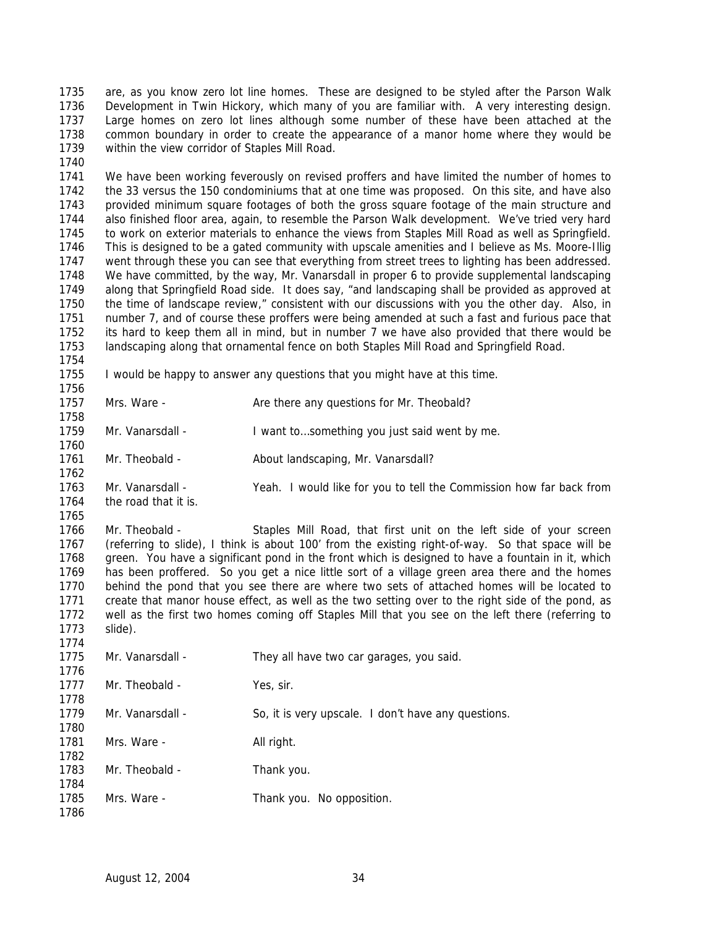are, as you know zero lot line homes. These are designed to be styled after the Parson Walk Development in Twin Hickory, which many of you are familiar with. A very interesting design. Large homes on zero lot lines although some number of these have been attached at the common boundary in order to create the appearance of a manor home where they would be within the view corridor of Staples Mill Road.

 We have been working feverously on revised proffers and have limited the number of homes to the 33 versus the 150 condominiums that at one time was proposed. On this site, and have also provided minimum square footages of both the gross square footage of the main structure and also finished floor area, again, to resemble the Parson Walk development. We've tried very hard to work on exterior materials to enhance the views from Staples Mill Road as well as Springfield. This is designed to be a gated community with upscale amenities and I believe as Ms. Moore-Illig went through these you can see that everything from street trees to lighting has been addressed. We have committed, by the way, Mr. Vanarsdall in proper 6 to provide supplemental landscaping along that Springfield Road side. It does say, "and landscaping shall be provided as approved at the time of landscape review," consistent with our discussions with you the other day. Also, in number 7, and of course these proffers were being amended at such a fast and furious pace that its hard to keep them all in mind, but in number 7 we have also provided that there would be landscaping along that ornamental fence on both Staples Mill Road and Springfield Road.

I would be happy to answer any questions that you might have at this time.

 1757 Mrs. Ware - Are there any questions for Mr. Theobald?

 1759 Mr. Vanarsdall - I want to...something you just said went by me.

1761 Mr. Theobald - About landscaping, Mr. Vanarsdall?

 Mr. Vanarsdall - Yeah. I would like for you to tell the Commission how far back from the road that it is.

 Mr. Theobald - Staples Mill Road, that first unit on the left side of your screen (referring to slide), I think is about 100' from the existing right-of-way. So that space will be green. You have a significant pond in the front which is designed to have a fountain in it, which has been proffered. So you get a nice little sort of a village green area there and the homes behind the pond that you see there are where two sets of attached homes will be located to create that manor house effect, as well as the two setting over to the right side of the pond, as well as the first two homes coming off Staples Mill that you see on the left there (referring to slide).

| 1775         | Mr. Vanarsdall - | They all have two car garages, you said.            |
|--------------|------------------|-----------------------------------------------------|
| 1776<br>1777 | Mr. Theobald -   | Yes, sir.                                           |
| 1778         |                  |                                                     |
| 1779         | Mr. Vanarsdall - | So, it is very upscale. I don't have any questions. |
| 1780         |                  |                                                     |
| 1781         | Mrs. Ware -      | All right.                                          |
| 1782         |                  |                                                     |
| 1783         | Mr. Theobald -   | Thank you.                                          |
| 1784         |                  |                                                     |
| 1785         | Mrs. Ware -      | Thank you. No opposition.                           |
| 1786         |                  |                                                     |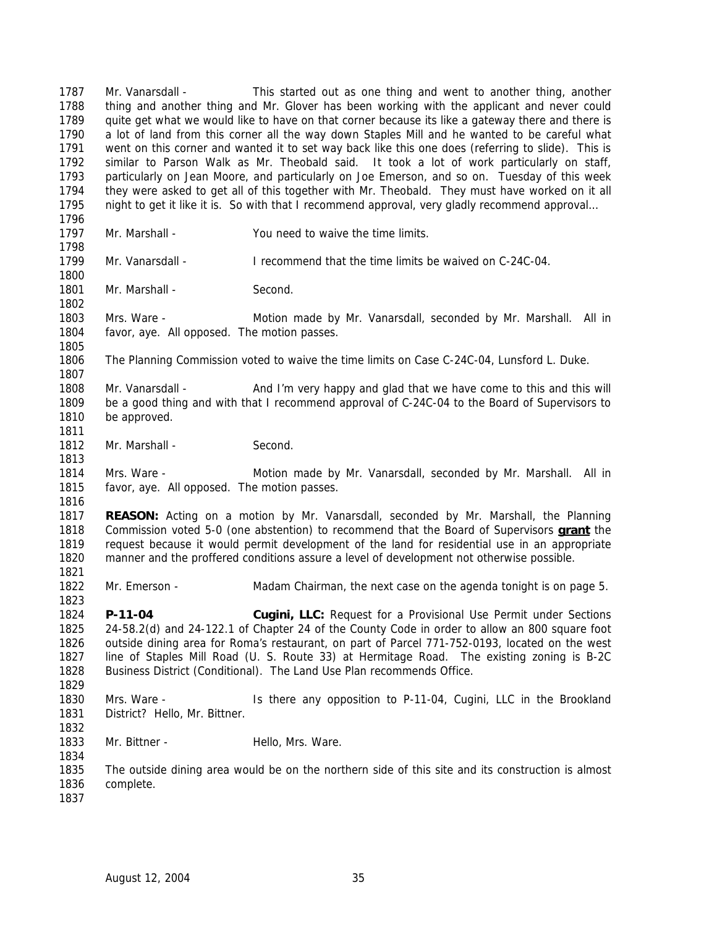Mr. Vanarsdall - This started out as one thing and went to another thing, another thing and another thing and Mr. Glover has been working with the applicant and never could quite get what we would like to have on that corner because its like a gateway there and there is a lot of land from this corner all the way down Staples Mill and he wanted to be careful what went on this corner and wanted it to set way back like this one does (referring to slide). This is similar to Parson Walk as Mr. Theobald said. It took a lot of work particularly on staff, particularly on Jean Moore, and particularly on Joe Emerson, and so on. Tuesday of this week they were asked to get all of this together with Mr. Theobald. They must have worked on it all night to get it like it is. So with that I recommend approval, very gladly recommend approval… Mr. Marshall - You need to waive the time limits. Mr. Vanarsdall - I recommend that the time limits be waived on C-24C-04. 1801 Mr. Marshall - Second. Mrs. Ware - Motion made by Mr. Vanarsdall, seconded by Mr. Marshall. All in favor, aye. All opposed. The motion passes. The Planning Commission voted to waive the time limits on Case C-24C-04, Lunsford L. Duke. Mr. Vanarsdall - And I'm very happy and glad that we have come to this and this will be a good thing and with that I recommend approval of C-24C-04 to the Board of Supervisors to be approved. 1812 Mr. Marshall - Second. Mrs. Ware - Motion made by Mr. Vanarsdall, seconded by Mr. Marshall. All in favor, aye. All opposed. The motion passes. **REASON:** Acting on a motion by Mr. Vanarsdall, seconded by Mr. Marshall, the Planning Commission voted 5-0 (one abstention) to recommend that the Board of Supervisors **grant** the request because it would permit development of the land for residential use in an appropriate manner and the proffered conditions assure a level of development not otherwise possible. Mr. Emerson - Madam Chairman, the next case on the agenda tonight is on page 5. **P-11-04 Cugini, LLC:** Request for a Provisional Use Permit under Sections 24-58.2(d) and 24-122.1 of Chapter 24 of the County Code in order to allow an 800 square foot outside dining area for Roma's restaurant, on part of Parcel 771-752-0193, located on the west line of Staples Mill Road (U. S. Route 33) at Hermitage Road. The existing zoning is B-2C Business District (Conditional). The Land Use Plan recommends Office. Mrs. Ware - Is there any opposition to P-11-04, Cugini, LLC in the Brookland District? Hello, Mr. Bittner. 1833 Mr. Bittner - Hello, Mrs. Ware. The outside dining area would be on the northern side of this site and its construction is almost complete.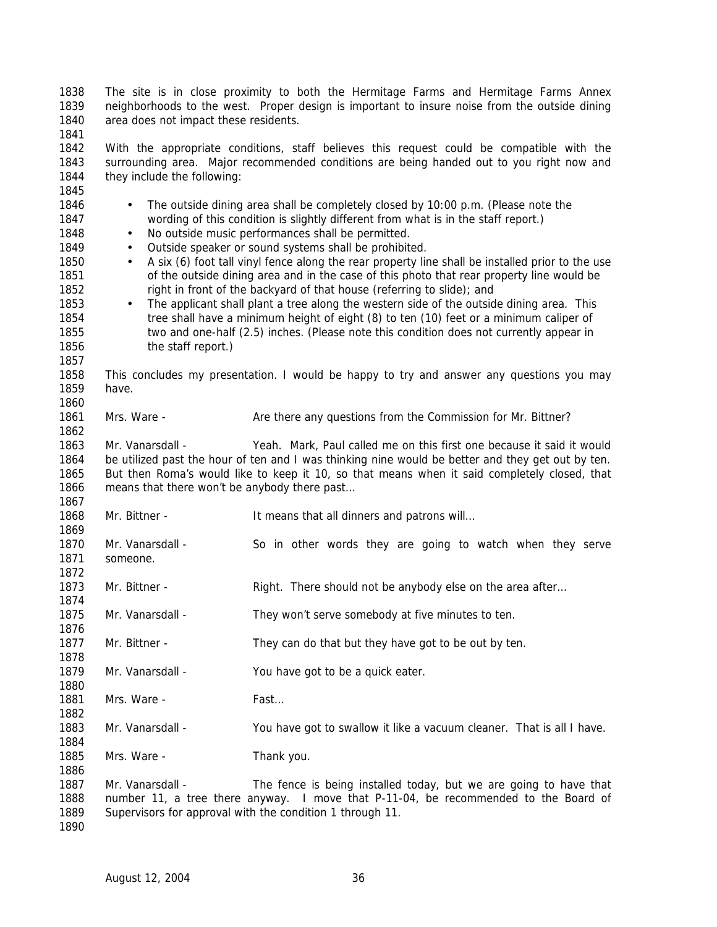The site is in close proximity to both the Hermitage Farms and Hermitage Farms Annex neighborhoods to the west. Proper design is important to insure noise from the outside dining area does not impact these residents. 

 With the appropriate conditions, staff believes this request could be compatible with the surrounding area. Major recommended conditions are being handed out to you right now and they include the following:

| 1845 |                                                                                                   |                                                                                                  |  |
|------|---------------------------------------------------------------------------------------------------|--------------------------------------------------------------------------------------------------|--|
| 1846 | The outside dining area shall be completely closed by 10:00 p.m. (Please note the                 |                                                                                                  |  |
| 1847 | wording of this condition is slightly different from what is in the staff report.)                |                                                                                                  |  |
| 1848 | No outside music performances shall be permitted.<br>$\bullet$                                    |                                                                                                  |  |
| 1849 |                                                                                                   | Outside speaker or sound systems shall be prohibited.                                            |  |
|      | $\bullet$                                                                                         |                                                                                                  |  |
| 1850 | $\bullet$                                                                                         | A six (6) foot tall vinyl fence along the rear property line shall be installed prior to the use |  |
| 1851 |                                                                                                   | of the outside dining area and in the case of this photo that rear property line would be        |  |
| 1852 |                                                                                                   | right in front of the backyard of that house (referring to slide); and                           |  |
| 1853 | $\bullet$                                                                                         | The applicant shall plant a tree along the western side of the outside dining area. This         |  |
| 1854 |                                                                                                   | tree shall have a minimum height of eight (8) to ten (10) feet or a minimum caliper of           |  |
| 1855 |                                                                                                   | two and one-half (2.5) inches. (Please note this condition does not currently appear in          |  |
| 1856 | the staff report.)                                                                                |                                                                                                  |  |
| 1857 |                                                                                                   |                                                                                                  |  |
| 1858 |                                                                                                   | This concludes my presentation. I would be happy to try and answer any questions you may         |  |
| 1859 | have.                                                                                             |                                                                                                  |  |
| 1860 |                                                                                                   |                                                                                                  |  |
| 1861 | Mrs. Ware -                                                                                       |                                                                                                  |  |
|      |                                                                                                   | Are there any questions from the Commission for Mr. Bittner?                                     |  |
| 1862 |                                                                                                   |                                                                                                  |  |
| 1863 | Mr. Vanarsdall -                                                                                  | Yeah. Mark, Paul called me on this first one because it said it would                            |  |
| 1864 | be utilized past the hour of ten and I was thinking nine would be better and they get out by ten. |                                                                                                  |  |
| 1865 | But then Roma's would like to keep it 10, so that means when it said completely closed, that      |                                                                                                  |  |
| 1866 | means that there won't be anybody there past                                                      |                                                                                                  |  |
| 1867 |                                                                                                   |                                                                                                  |  |
| 1868 | Mr. Bittner -                                                                                     | It means that all dinners and patrons will                                                       |  |
| 1869 |                                                                                                   |                                                                                                  |  |
| 1870 | Mr. Vanarsdall -                                                                                  | So in other words they are going to watch when they serve                                        |  |
| 1871 | someone.                                                                                          |                                                                                                  |  |
| 1872 |                                                                                                   |                                                                                                  |  |
| 1873 | Mr. Bittner -                                                                                     | Right. There should not be anybody else on the area after                                        |  |
| 1874 |                                                                                                   |                                                                                                  |  |
| 1875 | Mr. Vanarsdall -                                                                                  | They won't serve somebody at five minutes to ten.                                                |  |
| 1876 |                                                                                                   |                                                                                                  |  |
| 1877 | Mr. Bittner -                                                                                     | They can do that but they have got to be out by ten.                                             |  |
|      |                                                                                                   |                                                                                                  |  |
| 1878 |                                                                                                   |                                                                                                  |  |
| 1879 | Mr. Vanarsdall -                                                                                  | You have got to be a quick eater.                                                                |  |
| 1880 |                                                                                                   |                                                                                                  |  |
| 1881 | Mrs. Ware -                                                                                       | Fast                                                                                             |  |
| 1882 |                                                                                                   |                                                                                                  |  |
| 1883 | Mr. Vanarsdall -                                                                                  | You have got to swallow it like a vacuum cleaner. That is all I have.                            |  |
| 1884 |                                                                                                   |                                                                                                  |  |
| 1885 | Mrs. Ware -                                                                                       | Thank you.                                                                                       |  |
| 1886 |                                                                                                   |                                                                                                  |  |
| 1887 | Mr. Vanarsdall -                                                                                  | The fence is being installed today, but we are going to have that                                |  |
| 1888 |                                                                                                   | number 11, a tree there anyway. I move that P-11-04, be recommended to the Board of              |  |
| 1889 |                                                                                                   | Supervisors for approval with the condition 1 through 11.                                        |  |
| 1890 |                                                                                                   |                                                                                                  |  |
|      |                                                                                                   |                                                                                                  |  |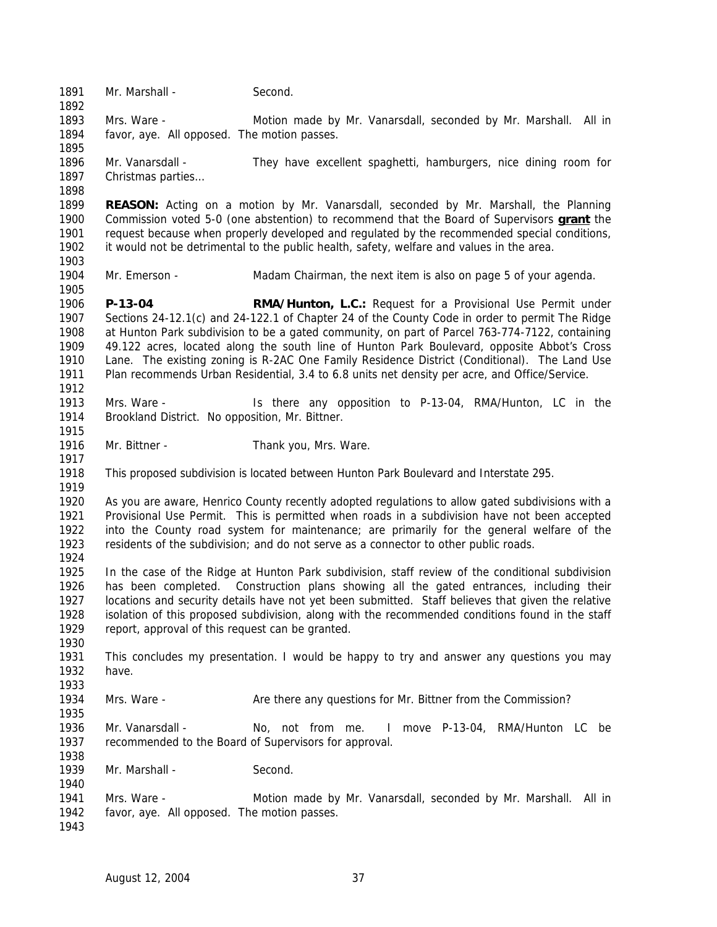1891 Mr. Marshall - Second. Mrs. Ware - Motion made by Mr. Vanarsdall, seconded by Mr. Marshall. All in favor, aye. All opposed. The motion passes. Mr. Vanarsdall - They have excellent spaghetti, hamburgers, nice dining room for Christmas parties… **REASON:** Acting on a motion by Mr. Vanarsdall, seconded by Mr. Marshall, the Planning Commission voted 5-0 (one abstention) to recommend that the Board of Supervisors **grant** the request because when properly developed and regulated by the recommended special conditions, it would not be detrimental to the public health, safety, welfare and values in the area. Mr. Emerson - Madam Chairman, the next item is also on page 5 of your agenda. **P-13-04 RMA/Hunton, L.C.:** Request for a Provisional Use Permit under Sections 24-12.1(c) and 24-122.1 of Chapter 24 of the County Code in order to permit The Ridge at Hunton Park subdivision to be a gated community, on part of Parcel 763-774-7122, containing 49.122 acres, located along the south line of Hunton Park Boulevard, opposite Abbot's Cross Lane. The existing zoning is R-2AC One Family Residence District (Conditional). The Land Use Plan recommends Urban Residential, 3.4 to 6.8 units net density per acre, and Office/Service. Mrs. Ware - Is there any opposition to P-13-04, RMA/Hunton, LC in the Brookland District. No opposition, Mr. Bittner. 1916 Mr. Bittner - Thank you, Mrs. Ware. This proposed subdivision is located between Hunton Park Boulevard and Interstate 295. As you are aware, Henrico County recently adopted regulations to allow gated subdivisions with a Provisional Use Permit. This is permitted when roads in a subdivision have not been accepted into the County road system for maintenance; are primarily for the general welfare of the residents of the subdivision; and do not serve as a connector to other public roads. In the case of the Ridge at Hunton Park subdivision, staff review of the conditional subdivision has been completed. Construction plans showing all the gated entrances, including their locations and security details have not yet been submitted. Staff believes that given the relative isolation of this proposed subdivision, along with the recommended conditions found in the staff report, approval of this request can be granted. This concludes my presentation. I would be happy to try and answer any questions you may have. Mrs. Ware - Are there any questions for Mr. Bittner from the Commission? Mr. Vanarsdall - No, not from me. I move P-13-04, RMA/Hunton LC be recommended to the Board of Supervisors for approval. Mr. Marshall - Second. Mrs. Ware - Motion made by Mr. Vanarsdall, seconded by Mr. Marshall. All in favor, aye. All opposed. The motion passes.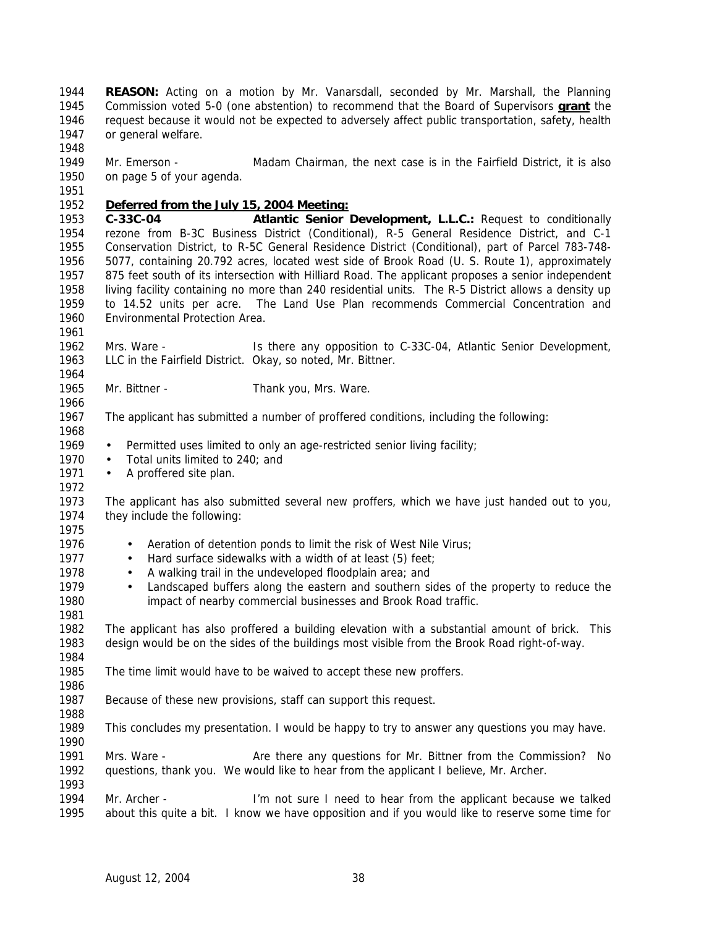**REASON:** Acting on a motion by Mr. Vanarsdall, seconded by Mr. Marshall, the Planning Commission voted 5-0 (one abstention) to recommend that the Board of Supervisors **grant** the request because it would not be expected to adversely affect public transportation, safety, health or general welfare. 

 Mr. Emerson - Madam Chairman, the next case is in the Fairfield District, it is also on page 5 of your agenda.

*Deferred from the July 15, 2004 Meeting:*

 **C-33C-04 Atlantic Senior Development, L.L.C.:** Request to conditionally rezone from B-3C Business District (Conditional), R-5 General Residence District, and C-1 Conservation District, to R-5C General Residence District (Conditional), part of Parcel 783-748- 5077, containing 20.792 acres, located west side of Brook Road (U. S. Route 1), approximately 875 feet south of its intersection with Hilliard Road. The applicant proposes a senior independent living facility containing no more than 240 residential units. The R-5 District allows a density up to 14.52 units per acre. The Land Use Plan recommends Commercial Concentration and Environmental Protection Area.

 Mrs. Ware - Is there any opposition to C-33C-04, Atlantic Senior Development, LLC in the Fairfield District. Okay, so noted, Mr. Bittner.

Mr. Bittner - Thank you, Mrs. Ware.

The applicant has submitted a number of proffered conditions, including the following:

1969 • Permitted uses limited to only an age-restricted senior living facility;

1970 • Total units limited to 240; and

- 1971 A proffered site plan.
- 

 The applicant has also submitted several new proffers, which we have just handed out to you, they include the following:

- 1976 Aeration of detention ponds to limit the risk of West Nile Virus;
- 1977 Hard surface sidewalks with a width of at least (5) feet;
- 1978 A walking trail in the undeveloped floodplain area; and
- Landscaped buffers along the eastern and southern sides of the property to reduce the impact of nearby commercial businesses and Brook Road traffic.

 The applicant has also proffered a building elevation with a substantial amount of brick. This design would be on the sides of the buildings most visible from the Brook Road right-of-way. 

The time limit would have to be waived to accept these new proffers.

Because of these new provisions, staff can support this request.

This concludes my presentation. I would be happy to try to answer any questions you may have.

 Mrs. Ware - Are there any questions for Mr. Bittner from the Commission? No questions, thank you. We would like to hear from the applicant I believe, Mr. Archer.

 Mr. Archer - I'm not sure I need to hear from the applicant because we talked about this quite a bit. I know we have opposition and if you would like to reserve some time for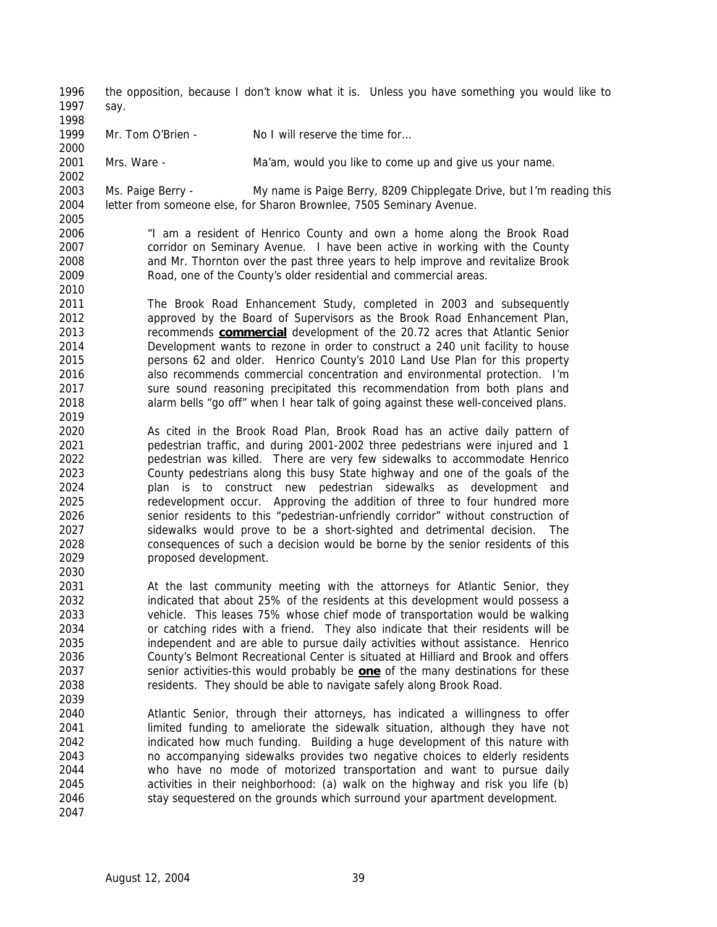the opposition, because I don't know what it is. Unless you have something you would like to say.

1999 Mr. Tom O'Brien - No I will reserve the time for...

Mrs. Ware - Ma'am, would you like to come up and give us your name.

 Ms. Paige Berry - My name is Paige Berry, 8209 Chipplegate Drive, but I'm reading this letter from someone else, for Sharon Brownlee, 7505 Seminary Avenue.

 "I am a resident of Henrico County and own a home along the Brook Road corridor on Seminary Avenue. I have been active in working with the County and Mr. Thornton over the past three years to help improve and revitalize Brook Road, one of the County's older residential and commercial areas.

 The Brook Road Enhancement Study, completed in 2003 and subsequently approved by the Board of Supervisors as the Brook Road Enhancement Plan, recommends **commercial** development of the 20.72 acres that Atlantic Senior Development wants to rezone in order to construct a 240 unit facility to house persons 62 and older. Henrico County's 2010 Land Use Plan for this property also recommends commercial concentration and environmental protection. I'm sure sound reasoning precipitated this recommendation from both plans and alarm bells "go off" when I hear talk of going against these well-conceived plans.

 As cited in the Brook Road Plan, Brook Road has an active daily pattern of pedestrian traffic, and during 2001-2002 three pedestrians were injured and 1 pedestrian was killed. There are very few sidewalks to accommodate Henrico County pedestrians along this busy State highway and one of the goals of the plan is to construct new pedestrian sidewalks as development and redevelopment occur. Approving the addition of three to four hundred more senior residents to this "pedestrian-unfriendly corridor" without construction of sidewalks would prove to be a short-sighted and detrimental decision. The consequences of such a decision would be borne by the senior residents of this proposed development.

- At the last community meeting with the attorneys for Atlantic Senior, they indicated that about 25% of the residents at this development would possess a vehicle. This leases 75% whose chief mode of transportation would be walking or catching rides with a friend. They also indicate that their residents will be independent and are able to pursue daily activities without assistance. Henrico County's Belmont Recreational Center is situated at Hilliard and Brook and offers senior activities-this would probably be **one** of the many destinations for these residents. They should be able to navigate safely along Brook Road.
- Atlantic Senior, through their attorneys, has indicated a willingness to offer limited funding to ameliorate the sidewalk situation, although they have not indicated how much funding. Building a huge development of this nature with no accompanying sidewalks provides two negative choices to elderly residents who have no mode of motorized transportation and want to pursue daily activities in their neighborhood: (a) walk on the highway and risk you life (b) stay sequestered on the grounds which surround your apartment development.
	- August 12, 2004 39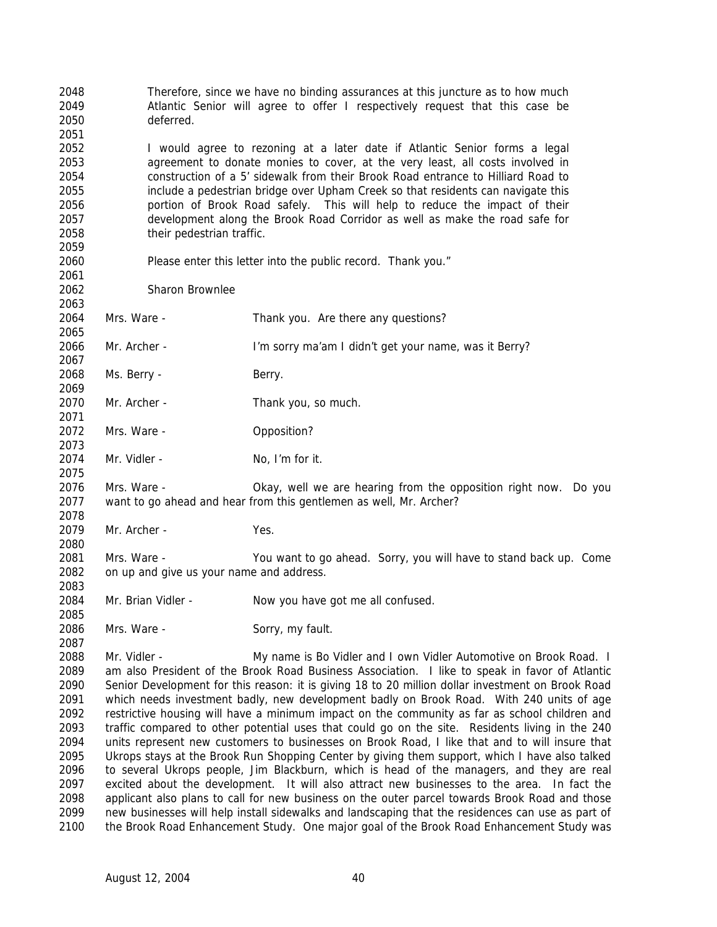Therefore, since we have no binding assurances at this juncture as to how much Atlantic Senior will agree to offer I respectively request that this case be deferred. I would agree to rezoning at a later date if Atlantic Senior forms a legal agreement to donate monies to cover, at the very least, all costs involved in construction of a 5' sidewalk from their Brook Road entrance to Hilliard Road to include a pedestrian bridge over Upham Creek so that residents can navigate this portion of Brook Road safely. This will help to reduce the impact of their development along the Brook Road Corridor as well as make the road safe for their pedestrian traffic. Please enter this letter into the public record. Thank you." Sharon Brownlee Mrs. Ware - Thank you. Are there any questions? Mr. Archer - I'm sorry ma'am I didn't get your name, was it Berry? 2068 Ms. Berry - Berry. Mr. Archer - Thank you, so much. 2072 Mrs. Ware - **Opposition?**  2074 Mr. Vidler - No, I'm for it. Mrs. Ware - Okay, well we are hearing from the opposition right now. Do you want to go ahead and hear from this gentlemen as well, Mr. Archer? Mr. Archer - Yes. Mrs. Ware - You want to go ahead. Sorry, you will have to stand back up. Come on up and give us your name and address. Mr. Brian Vidler - Now you have got me all confused. 2086 Mrs. Ware - Sorry, my fault. 2088 Mr. Vidler - My name is Bo Vidler and I own Vidler Automotive on Brook Road. I am also President of the Brook Road Business Association. I like to speak in favor of Atlantic Senior Development for this reason: it is giving 18 to 20 million dollar investment on Brook Road which needs investment badly, new development badly on Brook Road. With 240 units of age restrictive housing will have a minimum impact on the community as far as school children and traffic compared to other potential uses that could go on the site. Residents living in the 240 units represent new customers to businesses on Brook Road, I like that and to will insure that Ukrops stays at the Brook Run Shopping Center by giving them support, which I have also talked to several Ukrops people, Jim Blackburn, which is head of the managers, and they are real excited about the development. It will also attract new businesses to the area. In fact the applicant also plans to call for new business on the outer parcel towards Brook Road and those new businesses will help install sidewalks and landscaping that the residences can use as part of the Brook Road Enhancement Study. One major goal of the Brook Road Enhancement Study was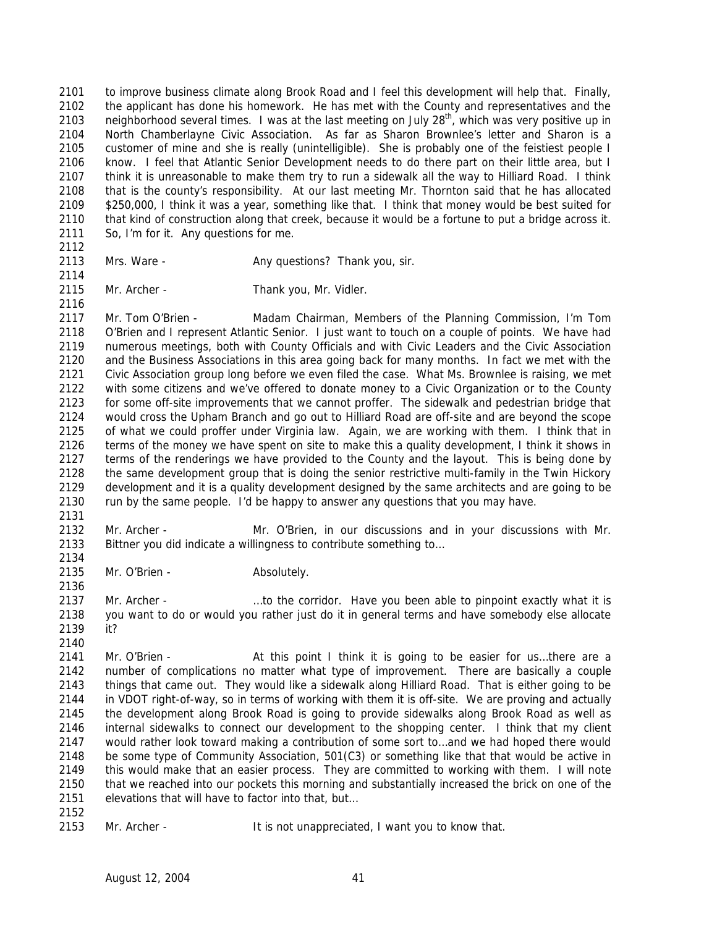to improve business climate along Brook Road and I feel this development will help that. Finally, the applicant has done his homework. He has met with the County and representatives and the 2103 neighborhood several times. I was at the last meeting on July  $28<sup>th</sup>$ , which was very positive up in North Chamberlayne Civic Association. As far as Sharon Brownlee's letter and Sharon is a customer of mine and she is really (unintelligible). She is probably one of the feistiest people I know. I feel that Atlantic Senior Development needs to do there part on their little area, but I think it is unreasonable to make them try to run a sidewalk all the way to Hilliard Road. I think that is the county's responsibility. At our last meeting Mr. Thornton said that he has allocated \$250,000, I think it was a year, something like that. I think that money would be best suited for that kind of construction along that creek, because it would be a fortune to put a bridge across it. So, I'm for it. Any questions for me.

- 2113 Mrs. Ware Any questions? Thank you, sir.
- 

2115 Mr. Archer - Thank you, Mr. Vidler.

 Mr. Tom O'Brien - Madam Chairman, Members of the Planning Commission, I'm Tom O'Brien and I represent Atlantic Senior. I just want to touch on a couple of points. We have had numerous meetings, both with County Officials and with Civic Leaders and the Civic Association and the Business Associations in this area going back for many months. In fact we met with the Civic Association group long before we even filed the case. What Ms. Brownlee is raising, we met with some citizens and we've offered to donate money to a Civic Organization or to the County for some off-site improvements that we cannot proffer. The sidewalk and pedestrian bridge that would cross the Upham Branch and go out to Hilliard Road are off-site and are beyond the scope of what we could proffer under Virginia law. Again, we are working with them. I think that in terms of the money we have spent on site to make this a quality development, I think it shows in terms of the renderings we have provided to the County and the layout. This is being done by the same development group that is doing the senior restrictive multi-family in the Twin Hickory development and it is a quality development designed by the same architects and are going to be run by the same people. I'd be happy to answer any questions that you may have.

- Mr. Archer Mr. O'Brien, in our discussions and in your discussions with Mr. Bittner you did indicate a willingness to contribute something to…
- 2135 Mr. O'Brien Absolutely.

 Mr. Archer - …to the corridor. Have you been able to pinpoint exactly what it is you want to do or would you rather just do it in general terms and have somebody else allocate it? 

2141 Mr. O'Brien - At this point I think it is going to be easier for us...there are a number of complications no matter what type of improvement. There are basically a couple things that came out. They would like a sidewalk along Hilliard Road. That is either going to be in VDOT right-of-way, so in terms of working with them it is off-site. We are proving and actually the development along Brook Road is going to provide sidewalks along Brook Road as well as internal sidewalks to connect our development to the shopping center. I think that my client would rather look toward making a contribution of some sort to…and we had hoped there would be some type of Community Association, 501(C3) or something like that that would be active in this would make that an easier process. They are committed to working with them. I will note that we reached into our pockets this morning and substantially increased the brick on one of the elevations that will have to factor into that, but…

Mr. Archer - It is not unappreciated, I want you to know that.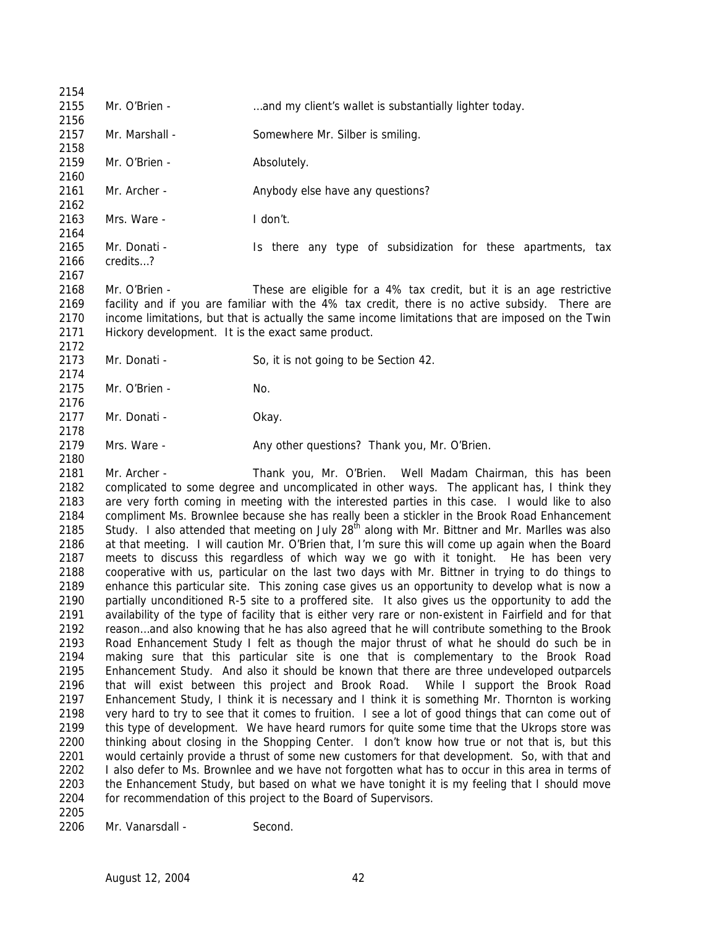Mr. O'Brien - …and my client's wallet is substantially lighter today. 2157 Mr. Marshall - Somewhere Mr. Silber is smiling. 2159 Mr. O'Brien - Absolutely. 2161 Mr. Archer - Anybody else have any questions? Mrs. Ware - I don't. Mr. Donati - Is there any type of subsidization for these apartments, tax credits…? Mr. O'Brien - These are eligible for a 4% tax credit, but it is an age restrictive facility and if you are familiar with the 4% tax credit, there is no active subsidy. There are income limitations, but that is actually the same income limitations that are imposed on the Twin Hickory development. It is the exact same product. 2173 Mr. Donati - So, it is not going to be Section 42. Mr. O'Brien - No. 2177 Mr. Donati - Okay. Mrs. Ware - Any other questions? Thank you, Mr. O'Brien. Mr. Archer - Thank you, Mr. O'Brien. Well Madam Chairman, this has been complicated to some degree and uncomplicated in other ways. The applicant has, I think they are very forth coming in meeting with the interested parties in this case. I would like to also compliment Ms. Brownlee because she has really been a stickler in the Brook Road Enhancement 2185 Study. I also attended that meeting on July  $28<sup>th</sup>$  along with Mr. Bittner and Mr. Marlles was also enhance this particular site. This zoning case gives us an opportunity to develop what is now a

 at that meeting. I will caution Mr. O'Brien that, I'm sure this will come up again when the Board meets to discuss this regardless of which way we go with it tonight. He has been very cooperative with us, particular on the last two days with Mr. Bittner in trying to do things to partially unconditioned R-5 site to a proffered site. It also gives us the opportunity to add the availability of the type of facility that is either very rare or non-existent in Fairfield and for that reason…and also knowing that he has also agreed that he will contribute something to the Brook Road Enhancement Study I felt as though the major thrust of what he should do such be in making sure that this particular site is one that is complementary to the Brook Road Enhancement Study. And also it should be known that there are three undeveloped outparcels that will exist between this project and Brook Road. While I support the Brook Road Enhancement Study, I think it is necessary and I think it is something Mr. Thornton is working very hard to try to see that it comes to fruition. I see a lot of good things that can come out of this type of development. We have heard rumors for quite some time that the Ukrops store was thinking about closing in the Shopping Center. I don't know how true or not that is, but this would certainly provide a thrust of some new customers for that development. So, with that and I also defer to Ms. Brownlee and we have not forgotten what has to occur in this area in terms of the Enhancement Study, but based on what we have tonight it is my feeling that I should move for recommendation of this project to the Board of Supervisors. 

2206 Mr. Vanarsdall - Second.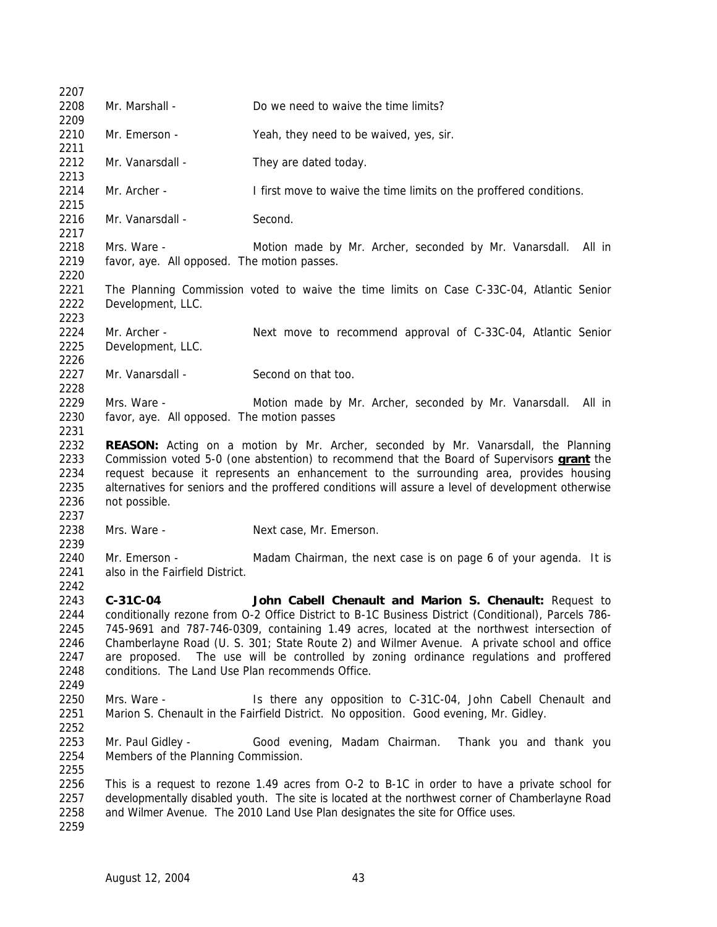| 2207                                                 |                                                              |                                                                                                                                                                                                                                                                                                                                                                                                                                                       |
|------------------------------------------------------|--------------------------------------------------------------|-------------------------------------------------------------------------------------------------------------------------------------------------------------------------------------------------------------------------------------------------------------------------------------------------------------------------------------------------------------------------------------------------------------------------------------------------------|
| 2208<br>2209                                         | Mr. Marshall -                                               | Do we need to waive the time limits?                                                                                                                                                                                                                                                                                                                                                                                                                  |
| 2210<br>2211                                         | Mr. Emerson -                                                | Yeah, they need to be waived, yes, sir.                                                                                                                                                                                                                                                                                                                                                                                                               |
| 2212<br>2213                                         | Mr. Vanarsdall -                                             | They are dated today.                                                                                                                                                                                                                                                                                                                                                                                                                                 |
| 2214<br>2215                                         | Mr. Archer -                                                 | I first move to waive the time limits on the proffered conditions.                                                                                                                                                                                                                                                                                                                                                                                    |
| 2216<br>2217                                         | Mr. Vanarsdall -                                             | Second.                                                                                                                                                                                                                                                                                                                                                                                                                                               |
| 2218<br>2219<br>2220                                 | Mrs. Ware -<br>favor, aye. All opposed. The motion passes.   | Motion made by Mr. Archer, seconded by Mr. Vanarsdall.<br>All in                                                                                                                                                                                                                                                                                                                                                                                      |
| 2221<br>2222<br>2223                                 | Development, LLC.                                            | The Planning Commission voted to waive the time limits on Case C-33C-04, Atlantic Senior                                                                                                                                                                                                                                                                                                                                                              |
| 2224<br>2225<br>2226                                 | Mr. Archer -<br>Development, LLC.                            | Next move to recommend approval of C-33C-04, Atlantic Senior                                                                                                                                                                                                                                                                                                                                                                                          |
| 2227<br>2228                                         | Mr. Vanarsdall -                                             | Second on that too.                                                                                                                                                                                                                                                                                                                                                                                                                                   |
| 2229<br>2230<br>2231                                 | Mrs. Ware -<br>favor, aye. All opposed. The motion passes    | Motion made by Mr. Archer, seconded by Mr. Vanarsdall.<br>All in                                                                                                                                                                                                                                                                                                                                                                                      |
| 2232<br>2233<br>2234<br>2235<br>2236<br>2237         | not possible.                                                | <b>REASON:</b> Acting on a motion by Mr. Archer, seconded by Mr. Vanarsdall, the Planning<br>Commission voted 5-0 (one abstention) to recommend that the Board of Supervisors <b>grant</b> the<br>request because it represents an enhancement to the surrounding area, provides housing<br>alternatives for seniors and the proffered conditions will assure a level of development otherwise                                                        |
| 2238<br>2239                                         | Mrs. Ware -                                                  | Next case, Mr. Emerson.                                                                                                                                                                                                                                                                                                                                                                                                                               |
| 2240<br>2241<br>2242                                 | Mr. Emerson -<br>also in the Fairfield District.             | Madam Chairman, the next case is on page 6 of your agenda. It is                                                                                                                                                                                                                                                                                                                                                                                      |
| 2243<br>2244<br>2245<br>2246<br>2247<br>2248<br>2249 | C-31C-04<br>conditions. The Land Use Plan recommends Office. | John Cabell Chenault and Marion S. Chenault: Request to<br>conditionally rezone from O-2 Office District to B-1C Business District (Conditional), Parcels 786-<br>745-9691 and 787-746-0309, containing 1.49 acres, located at the northwest intersection of<br>Chamberlayne Road (U. S. 301; State Route 2) and Wilmer Avenue. A private school and office<br>are proposed. The use will be controlled by zoning ordinance regulations and proffered |
| 2250<br>2251                                         | Mrs. Ware -                                                  | Is there any opposition to C-31C-04, John Cabell Chenault and<br>Marion S. Chenault in the Fairfield District. No opposition. Good evening, Mr. Gidley.                                                                                                                                                                                                                                                                                               |
| 2252<br>2253<br>2254<br>2255                         | Mr. Paul Gidley -<br>Members of the Planning Commission.     | Good evening, Madam Chairman.<br>Thank you and thank you                                                                                                                                                                                                                                                                                                                                                                                              |
| 2256<br>2257<br>2258<br>2259                         |                                                              | This is a request to rezone 1.49 acres from 0-2 to B-1C in order to have a private school for<br>developmentally disabled youth. The site is located at the northwest corner of Chamberlayne Road<br>and Wilmer Avenue. The 2010 Land Use Plan designates the site for Office uses.                                                                                                                                                                   |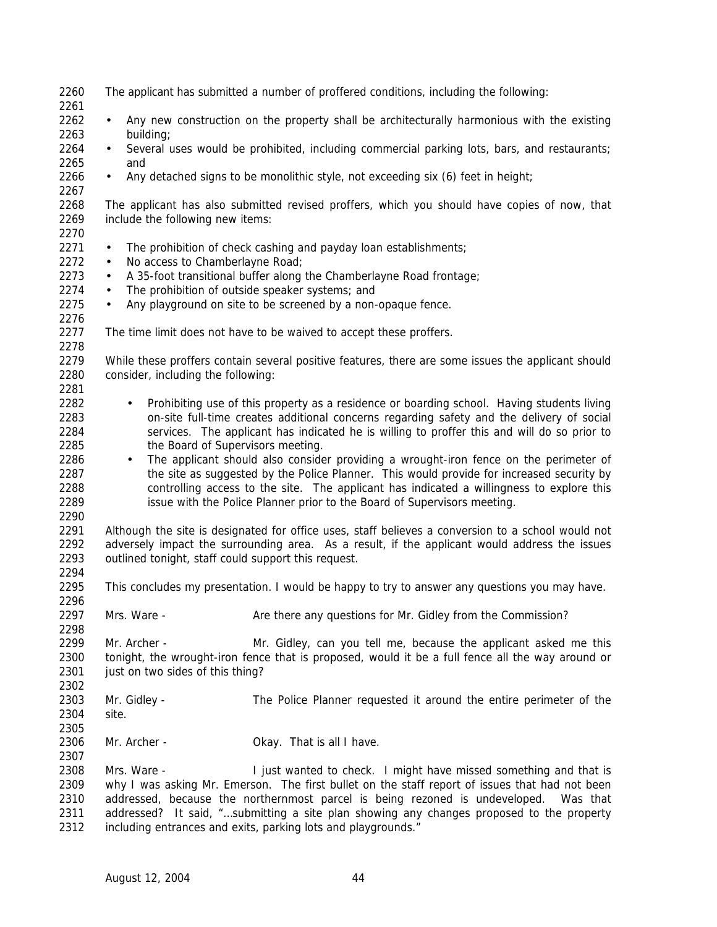| 2260         |                                                     | The applicant has submitted a number of proffered conditions, including the following:             |
|--------------|-----------------------------------------------------|----------------------------------------------------------------------------------------------------|
| 2261         |                                                     |                                                                                                    |
| 2262         | $\bullet$                                           | Any new construction on the property shall be architecturally harmonious with the existing         |
| 2263         | building;                                           |                                                                                                    |
| 2264         | $\bullet$                                           | Several uses would be prohibited, including commercial parking lots, bars, and restaurants;        |
| 2265         | and                                                 |                                                                                                    |
| 2266<br>2267 | $\bullet$                                           | Any detached signs to be monolithic style, not exceeding six (6) feet in height;                   |
| 2268         |                                                     | The applicant has also submitted revised proffers, which you should have copies of now, that       |
| 2269         | include the following new items:                    |                                                                                                    |
| 2270         |                                                     |                                                                                                    |
| 2271         | $\bullet$                                           | The prohibition of check cashing and payday loan establishments;                                   |
| 2272         | No access to Chamberlayne Road;<br>$\bullet$        |                                                                                                    |
| 2273         | $\bullet$                                           | A 35-foot transitional buffer along the Chamberlayne Road frontage;                                |
| 2274         | $\bullet$                                           | The prohibition of outside speaker systems; and                                                    |
| 2275         | $\bullet$                                           | Any playground on site to be screened by a non-opaque fence.                                       |
| 2276         |                                                     |                                                                                                    |
| 2277         |                                                     |                                                                                                    |
|              |                                                     | The time limit does not have to be waived to accept these proffers.                                |
| 2278         |                                                     |                                                                                                    |
| 2279         |                                                     | While these proffers contain several positive features, there are some issues the applicant should |
| 2280         | consider, including the following:                  |                                                                                                    |
| 2281         |                                                     |                                                                                                    |
| 2282         | $\bullet$                                           | Prohibiting use of this property as a residence or boarding school. Having students living         |
| 2283         |                                                     | on-site full-time creates additional concerns regarding safety and the delivery of social          |
| 2284         |                                                     | services. The applicant has indicated he is willing to proffer this and will do so prior to        |
| 2285         | the Board of Supervisors meeting.                   |                                                                                                    |
| 2286         | $\bullet$                                           | The applicant should also consider providing a wrought-iron fence on the perimeter of              |
| 2287         |                                                     | the site as suggested by the Police Planner. This would provide for increased security by          |
| 2288         |                                                     | controlling access to the site. The applicant has indicated a willingness to explore this          |
| 2289         |                                                     | issue with the Police Planner prior to the Board of Supervisors meeting.                           |
|              |                                                     |                                                                                                    |
| 2290         |                                                     |                                                                                                    |
| 2291         |                                                     | Although the site is designated for office uses, staff believes a conversion to a school would not |
| 2292         |                                                     | adversely impact the surrounding area. As a result, if the applicant would address the issues      |
| 2293         | outlined tonight, staff could support this request. |                                                                                                    |
| 2294         |                                                     |                                                                                                    |
| 2295         |                                                     | This concludes my presentation. I would be happy to try to answer any questions you may have.      |
| 2296         |                                                     |                                                                                                    |
| 2297         | Mrs. Ware -                                         | Are there any questions for Mr. Gidley from the Commission?                                        |
| 2298         |                                                     |                                                                                                    |
| 2299         | Mr. Archer -                                        | Mr. Gidley, can you tell me, because the applicant asked me this                                   |
| 2300         |                                                     | tonight, the wrought-iron fence that is proposed, would it be a full fence all the way around or   |
| 2301         | just on two sides of this thing?                    |                                                                                                    |
| 2302         |                                                     |                                                                                                    |
|              |                                                     |                                                                                                    |
| 2303         | Mr. Gidley -                                        | The Police Planner requested it around the entire perimeter of the                                 |
| 2304         | site.                                               |                                                                                                    |
| 2305         |                                                     |                                                                                                    |
| 2306         | Mr. Archer -                                        | Okay. That is all I have.                                                                          |
| 2307         |                                                     |                                                                                                    |
| 2308         | Mrs. Ware -                                         | I just wanted to check. I might have missed something and that is                                  |
| 2309         |                                                     | why I was asking Mr. Emerson. The first bullet on the staff report of issues that had not been     |
| 2310         |                                                     | addressed, because the northernmost parcel is being rezoned is undeveloped.<br>Was that            |
| 2311         |                                                     | addressed? It said, "submitting a site plan showing any changes proposed to the property           |
| 2312         |                                                     | including entrances and exits, parking lots and playgrounds."                                      |
|              |                                                     |                                                                                                    |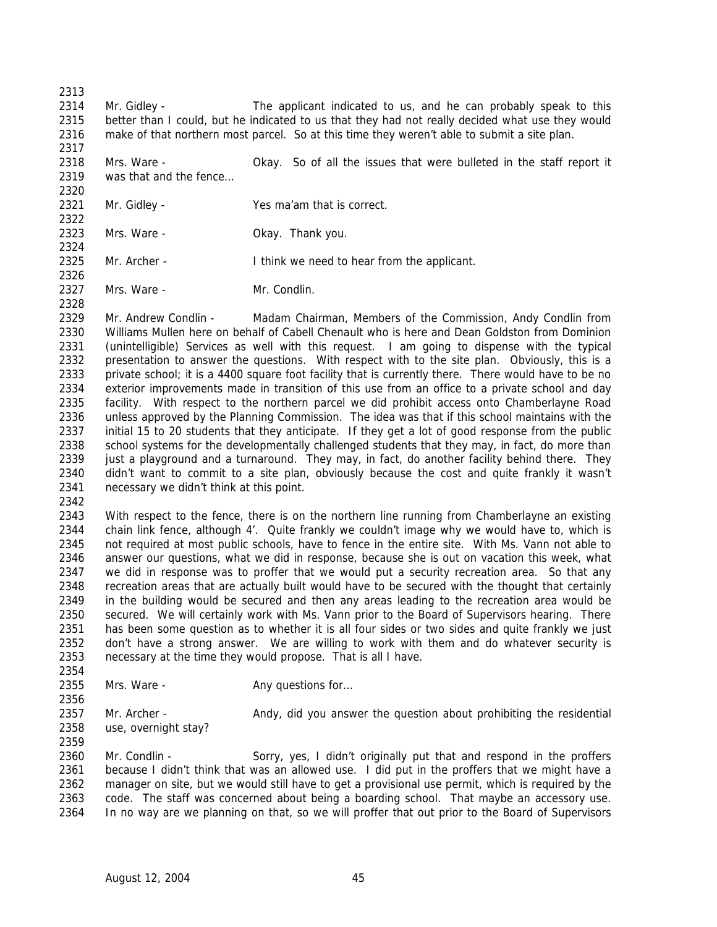Mr. Gidley - The applicant indicated to us, and he can probably speak to this better than I could, but he indicated to us that they had not really decided what use they would make of that northern most parcel. So at this time they weren't able to submit a site plan.

- Mrs. Ware Okay. So of all the issues that were bulleted in the staff report it 2319 was that and the fence...
- Mr. Gidley - Yes ma'am that is correct.
- Mrs. Ware Okay. Thank you.
- 2325 Mr. Archer **I** think we need to hear from the applicant.
- 2327 Mrs. Ware Mr. Condlin.

 Mr. Andrew Condlin - Madam Chairman, Members of the Commission, Andy Condlin from Williams Mullen here on behalf of Cabell Chenault who is here and Dean Goldston from Dominion (unintelligible) Services as well with this request. I am going to dispense with the typical 2332 presentation to answer the questions. With respect with to the site plan. Obviously, this is a private school; it is a 4400 square foot facility that is currently there. There would have to be no exterior improvements made in transition of this use from an office to a private school and day facility. With respect to the northern parcel we did prohibit access onto Chamberlayne Road unless approved by the Planning Commission. The idea was that if this school maintains with the initial 15 to 20 students that they anticipate. If they get a lot of good response from the public 2338 school systems for the developmentally challenged students that they may, in fact, do more than 2339 just a playground and a turnaround. They may, in fact, do another facility behind there. They didn't want to commit to a site plan, obviously because the cost and quite frankly it wasn't necessary we didn't think at this point.

 With respect to the fence, there is on the northern line running from Chamberlayne an existing chain link fence, although 4'. Quite frankly we couldn't image why we would have to, which is not required at most public schools, have to fence in the entire site. With Ms. Vann not able to answer our questions, what we did in response, because she is out on vacation this week, what we did in response was to proffer that we would put a security recreation area. So that any recreation areas that are actually built would have to be secured with the thought that certainly in the building would be secured and then any areas leading to the recreation area would be secured. We will certainly work with Ms. Vann prior to the Board of Supervisors hearing. There has been some question as to whether it is all four sides or two sides and quite frankly we just 2352 don't have a strong answer. We are willing to work with them and do whatever security is necessary at the time they would propose. That is all I have.

2355 Mrs. Ware - Any questions for...

2357 Mr. Archer - Andy, did you answer the question about prohibiting the residential use, overnight stay? 

 Mr. Condlin - Sorry, yes, I didn't originally put that and respond in the proffers because I didn't think that was an allowed use. I did put in the proffers that we might have a manager on site, but we would still have to get a provisional use permit, which is required by the code. The staff was concerned about being a boarding school. That maybe an accessory use. In no way are we planning on that, so we will proffer that out prior to the Board of Supervisors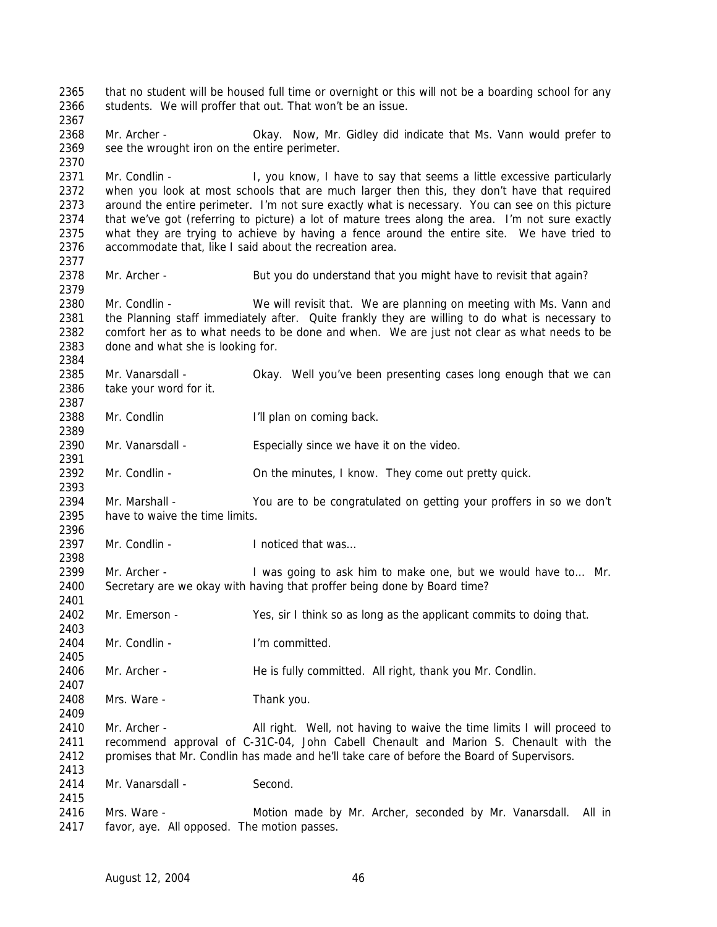that no student will be housed full time or overnight or this will not be a boarding school for any 2366 students. We will proffer that out. That won't be an issue. Mr. Archer - Okay. Now, Mr. Gidley did indicate that Ms. Vann would prefer to 2369 see the wrought iron on the entire perimeter. 2371 Mr. Condlin - I, you know, I have to say that seems a little excessive particularly when you look at most schools that are much larger then this, they don't have that required around the entire perimeter. I'm not sure exactly what is necessary. You can see on this picture that we've got (referring to picture) a lot of mature trees along the area. I'm not sure exactly what they are trying to achieve by having a fence around the entire site. We have tried to accommodate that, like I said about the recreation area. 2378 Mr. Archer - But you do understand that you might have to revisit that again? Mr. Condlin - We will revisit that. We are planning on meeting with Ms. Vann and the Planning staff immediately after. Quite frankly they are willing to do what is necessary to comfort her as to what needs to be done and when. We are just not clear as what needs to be done and what she is looking for. Mr. Vanarsdall - Okay. Well you've been presenting cases long enough that we can take your word for it. 2388 Mr. Condlin I'll plan on coming back. Mr. Vanarsdall - Especially since we have it on the video. 2392 Mr. Condlin - **On the minutes, I know. They come out pretty quick.**  2394 Mr. Marshall - You are to be congratulated on getting your proffers in so we don't have to waive the time limits. 2397 Mr. Condlin - Inoticed that was 2399 Mr. Archer - I was going to ask him to make one, but we would have to... Mr. Secretary are we okay with having that proffer being done by Board time? Mr. Emerson - Yes, sir I think so as long as the applicant commits to doing that. Mr. Condlin - I'm committed. Mr. Archer - He is fully committed. All right, thank you Mr. Condlin. Mrs. Ware - Thank you. 2410 Mr. Archer - All right. Well, not having to waive the time limits I will proceed to recommend approval of C-31C-04, John Cabell Chenault and Marion S. Chenault with the promises that Mr. Condlin has made and he'll take care of before the Board of Supervisors. 2414 Mr. Vanarsdall - Second. Mrs. Ware - Motion made by Mr. Archer, seconded by Mr. Vanarsdall. All in favor, aye. All opposed. The motion passes.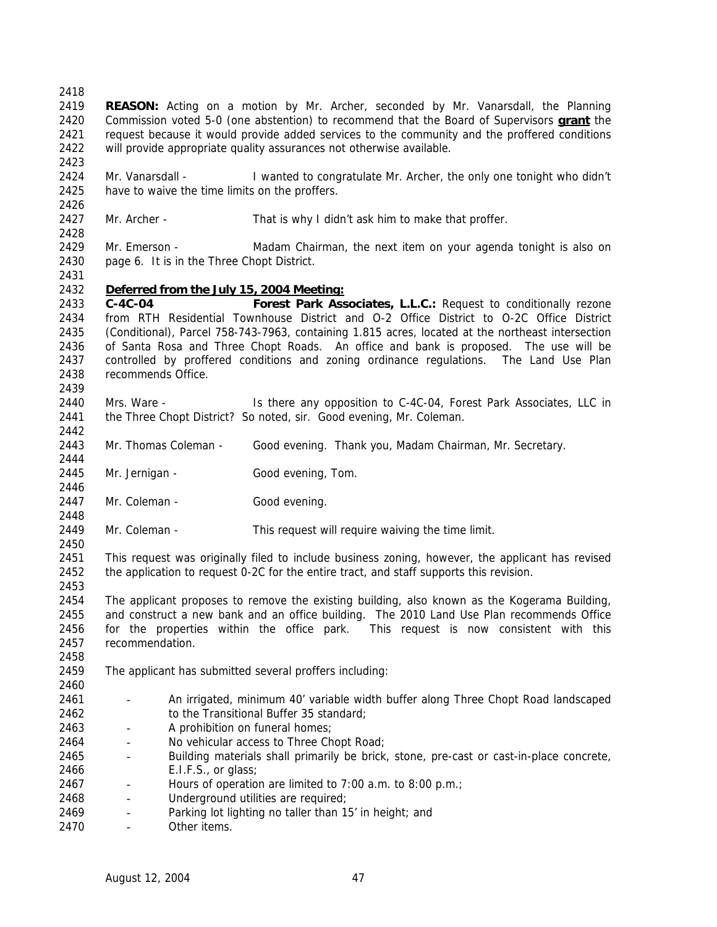**REASON:** Acting on a motion by Mr. Archer, seconded by Mr. Vanarsdall, the Planning Commission voted 5-0 (one abstention) to recommend that the Board of Supervisors **grant** the request because it would provide added services to the community and the proffered conditions will provide appropriate quality assurances not otherwise available.

 Mr. Vanarsdall - I wanted to congratulate Mr. Archer, the only one tonight who didn't have to waive the time limits on the proffers.

Mr. Archer - That is why I didn't ask him to make that proffer.

 Mr. Emerson - Madam Chairman, the next item on your agenda tonight is also on page 6. It is in the Three Chopt District.

## *Deferred from the July 15, 2004 Meeting:*

 **C-4C-04 Forest Park Associates, L.L.C.:** Request to conditionally rezone from RTH Residential Townhouse District and O-2 Office District to O-2C Office District (Conditional), Parcel 758-743-7963, containing 1.815 acres, located at the northeast intersection of Santa Rosa and Three Chopt Roads. An office and bank is proposed. The use will be controlled by proffered conditions and zoning ordinance regulations. The Land Use Plan recommends Office. 

 Mrs. Ware - Is there any opposition to C-4C-04, Forest Park Associates, LLC in 2441 the Three Chopt District? So noted, sir. Good evening, Mr. Coleman. 

Mr. Thomas Coleman - Good evening. Thank you, Madam Chairman, Mr. Secretary.

2445 Mr. Jernigan - Good evening, Tom. 

2447 Mr. Coleman - Good evening.

Mr. Coleman - This request will require waiving the time limit.

 This request was originally filed to include business zoning, however, the applicant has revised the application to request 0-2C for the entire tract, and staff supports this revision.

 The applicant proposes to remove the existing building, also known as the Kogerama Building, and construct a new bank and an office building. The 2010 Land Use Plan recommends Office for the properties within the office park. This request is now consistent with this recommendation.

The applicant has submitted several proffers including:

- - An irrigated, minimum 40' variable width buffer along Three Chopt Road landscaped 2462 to the Transitional Buffer 35 standard;
- A prohibition on funeral homes;
- No vehicular access to Three Chopt Road;
- Building materials shall primarily be brick, stone, pre-cast or cast-in-place concrete, E.I.F.S., or glass;
- 2467 Hours of operation are limited to 7:00 a.m. to 8:00 p.m.;
- 2468 Underground utilities are required;
- 2469 Parking lot lighting no taller than 15' in height; and
- Other items.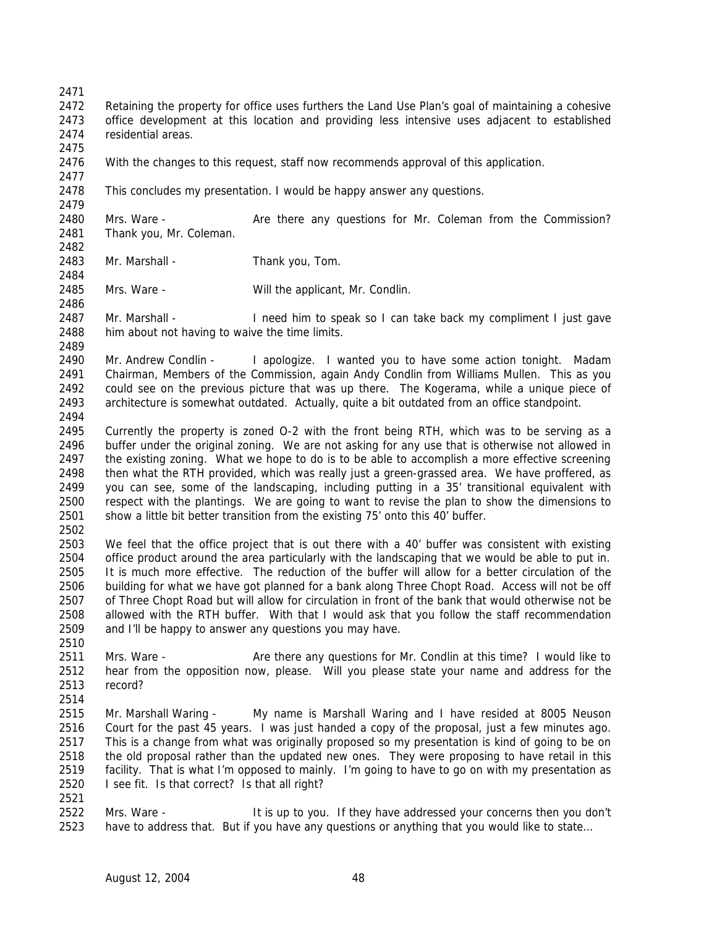Retaining the property for office uses furthers the Land Use Plan's goal of maintaining a cohesive office development at this location and providing less intensive uses adjacent to established residential areas.

- With the changes to this request, staff now recommends approval of this application.
- 2478 This concludes my presentation. I would be happy answer any questions.

2480 Mrs. Ware - **Are there any questions for Mr. Coleman from the Commission?** Thank you, Mr. Coleman.

- 2483 Mr. Marshall Thank you, Tom.
- Mrs. Ware Will the applicant, Mr. Condlin.

 Mr. Marshall - I need him to speak so I can take back my compliment I just gave him about not having to waive the time limits.

2490 Mr. Andrew Condlin - I apologize. I wanted you to have some action tonight. Madam Chairman, Members of the Commission, again Andy Condlin from Williams Mullen. This as you could see on the previous picture that was up there. The Kogerama, while a unique piece of architecture is somewhat outdated. Actually, quite a bit outdated from an office standpoint.

- Currently the property is zoned O-2 with the front being RTH, which was to be serving as a buffer under the original zoning. We are not asking for any use that is otherwise not allowed in 2497 the existing zoning. What we hope to do is to be able to accomplish a more effective screening then what the RTH provided, which was really just a green-grassed area. We have proffered, as you can see, some of the landscaping, including putting in a 35' transitional equivalent with respect with the plantings. We are going to want to revise the plan to show the dimensions to show a little bit better transition from the existing 75' onto this 40' buffer.
- 

 We feel that the office project that is out there with a 40' buffer was consistent with existing office product around the area particularly with the landscaping that we would be able to put in. It is much more effective. The reduction of the buffer will allow for a better circulation of the building for what we have got planned for a bank along Three Chopt Road. Access will not be off of Three Chopt Road but will allow for circulation in front of the bank that would otherwise not be allowed with the RTH buffer. With that I would ask that you follow the staff recommendation and I'll be happy to answer any questions you may have.

- Mrs. Ware Are there any questions for Mr. Condlin at this time? I would like to hear from the opposition now, please. Will you please state your name and address for the record?
- 

 Mr. Marshall Waring - My name is Marshall Waring and I have resided at 8005 Neuson Court for the past 45 years. I was just handed a copy of the proposal, just a few minutes ago. This is a change from what was originally proposed so my presentation is kind of going to be on the old proposal rather than the updated new ones. They were proposing to have retail in this facility. That is what I'm opposed to mainly. I'm going to have to go on with my presentation as I see fit. Is that correct? Is that all right?

 Mrs. Ware - It is up to you. If they have addressed your concerns then you don't have to address that. But if you have any questions or anything that you would like to state…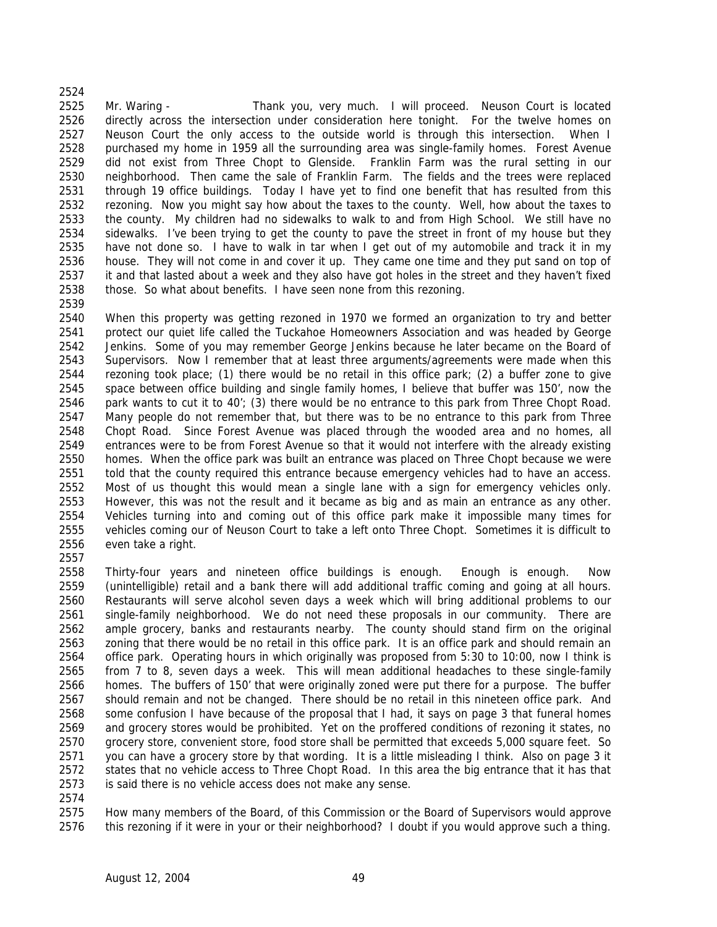Mr. Waring - Thank you, very much. I will proceed. Neuson Court is located directly across the intersection under consideration here tonight. For the twelve homes on Neuson Court the only access to the outside world is through this intersection. When I purchased my home in 1959 all the surrounding area was single-family homes. Forest Avenue did not exist from Three Chopt to Glenside. Franklin Farm was the rural setting in our neighborhood. Then came the sale of Franklin Farm. The fields and the trees were replaced through 19 office buildings. Today I have yet to find one benefit that has resulted from this rezoning. Now you might say how about the taxes to the county. Well, how about the taxes to the county. My children had no sidewalks to walk to and from High School. We still have no sidewalks. I've been trying to get the county to pave the street in front of my house but they have not done so. I have to walk in tar when I get out of my automobile and track it in my house. They will not come in and cover it up. They came one time and they put sand on top of it and that lasted about a week and they also have got holes in the street and they haven't fixed those. So what about benefits. I have seen none from this rezoning. 

 When this property was getting rezoned in 1970 we formed an organization to try and better protect our quiet life called the Tuckahoe Homeowners Association and was headed by George Jenkins. Some of you may remember George Jenkins because he later became on the Board of 2543 Supervisors. Now I remember that at least three arguments/agreements were made when this rezoning took place; (1) there would be no retail in this office park; (2) a buffer zone to give space between office building and single family homes, I believe that buffer was 150', now the park wants to cut it to 40'; (3) there would be no entrance to this park from Three Chopt Road. Many people do not remember that, but there was to be no entrance to this park from Three Chopt Road. Since Forest Avenue was placed through the wooded area and no homes, all entrances were to be from Forest Avenue so that it would not interfere with the already existing homes. When the office park was built an entrance was placed on Three Chopt because we were told that the county required this entrance because emergency vehicles had to have an access. Most of us thought this would mean a single lane with a sign for emergency vehicles only. However, this was not the result and it became as big and as main an entrance as any other. Vehicles turning into and coming out of this office park make it impossible many times for vehicles coming our of Neuson Court to take a left onto Three Chopt. Sometimes it is difficult to even take a right.

 Thirty-four years and nineteen office buildings is enough. Enough is enough. Now (unintelligible) retail and a bank there will add additional traffic coming and going at all hours. Restaurants will serve alcohol seven days a week which will bring additional problems to our single-family neighborhood. We do not need these proposals in our community. There are ample grocery, banks and restaurants nearby. The county should stand firm on the original zoning that there would be no retail in this office park. It is an office park and should remain an office park. Operating hours in which originally was proposed from 5:30 to 10:00, now I think is from 7 to 8, seven days a week. This will mean additional headaches to these single-family homes. The buffers of 150' that were originally zoned were put there for a purpose. The buffer should remain and not be changed. There should be no retail in this nineteen office park. And some confusion I have because of the proposal that I had, it says on page 3 that funeral homes and grocery stores would be prohibited. Yet on the proffered conditions of rezoning it states, no grocery store, convenient store, food store shall be permitted that exceeds 5,000 square feet. So you can have a grocery store by that wording. It is a little misleading I think. Also on page 3 it states that no vehicle access to Three Chopt Road. In this area the big entrance that it has that is said there is no vehicle access does not make any sense.

 How many members of the Board, of this Commission or the Board of Supervisors would approve this rezoning if it were in your or their neighborhood? I doubt if you would approve such a thing.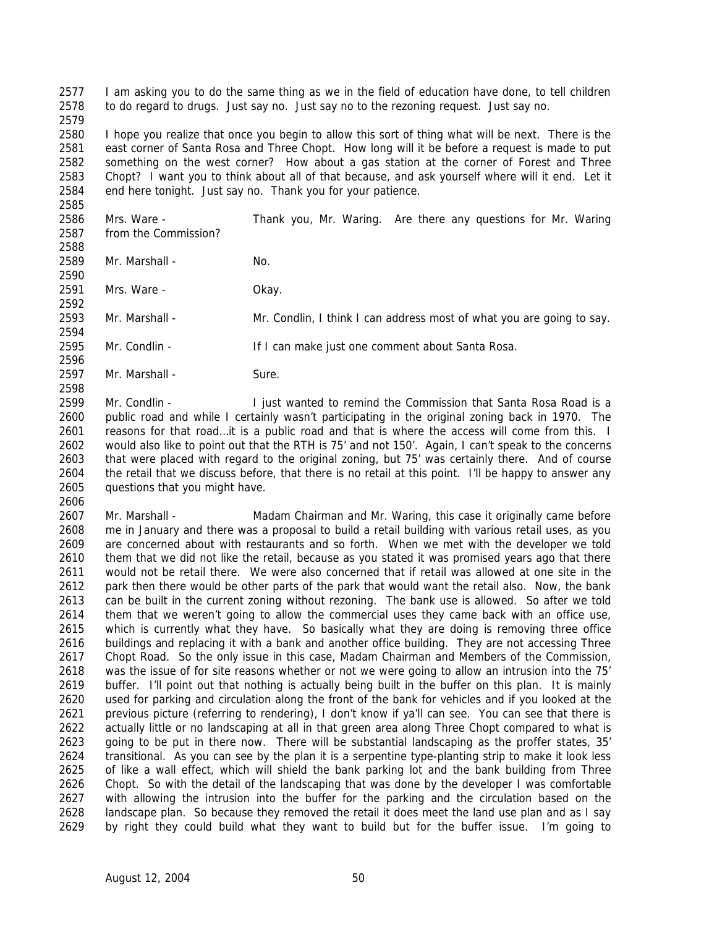I am asking you to do the same thing as we in the field of education have done, to tell children to do regard to drugs. Just say no. Just say no to the rezoning request. Just say no.

 I hope you realize that once you begin to allow this sort of thing what will be next. There is the east corner of Santa Rosa and Three Chopt. How long will it be before a request is made to put something on the west corner? How about a gas station at the corner of Forest and Three Chopt? I want you to think about all of that because, and ask yourself where will it end. Let it end here tonight. Just say no. Thank you for your patience.

 Mrs. Ware - Thank you, Mr. Waring. Are there any questions for Mr. Waring from the Commission?

2589 Mr. Marshall - No.

Mrs. Ware - Okay.

Mr. Marshall - Mr. Condlin, I think I can address most of what you are going to say.

- Mr. Condlin - If I can make just one comment about Santa Rosa.
- 

2597 Mr. Marshall - Sure.

 Mr. Condlin - I just wanted to remind the Commission that Santa Rosa Road is a public road and while I certainly wasn't participating in the original zoning back in 1970. The 2601 reasons for that road...it is a public road and that is where the access will come from this. I would also like to point out that the RTH is 75' and not 150'. Again, I can't speak to the concerns that were placed with regard to the original zoning, but 75' was certainly there. And of course the retail that we discuss before, that there is no retail at this point. I'll be happy to answer any questions that you might have. 

 Mr. Marshall - Madam Chairman and Mr. Waring, this case it originally came before me in January and there was a proposal to build a retail building with various retail uses, as you are concerned about with restaurants and so forth. When we met with the developer we told them that we did not like the retail, because as you stated it was promised years ago that there would not be retail there. We were also concerned that if retail was allowed at one site in the park then there would be other parts of the park that would want the retail also. Now, the bank 2613 can be built in the current zoning without rezoning. The bank use is allowed. So after we told them that we weren't going to allow the commercial uses they came back with an office use, which is currently what they have. So basically what they are doing is removing three office buildings and replacing it with a bank and another office building. They are not accessing Three Chopt Road. So the only issue in this case, Madam Chairman and Members of the Commission, was the issue of for site reasons whether or not we were going to allow an intrusion into the 75' buffer. I'll point out that nothing is actually being built in the buffer on this plan. It is mainly used for parking and circulation along the front of the bank for vehicles and if you looked at the previous picture (referring to rendering), I don't know if ya'll can see. You can see that there is actually little or no landscaping at all in that green area along Three Chopt compared to what is going to be put in there now. There will be substantial landscaping as the proffer states, 35' transitional. As you can see by the plan it is a serpentine type-planting strip to make it look less of like a wall effect, which will shield the bank parking lot and the bank building from Three Chopt. So with the detail of the landscaping that was done by the developer I was comfortable with allowing the intrusion into the buffer for the parking and the circulation based on the landscape plan. So because they removed the retail it does meet the land use plan and as I say by right they could build what they want to build but for the buffer issue. I'm going to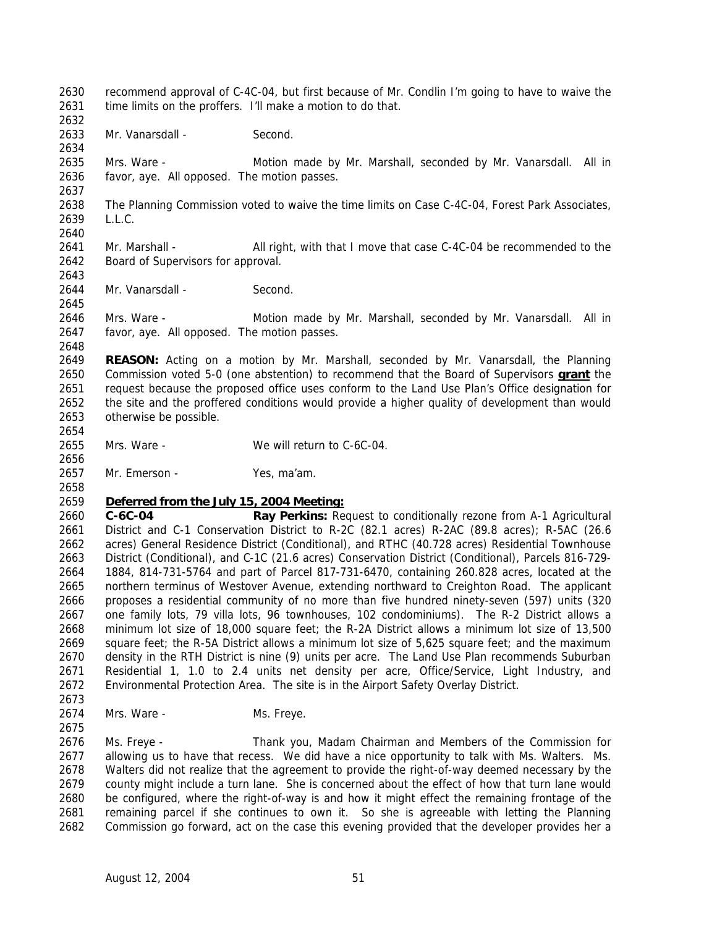recommend approval of C-4C-04, but first because of Mr. Condlin I'm going to have to waive the 2631 time limits on the proffers. I'll make a motion to do that. 2633 Mr. Vanarsdall - Second. Mrs. Ware - Motion made by Mr. Marshall, seconded by Mr. Vanarsdall. All in favor, aye. All opposed. The motion passes. The Planning Commission voted to waive the time limits on Case C-4C-04, Forest Park Associates, L.L.C. 2641 Mr. Marshall - All right, with that I move that case C-4C-04 be recommended to the Board of Supervisors for approval. 2644 Mr. Vanarsdall - Second. Mrs. Ware - Motion made by Mr. Marshall, seconded by Mr. Vanarsdall. All in favor, aye. All opposed. The motion passes. **REASON:** Acting on a motion by Mr. Marshall, seconded by Mr. Vanarsdall, the Planning Commission voted 5-0 (one abstention) to recommend that the Board of Supervisors **grant** the request because the proposed office uses conform to the Land Use Plan's Office designation for the site and the proffered conditions would provide a higher quality of development than would otherwise be possible. Mrs. Ware - We will return to C-6C-04. Mr. Emerson - Yes, ma'am. *Deferred from the July 15, 2004 Meeting:* **C-6C-04 Ray Perkins:** Request to conditionally rezone from A-1 Agricultural District and C-1 Conservation District to R-2C (82.1 acres) R-2AC (89.8 acres); R-5AC (26.6 acres) General Residence District (Conditional), and RTHC (40.728 acres) Residential Townhouse District (Conditional), and C-1C (21.6 acres) Conservation District (Conditional), Parcels 816-729- 1884, 814-731-5764 and part of Parcel 817-731-6470, containing 260.828 acres, located at the northern terminus of Westover Avenue, extending northward to Creighton Road. The applicant proposes a residential community of no more than five hundred ninety-seven (597) units (320 one family lots, 79 villa lots, 96 townhouses, 102 condominiums). The R-2 District allows a minimum lot size of 18,000 square feet; the R-2A District allows a minimum lot size of 13,500 square feet; the R-5A District allows a minimum lot size of 5,625 square feet; and the maximum density in the RTH District is nine (9) units per acre. The Land Use Plan recommends Suburban Residential 1, 1.0 to 2.4 units net density per acre, Office/Service, Light Industry, and Environmental Protection Area. The site is in the Airport Safety Overlay District. 2674 Mrs. Ware - Ms. Freye. Ms. Freye - Thank you, Madam Chairman and Members of the Commission for allowing us to have that recess. We did have a nice opportunity to talk with Ms. Walters. Ms. Walters did not realize that the agreement to provide the right-of-way deemed necessary by the county might include a turn lane. She is concerned about the effect of how that turn lane would be configured, where the right-of-way is and how it might effect the remaining frontage of the remaining parcel if she continues to own it. So she is agreeable with letting the Planning Commission go forward, act on the case this evening provided that the developer provides her a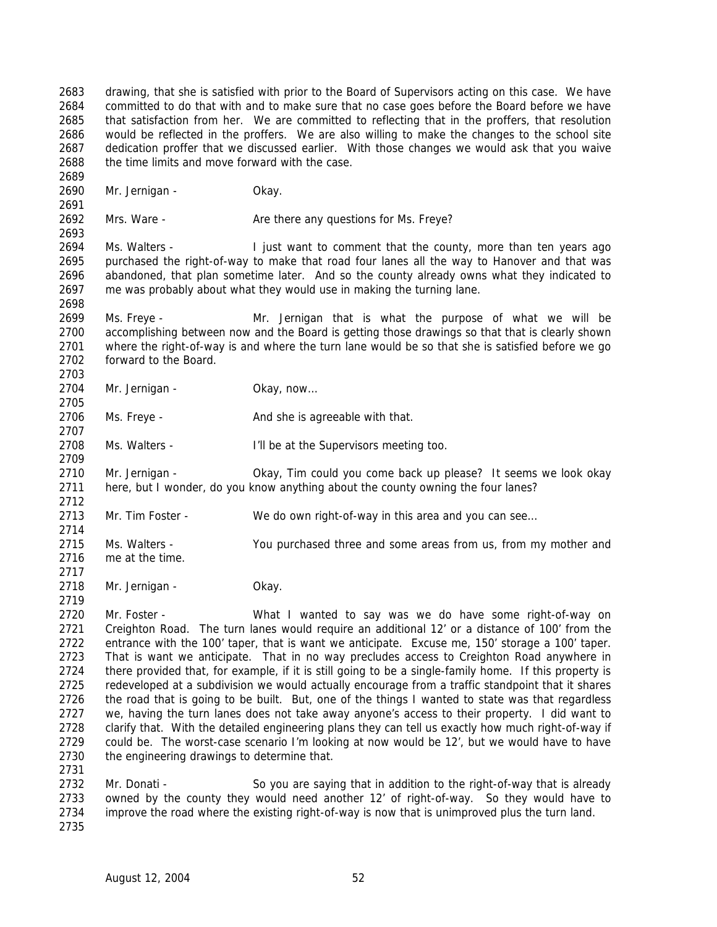drawing, that she is satisfied with prior to the Board of Supervisors acting on this case. We have committed to do that with and to make sure that no case goes before the Board before we have that satisfaction from her. We are committed to reflecting that in the proffers, that resolution would be reflected in the proffers. We are also willing to make the changes to the school site dedication proffer that we discussed earlier. With those changes we would ask that you waive the time limits and move forward with the case.

Mr. Jernigan - Okay.

2692 Mrs. Ware - Are there any questions for Ms. Freye? 

 Ms. Walters - I just want to comment that the county, more than ten years ago purchased the right-of-way to make that road four lanes all the way to Hanover and that was abandoned, that plan sometime later. And so the county already owns what they indicated to me was probably about what they would use in making the turning lane.

 Ms. Freye - Mr. Jernigan that is what the purpose of what we will be accomplishing between now and the Board is getting those drawings so that that is clearly shown where the right-of-way is and where the turn lane would be so that she is satisfied before we go forward to the Board.

2704 Mr. Jernigan - Okay, now...

2706 Ms. Freye - And she is agreeable with that.

Ms. Walters - I'll be at the Supervisors meeting too.

 Mr. Jernigan - Okay, Tim could you come back up please? It seems we look okay here, but I wonder, do you know anything about the county owning the four lanes? 

2713 Mr. Tim Foster - We do own right-of-way in this area and you can see...

 Ms. Walters - You purchased three and some areas from us, from my mother and me at the time.

Mr. Jernigan - Okay.

 Mr. Foster - What I wanted to say was we do have some right-of-way on Creighton Road. The turn lanes would require an additional 12' or a distance of 100' from the entrance with the 100' taper, that is want we anticipate. Excuse me, 150' storage a 100' taper. That is want we anticipate. That in no way precludes access to Creighton Road anywhere in there provided that, for example, if it is still going to be a single-family home. If this property is redeveloped at a subdivision we would actually encourage from a traffic standpoint that it shares 2726 the road that is going to be built. But, one of the things I wanted to state was that regardless we, having the turn lanes does not take away anyone's access to their property. I did want to clarify that. With the detailed engineering plans they can tell us exactly how much right-of-way if could be. The worst-case scenario I'm looking at now would be 12', but we would have to have the engineering drawings to determine that. 

 Mr. Donati - So you are saying that in addition to the right-of-way that is already owned by the county they would need another 12' of right-of-way. So they would have to improve the road where the existing right-of-way is now that is unimproved plus the turn land.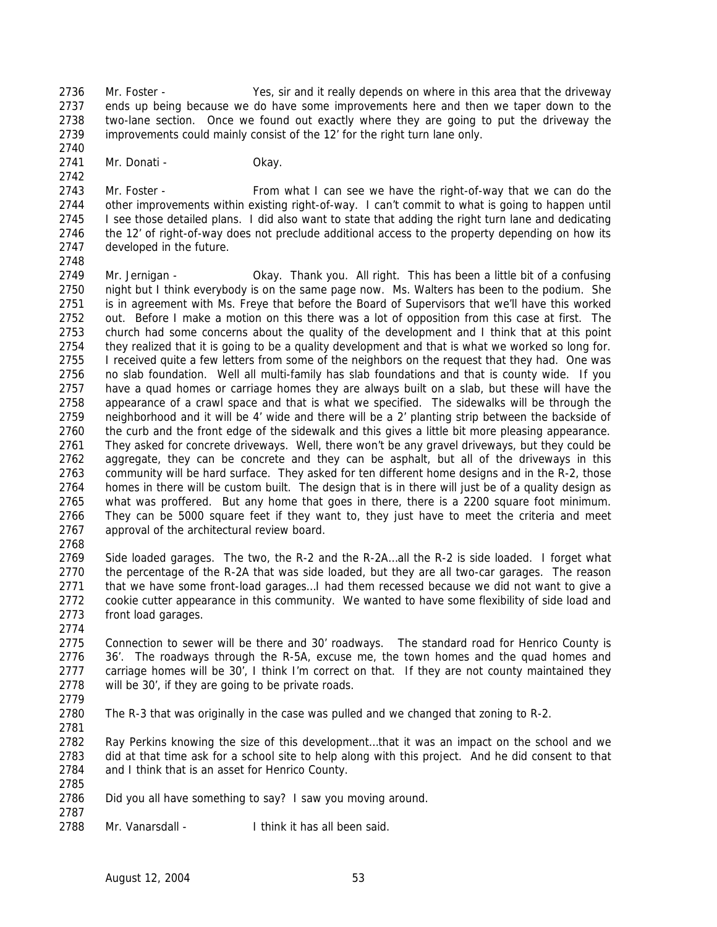Mr. Foster - Yes, sir and it really depends on where in this area that the driveway ends up being because we do have some improvements here and then we taper down to the two-lane section. Once we found out exactly where they are going to put the driveway the improvements could mainly consist of the 12' for the right turn lane only.

2741 Mr. Donati - Chay.

 Mr. Foster - From what I can see we have the right-of-way that we can do the other improvements within existing right-of-way. I can't commit to what is going to happen until I see those detailed plans. I did also want to state that adding the right turn lane and dedicating the 12' of right-of-way does not preclude additional access to the property depending on how its developed in the future.

 Mr. Jernigan - Okay. Thank you. All right. This has been a little bit of a confusing night but I think everybody is on the same page now. Ms. Walters has been to the podium. She is in agreement with Ms. Freye that before the Board of Supervisors that we'll have this worked out. Before I make a motion on this there was a lot of opposition from this case at first. The church had some concerns about the quality of the development and I think that at this point they realized that it is going to be a quality development and that is what we worked so long for. 2755 I received quite a few letters from some of the neighbors on the request that they had. One was no slab foundation. Well all multi-family has slab foundations and that is county wide. If you have a quad homes or carriage homes they are always built on a slab, but these will have the appearance of a crawl space and that is what we specified. The sidewalks will be through the neighborhood and it will be 4' wide and there will be a 2' planting strip between the backside of the curb and the front edge of the sidewalk and this gives a little bit more pleasing appearance. They asked for concrete driveways. Well, there won't be any gravel driveways, but they could be aggregate, they can be concrete and they can be asphalt, but all of the driveways in this community will be hard surface. They asked for ten different home designs and in the R-2, those homes in there will be custom built. The design that is in there will just be of a quality design as what was proffered. But any home that goes in there, there is a 2200 square foot minimum. They can be 5000 square feet if they want to, they just have to meet the criteria and meet approval of the architectural review board.

 Side loaded garages. The two, the R-2 and the R-2A…all the R-2 is side loaded. I forget what the percentage of the R-2A that was side loaded, but they are all two-car garages. The reason 2771 that we have some front-load garages...I had them recessed because we did not want to give a cookie cutter appearance in this community. We wanted to have some flexibility of side load and front load garages.

 Connection to sewer will be there and 30' roadways. The standard road for Henrico County is 36'. The roadways through the R-5A, excuse me, the town homes and the quad homes and carriage homes will be 30', I think I'm correct on that. If they are not county maintained they will be 30', if they are going to be private roads.

 The R-3 that was originally in the case was pulled and we changed that zoning to R-2. 

 Ray Perkins knowing the size of this development…that it was an impact on the school and we did at that time ask for a school site to help along with this project. And he did consent to that and I think that is an asset for Henrico County.

 Did you all have something to say? I saw you moving around. 

2788 Mr. Vanarsdall - I think it has all been said.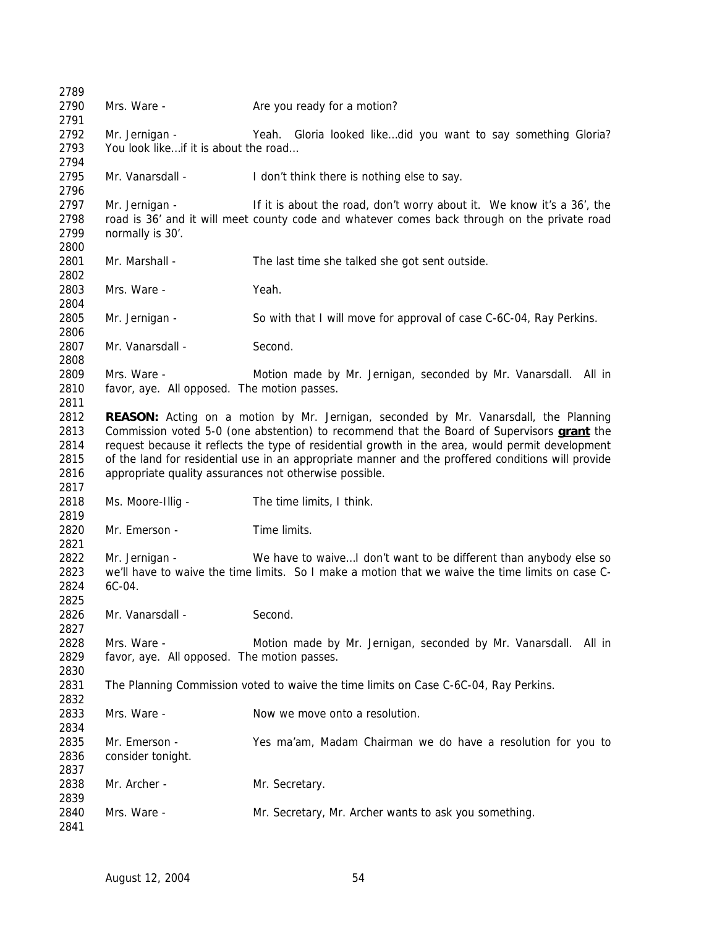| 2789         |                                                        |                                                                                                    |
|--------------|--------------------------------------------------------|----------------------------------------------------------------------------------------------------|
| 2790         | Mrs. Ware -                                            | Are you ready for a motion?                                                                        |
| 2791         |                                                        |                                                                                                    |
| 2792         | Mr. Jernigan -                                         | Yeah. Gloria looked likedid you want to say something Gloria?                                      |
| 2793         | You look likeif it is about the road                   |                                                                                                    |
| 2794         |                                                        |                                                                                                    |
| 2795         | Mr. Vanarsdall -                                       | I don't think there is nothing else to say.                                                        |
| 2796         |                                                        |                                                                                                    |
| 2797         | Mr. Jernigan -                                         | If it is about the road, don't worry about it. We know it's a 36', the                             |
| 2798         |                                                        | road is 36' and it will meet county code and whatever comes back through on the private road       |
| 2799         | normally is 30'.                                       |                                                                                                    |
| 2800         |                                                        |                                                                                                    |
| 2801         | Mr. Marshall -                                         | The last time she talked she got sent outside.                                                     |
| 2802         |                                                        |                                                                                                    |
| 2803         | Mrs. Ware -                                            | Yeah.                                                                                              |
| 2804         |                                                        |                                                                                                    |
| 2805         | Mr. Jernigan -                                         | So with that I will move for approval of case C-6C-04, Ray Perkins.                                |
| 2806         |                                                        |                                                                                                    |
| 2807         | Mr. Vanarsdall -                                       | Second.                                                                                            |
| 2808         |                                                        |                                                                                                    |
| 2809         | Mrs. Ware -                                            | Motion made by Mr. Jernigan, seconded by Mr. Vanarsdall. All in                                    |
| 2810         | favor, aye. All opposed. The motion passes.            |                                                                                                    |
| 2811         |                                                        |                                                                                                    |
| 2812         |                                                        | <b>REASON:</b> Acting on a motion by Mr. Jernigan, seconded by Mr. Vanarsdall, the Planning        |
| 2813         |                                                        | Commission voted 5-0 (one abstention) to recommend that the Board of Supervisors <b>grant</b> the  |
| 2814         |                                                        | request because it reflects the type of residential growth in the area, would permit development   |
| 2815         |                                                        | of the land for residential use in an appropriate manner and the proffered conditions will provide |
| 2816         | appropriate quality assurances not otherwise possible. |                                                                                                    |
| 2817         |                                                        |                                                                                                    |
| 2818         | Ms. Moore-Illig -                                      | The time limits, I think.                                                                          |
| 2819         |                                                        |                                                                                                    |
| 2820<br>2821 | Mr. Emerson -                                          | Time limits.                                                                                       |
| 2822         | Mr. Jernigan -                                         | We have to waive I don't want to be different than anybody else so                                 |
| 2823         |                                                        | we'll have to waive the time limits. So I make a motion that we waive the time limits on case C-   |
| 2824         | 6C-04.                                                 |                                                                                                    |
| 2825         |                                                        |                                                                                                    |
| 2826         | Mr. Vanarsdall -                                       | Second.                                                                                            |
| 2827         |                                                        |                                                                                                    |
| 2828         | Mrs. Ware -                                            | Motion made by Mr. Jernigan, seconded by Mr. Vanarsdall. All in                                    |
| 2829         | favor, aye. All opposed. The motion passes.            |                                                                                                    |
| 2830         |                                                        |                                                                                                    |
| 2831         |                                                        | The Planning Commission voted to waive the time limits on Case C-6C-04, Ray Perkins.               |
| 2832         |                                                        |                                                                                                    |
| 2833         | Mrs. Ware -                                            | Now we move onto a resolution.                                                                     |
| 2834         |                                                        |                                                                                                    |
| 2835         | Mr. Emerson -                                          | Yes ma'am, Madam Chairman we do have a resolution for you to                                       |
| 2836         | consider tonight.                                      |                                                                                                    |
| 2837         |                                                        |                                                                                                    |
| 2838         | Mr. Archer -                                           | Mr. Secretary.                                                                                     |
| 2839         |                                                        |                                                                                                    |
| 2840         | Mrs. Ware -                                            | Mr. Secretary, Mr. Archer wants to ask you something.                                              |
| 2841         |                                                        |                                                                                                    |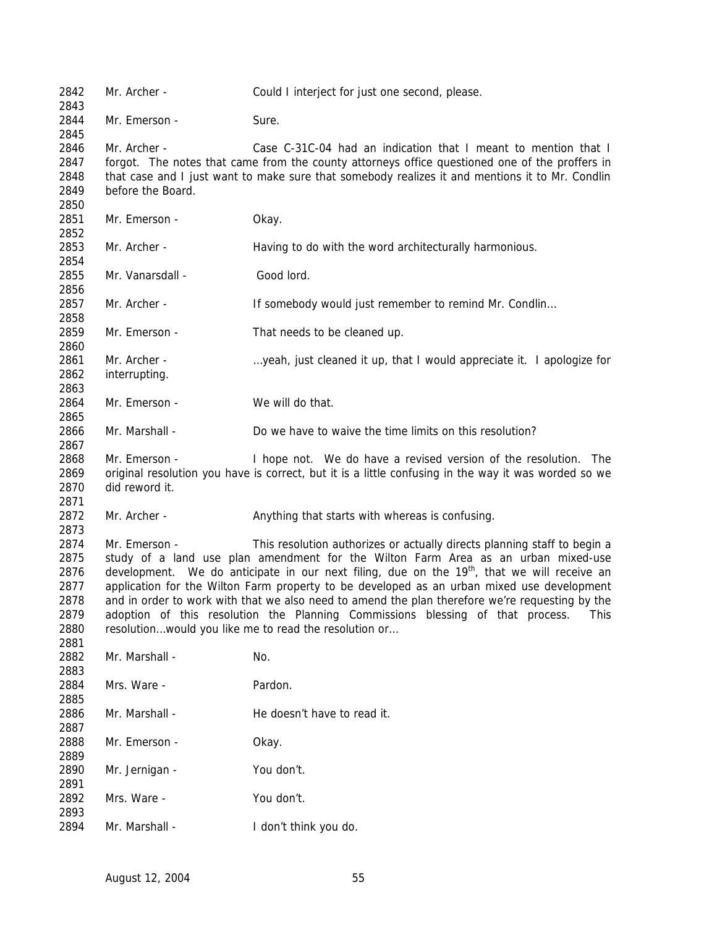Mr. Archer - Could I interject for just one second, please. 2844 Mr. Emerson - Sure. Mr. Archer - Case C-31C-04 had an indication that I meant to mention that I forgot. The notes that came from the county attorneys office questioned one of the proffers in that case and I just want to make sure that somebody realizes it and mentions it to Mr. Condlin before the Board. Mr. Emerson - Okay. Mr. Archer - Having to do with the word architecturally harmonious. Mr. Vanarsdall - Good lord. 2857 Mr. Archer - If somebody would just remember to remind Mr. Condlin... 2859 Mr. Emerson - That needs to be cleaned up. 2861 Mr. Archer - …yeah, just cleaned it up, that I would appreciate it. I apologize for interrupting. 2864 Mr. Emerson - We will do that. Mr. Marshall - Do we have to waive the time limits on this resolution? Mr. Emerson - I hope not. We do have a revised version of the resolution. The original resolution you have is correct, but it is a little confusing in the way it was worded so we did reword it. 2872 Mr. Archer - Anything that starts with whereas is confusing. Mr. Emerson - This resolution authorizes or actually directs planning staff to begin a study of a land use plan amendment for the Wilton Farm Area as an urban mixed-use 2876 development. We do anticipate in our next filing, due on the  $19<sup>th</sup>$ , that we will receive an application for the Wilton Farm property to be developed as an urban mixed use development and in order to work with that we also need to amend the plan therefore we're requesting by the adoption of this resolution the Planning Commissions blessing of that process. This 2880 resolution...would you like me to read the resolution or... 2882 Mr. Marshall - No. Mrs. Ware - Pardon. 2886 Mr. Marshall - He doesn't have to read it. Mr. Emerson - Okay. Mr. Jernigan - You don't. Mrs. Ware - You don't. Mr. Marshall - I don't think you do.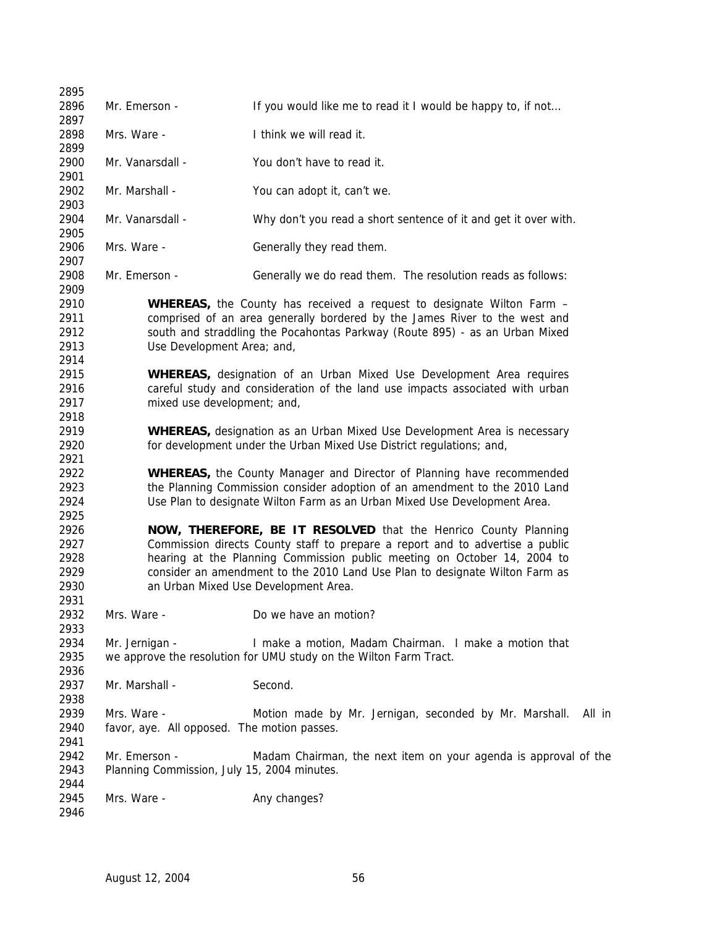| 2895                                 |                |                                                              |                                                                                                                                                                                                                                    |  |
|--------------------------------------|----------------|--------------------------------------------------------------|------------------------------------------------------------------------------------------------------------------------------------------------------------------------------------------------------------------------------------|--|
| 2896                                 | Mr. Emerson -  |                                                              | If you would like me to read it I would be happy to, if not                                                                                                                                                                        |  |
| 2897                                 |                |                                                              |                                                                                                                                                                                                                                    |  |
| 2898<br>2899                         | Mrs. Ware -    |                                                              | I think we will read it.                                                                                                                                                                                                           |  |
| 2900                                 |                | Mr. Vanarsdall -                                             | You don't have to read it.                                                                                                                                                                                                         |  |
| 2901<br>2902                         | Mr. Marshall - |                                                              | You can adopt it, can't we.                                                                                                                                                                                                        |  |
| 2903<br>2904                         |                | Mr. Vanarsdall -                                             | Why don't you read a short sentence of it and get it over with.                                                                                                                                                                    |  |
| 2905                                 |                |                                                              |                                                                                                                                                                                                                                    |  |
| 2906<br>2907                         | Mrs. Ware -    |                                                              | Generally they read them.                                                                                                                                                                                                          |  |
| 2908<br>2909                         |                | Mr. Emerson -                                                | Generally we do read them. The resolution reads as follows:                                                                                                                                                                        |  |
| 2910<br>2911<br>2912<br>2913         |                | Use Development Area; and,                                   | WHEREAS, the County has received a request to designate Wilton Farm -<br>comprised of an area generally bordered by the James River to the west and<br>south and straddling the Pocahontas Parkway (Route 895) - as an Urban Mixed |  |
| 2914<br>2915<br>2916<br>2917<br>2918 |                | mixed use development; and,                                  | <b>WHEREAS</b> , designation of an Urban Mixed Use Development Area requires<br>careful study and consideration of the land use impacts associated with urban                                                                      |  |
| 2919<br>2920                         |                |                                                              | <b>WHEREAS</b> , designation as an Urban Mixed Use Development Area is necessary<br>for development under the Urban Mixed Use District regulations; and,                                                                           |  |
| 2921                                 |                |                                                              |                                                                                                                                                                                                                                    |  |
| 2922<br>2923                         |                |                                                              | <b>WHEREAS</b> , the County Manager and Director of Planning have recommended<br>the Planning Commission consider adoption of an amendment to the 2010 Land                                                                        |  |
| 2924<br>2925                         |                |                                                              | Use Plan to designate Wilton Farm as an Urban Mixed Use Development Area.                                                                                                                                                          |  |
| 2926                                 |                |                                                              | NOW, THEREFORE, BE IT RESOLVED that the Henrico County Planning                                                                                                                                                                    |  |
| 2927<br>2928                         |                |                                                              | Commission directs County staff to prepare a report and to advertise a public<br>hearing at the Planning Commission public meeting on October 14, 2004 to                                                                          |  |
| 2929<br>2930                         |                |                                                              | consider an amendment to the 2010 Land Use Plan to designate Wilton Farm as<br>an Urban Mixed Use Development Area.                                                                                                                |  |
| 2931                                 |                |                                                              |                                                                                                                                                                                                                                    |  |
| 2932<br>2933                         | Mrs. Ware -    |                                                              | Do we have an motion?                                                                                                                                                                                                              |  |
| 2934<br>2935                         | Mr. Jernigan - |                                                              | I make a motion, Madam Chairman. I make a motion that<br>we approve the resolution for UMU study on the Wilton Farm Tract.                                                                                                         |  |
| 2936                                 |                |                                                              |                                                                                                                                                                                                                                    |  |
| 2937<br>2938                         | Mr. Marshall - |                                                              | Second.                                                                                                                                                                                                                            |  |
| 2939<br>2940                         | Mrs. Ware -    | favor, aye. All opposed. The motion passes.                  | Motion made by Mr. Jernigan, seconded by Mr. Marshall. All in                                                                                                                                                                      |  |
| 2941<br>2942<br>2943                 |                | Mr. Emerson -<br>Planning Commission, July 15, 2004 minutes. | Madam Chairman, the next item on your agenda is approval of the                                                                                                                                                                    |  |
| 2944<br>2945<br>2946                 | Mrs. Ware -    |                                                              | Any changes?                                                                                                                                                                                                                       |  |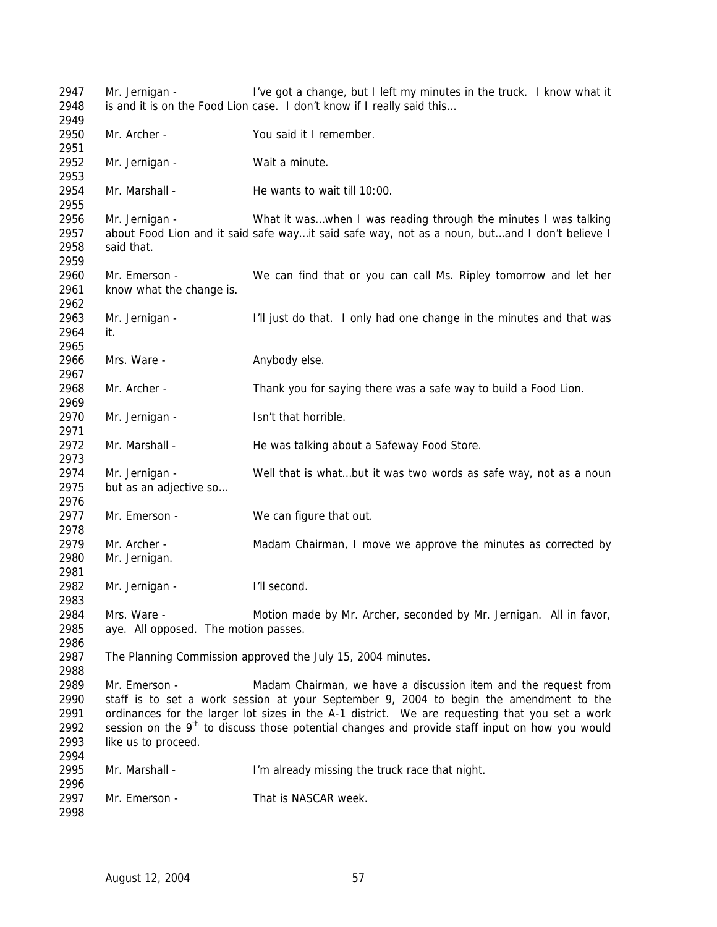| 2947<br>2948<br>2949                         | Mr. Jernigan -                                      | I've got a change, but I left my minutes in the truck. I know what it<br>is and it is on the Food Lion case. I don't know if I really said this                                                                                                                                                                                                                          |
|----------------------------------------------|-----------------------------------------------------|--------------------------------------------------------------------------------------------------------------------------------------------------------------------------------------------------------------------------------------------------------------------------------------------------------------------------------------------------------------------------|
| 2950<br>2951                                 | Mr. Archer -                                        | You said it I remember.                                                                                                                                                                                                                                                                                                                                                  |
| 2952<br>2953                                 | Mr. Jernigan -                                      | Wait a minute.                                                                                                                                                                                                                                                                                                                                                           |
| 2954<br>2955                                 | Mr. Marshall -                                      | He wants to wait till 10:00.                                                                                                                                                                                                                                                                                                                                             |
| 2956<br>2957<br>2958<br>2959                 | Mr. Jernigan -<br>said that.                        | What it waswhen I was reading through the minutes I was talking<br>about Food Lion and it said safe wayit said safe way, not as a noun, butand I don't believe I                                                                                                                                                                                                         |
| 2960<br>2961<br>2962                         | Mr. Emerson -<br>know what the change is.           | We can find that or you can call Ms. Ripley tomorrow and let her                                                                                                                                                                                                                                                                                                         |
| 2963<br>2964<br>2965                         | Mr. Jernigan -<br>it.                               | I'll just do that. I only had one change in the minutes and that was                                                                                                                                                                                                                                                                                                     |
| 2966<br>2967                                 | Mrs. Ware -                                         | Anybody else.                                                                                                                                                                                                                                                                                                                                                            |
| 2968<br>2969                                 | Mr. Archer -                                        | Thank you for saying there was a safe way to build a Food Lion.                                                                                                                                                                                                                                                                                                          |
| 2970<br>2971                                 | Mr. Jernigan -                                      | Isn't that horrible.                                                                                                                                                                                                                                                                                                                                                     |
| 2972<br>2973                                 | Mr. Marshall -                                      | He was talking about a Safeway Food Store.                                                                                                                                                                                                                                                                                                                               |
| 2974<br>2975<br>2976                         | Mr. Jernigan -<br>but as an adjective so            | Well that is whatbut it was two words as safe way, not as a noun                                                                                                                                                                                                                                                                                                         |
| 2977<br>2978                                 | Mr. Emerson -                                       | We can figure that out.                                                                                                                                                                                                                                                                                                                                                  |
| 2979<br>2980<br>2981                         | Mr. Archer -<br>Mr. Jernigan.                       | Madam Chairman, I move we approve the minutes as corrected by                                                                                                                                                                                                                                                                                                            |
| 2982<br>2983                                 | Mr. Jernigan -                                      | I'll second.                                                                                                                                                                                                                                                                                                                                                             |
| 2984<br>2985<br>2986                         | Mrs. Ware -<br>aye. All opposed. The motion passes. | Motion made by Mr. Archer, seconded by Mr. Jernigan. All in favor,                                                                                                                                                                                                                                                                                                       |
| 2987<br>2988                                 |                                                     | The Planning Commission approved the July 15, 2004 minutes.                                                                                                                                                                                                                                                                                                              |
| 2989<br>2990<br>2991<br>2992<br>2993<br>2994 | Mr. Emerson -<br>like us to proceed.                | Madam Chairman, we have a discussion item and the request from<br>staff is to set a work session at your September 9, 2004 to begin the amendment to the<br>ordinances for the larger lot sizes in the A-1 district. We are requesting that you set a work<br>session on the 9 <sup>th</sup> to discuss those potential changes and provide staff input on how you would |
| 2995<br>2996                                 | Mr. Marshall -                                      | I'm already missing the truck race that night.                                                                                                                                                                                                                                                                                                                           |
| 2997<br>2998                                 | Mr. Emerson -                                       | That is NASCAR week.                                                                                                                                                                                                                                                                                                                                                     |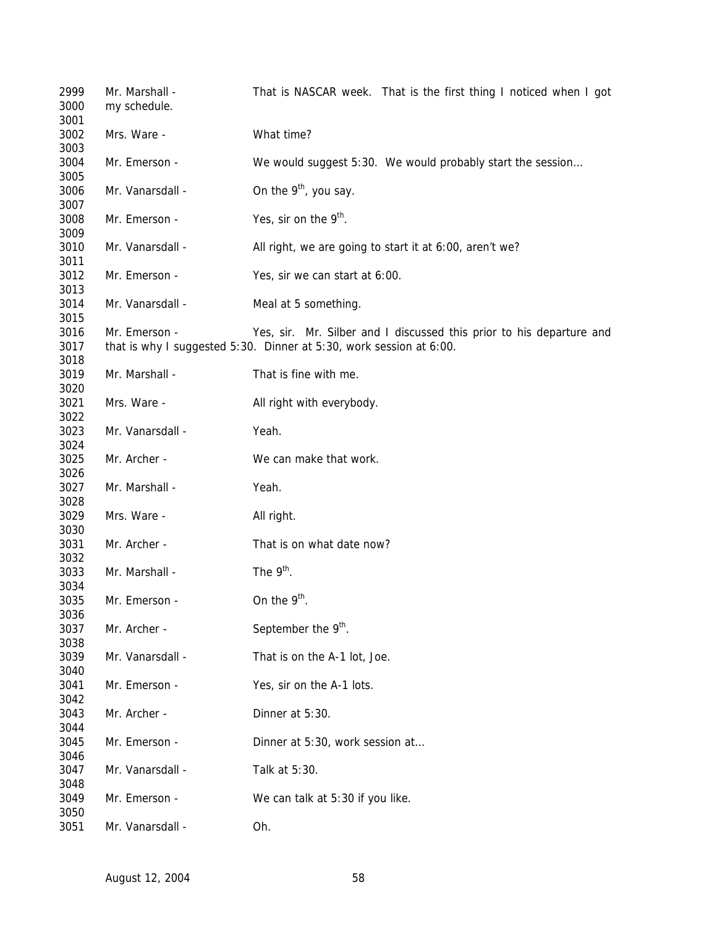| 2999<br>3000 | Mr. Marshall -<br>my schedule. | That is NASCAR week. That is the first thing I noticed when I got    |
|--------------|--------------------------------|----------------------------------------------------------------------|
| 3001<br>3002 | Mrs. Ware -                    | What time?                                                           |
| 3003         |                                |                                                                      |
| 3004<br>3005 | Mr. Emerson -                  | We would suggest 5:30. We would probably start the session           |
| 3006<br>3007 | Mr. Vanarsdall -               | On the 9 <sup>th</sup> , you say.                                    |
| 3008<br>3009 | Mr. Emerson -                  | Yes, sir on the $9th$ .                                              |
| 3010<br>3011 | Mr. Vanarsdall -               | All right, we are going to start it at 6:00, aren't we?              |
| 3012<br>3013 | Mr. Emerson -                  | Yes, sir we can start at 6:00.                                       |
| 3014<br>3015 | Mr. Vanarsdall -               | Meal at 5 something.                                                 |
| 3016         | Mr. Emerson -                  | Yes, sir. Mr. Silber and I discussed this prior to his departure and |
| 3017<br>3018 |                                | that is why I suggested 5:30. Dinner at 5:30, work session at 6:00.  |
| 3019<br>3020 | Mr. Marshall -                 | That is fine with me.                                                |
| 3021<br>3022 | Mrs. Ware -                    | All right with everybody.                                            |
| 3023<br>3024 | Mr. Vanarsdall -               | Yeah.                                                                |
| 3025<br>3026 | Mr. Archer -                   | We can make that work.                                               |
| 3027<br>3028 | Mr. Marshall -                 | Yeah.                                                                |
| 3029<br>3030 | Mrs. Ware -                    | All right.                                                           |
| 3031<br>3032 | Mr. Archer -                   | That is on what date now?                                            |
| 3033<br>3034 | Mr. Marshall -                 | The $9th$ .                                                          |
| 3035<br>3036 | Mr. Emerson -                  | On the $9th$ .                                                       |
| 3037<br>3038 | Mr. Archer -                   | September the 9 <sup>th</sup> .                                      |
| 3039<br>3040 | Mr. Vanarsdall -               | That is on the A-1 lot, Joe.                                         |
| 3041<br>3042 | Mr. Emerson -                  | Yes, sir on the A-1 lots.                                            |
| 3043<br>3044 | Mr. Archer -                   | Dinner at 5:30.                                                      |
| 3045<br>3046 | Mr. Emerson -                  | Dinner at 5:30, work session at                                      |
| 3047<br>3048 | Mr. Vanarsdall -               | Talk at 5:30.                                                        |
| 3049<br>3050 | Mr. Emerson -                  | We can talk at 5:30 if you like.                                     |
| 3051         | Mr. Vanarsdall -               | Oh.                                                                  |